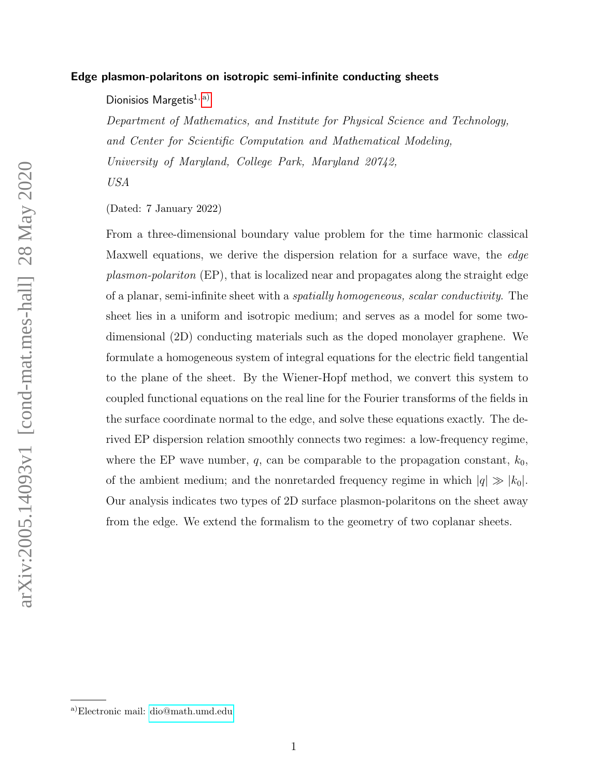## Edge plasmon-polaritons on isotropic semi-infinite conducting sheets

Dionisios Margetis $1, a$ )

Department of Mathematics, and Institute for Physical Science and Technology, and Center for Scientific Computation and Mathematical Modeling, University of Maryland, College Park, Maryland 20742, USA

(Dated: 7 January 2022)

From a three-dimensional boundary value problem for the time harmonic classical Maxwell equations, we derive the dispersion relation for a surface wave, the *edge* plasmon-polariton (EP), that is localized near and propagates along the straight edge of a planar, semi-infinite sheet with a spatially homogeneous, scalar conductivity. The sheet lies in a uniform and isotropic medium; and serves as a model for some twodimensional (2D) conducting materials such as the doped monolayer graphene. We formulate a homogeneous system of integral equations for the electric field tangential to the plane of the sheet. By the Wiener-Hopf method, we convert this system to coupled functional equations on the real line for the Fourier transforms of the fields in the surface coordinate normal to the edge, and solve these equations exactly. The derived EP dispersion relation smoothly connects two regimes: a low-frequency regime, where the EP wave number,  $q$ , can be comparable to the propagation constant,  $k_0$ , of the ambient medium; and the nonretarded frequency regime in which  $|q| \gg |k_0|$ . Our analysis indicates two types of 2D surface plasmon-polaritons on the sheet away from the edge. We extend the formalism to the geometry of two coplanar sheets.

<span id="page-0-0"></span>a)Electronic mail: [dio@math.umd.edu](mailto:dio@math.umd.edu)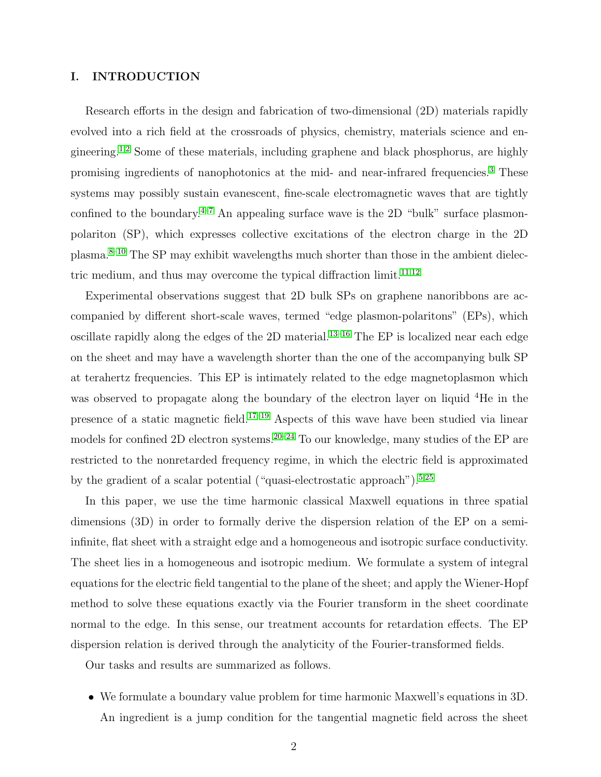# I. INTRODUCTION

Research efforts in the design and fabrication of two-dimensional (2D) materials rapidly evolved into a rich field at the crossroads of physics, chemistry, materials science and en-gineering.<sup>[1,](#page-37-0)[2](#page-37-1)</sup> Some of these materials, including graphene and black phosphorus, are highly promising ingredients of nanophotonics at the mid- and near-infrared frequencies.[3](#page-37-2) These systems may possibly sustain evanescent, fine-scale electromagnetic waves that are tightly confined to the boundary.<sup>[4–](#page-37-3)[7](#page-38-0)</sup> An appealing surface wave is the 2D "bulk" surface plasmonpolariton (SP), which expresses collective excitations of the electron charge in the 2D plasma.[8–](#page-38-1)[10](#page-38-2) The SP may exhibit wavelengths much shorter than those in the ambient dielec-tric medium, and thus may overcome the typical diffraction limit.<sup>[11](#page-38-3)[,12](#page-38-4)</sup>

Experimental observations suggest that 2D bulk SPs on graphene nanoribbons are accompanied by different short-scale waves, termed "edge plasmon-polaritons" (EPs), which oscillate rapidly along the edges of the 2D material.<sup>[13](#page-38-5)[–16](#page-38-6)</sup> The EP is localized near each edge on the sheet and may have a wavelength shorter than the one of the accompanying bulk SP at terahertz frequencies. This EP is intimately related to the edge magnetoplasmon which was observed to propagate along the boundary of the electron layer on liquid <sup>4</sup>He in the presence of a static magnetic field.[17](#page-38-7)[–19](#page-39-0) Aspects of this wave have been studied via linear models for confined 2D electron systems.<sup>[20–](#page-39-1)[24](#page-39-2)</sup> To our knowledge, many studies of the EP are restricted to the nonretarded frequency regime, in which the electric field is approximated by the gradient of a scalar potential ("quasi-electrostatic approach").<sup>[5](#page-38-8)[,25](#page-39-3)</sup>

In this paper, we use the time harmonic classical Maxwell equations in three spatial dimensions (3D) in order to formally derive the dispersion relation of the EP on a semiinfinite, flat sheet with a straight edge and a homogeneous and isotropic surface conductivity. The sheet lies in a homogeneous and isotropic medium. We formulate a system of integral equations for the electric field tangential to the plane of the sheet; and apply the Wiener-Hopf method to solve these equations exactly via the Fourier transform in the sheet coordinate normal to the edge. In this sense, our treatment accounts for retardation effects. The EP dispersion relation is derived through the analyticity of the Fourier-transformed fields.

Our tasks and results are summarized as follows.

• We formulate a boundary value problem for time harmonic Maxwell's equations in 3D. An ingredient is a jump condition for the tangential magnetic field across the sheet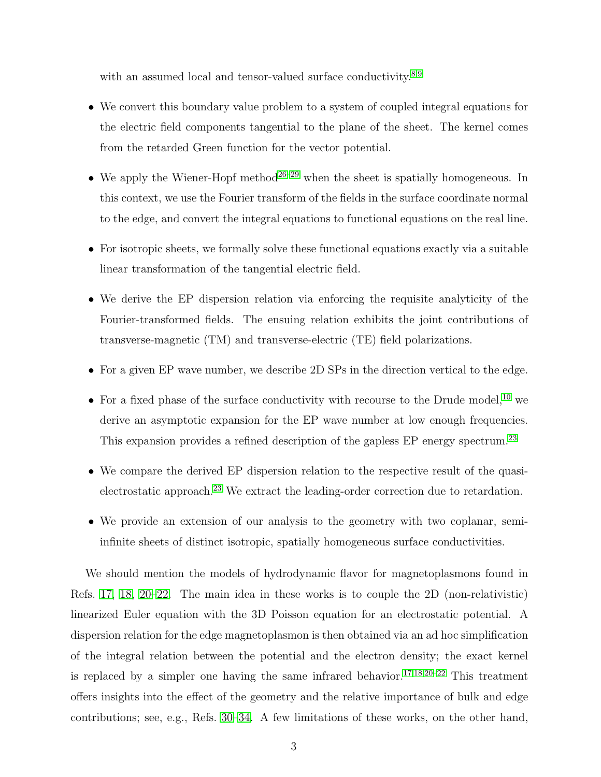with an assumed local and tensor-valued surface conductivity. $8,9$  $8,9$ 

- We convert this boundary value problem to a system of coupled integral equations for the electric field components tangential to the plane of the sheet. The kernel comes from the retarded Green function for the vector potential.
- We apply the Wiener-Hopf method<sup>[26](#page-39-4)[–29](#page-39-5)</sup> when the sheet is spatially homogeneous. In this context, we use the Fourier transform of the fields in the surface coordinate normal to the edge, and convert the integral equations to functional equations on the real line.
- For isotropic sheets, we formally solve these functional equations exactly via a suitable linear transformation of the tangential electric field.
- We derive the EP dispersion relation via enforcing the requisite analyticity of the Fourier-transformed fields. The ensuing relation exhibits the joint contributions of transverse-magnetic (TM) and transverse-electric (TE) field polarizations.
- For a given EP wave number, we describe 2D SPs in the direction vertical to the edge.
- For a fixed phase of the surface conductivity with recourse to the Drude model,<sup>[10](#page-38-2)</sup> we derive an asymptotic expansion for the EP wave number at low enough frequencies. This expansion provides a refined description of the gapless EP energy spectrum.<sup>[23](#page-39-6)</sup>
- We compare the derived EP dispersion relation to the respective result of the quasielectrostatic approach.[23](#page-39-6) We extract the leading-order correction due to retardation.
- We provide an extension of our analysis to the geometry with two coplanar, semiinfinite sheets of distinct isotropic, spatially homogeneous surface conductivities.

We should mention the models of hydrodynamic flavor for magnetoplasmons found in Refs. [17,](#page-38-7) [18,](#page-39-7) [20–](#page-39-1)[22.](#page-39-8) The main idea in these works is to couple the 2D (non-relativistic) linearized Euler equation with the 3D Poisson equation for an electrostatic potential. A dispersion relation for the edge magnetoplasmon is then obtained via an ad hoc simplification of the integral relation between the potential and the electron density; the exact kernel is replaced by a simpler one having the same infrared behavior.<sup>[17,](#page-38-7)[18,](#page-39-7)[20](#page-39-1)[–22](#page-39-8)</sup> This treatment offers insights into the effect of the geometry and the relative importance of bulk and edge contributions; see, e.g., Refs. [30](#page-39-9)[–34.](#page-40-0) A few limitations of these works, on the other hand,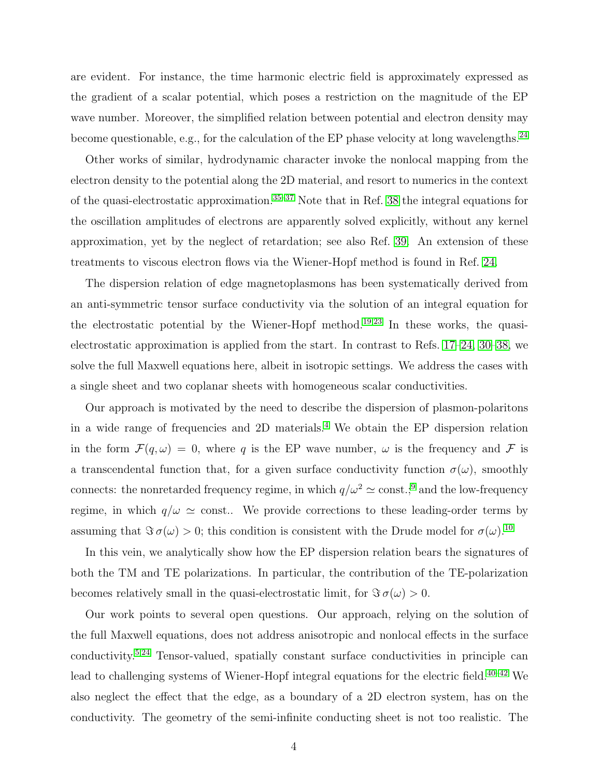are evident. For instance, the time harmonic electric field is approximately expressed as the gradient of a scalar potential, which poses a restriction on the magnitude of the EP wave number. Moreover, the simplified relation between potential and electron density may become questionable, e.g., for the calculation of the EP phase velocity at long wavelengths.<sup>[24](#page-39-2)</sup>

Other works of similar, hydrodynamic character invoke the nonlocal mapping from the electron density to the potential along the 2D material, and resort to numerics in the context of the quasi-electrostatic approximation.<sup>[35–](#page-40-1)[37](#page-40-2)</sup> Note that in Ref. [38](#page-40-3) the integral equations for the oscillation amplitudes of electrons are apparently solved explicitly, without any kernel approximation, yet by the neglect of retardation; see also Ref. [39.](#page-40-4) An extension of these treatments to viscous electron flows via the Wiener-Hopf method is found in Ref. [24.](#page-39-2)

The dispersion relation of edge magnetoplasmons has been systematically derived from an anti-symmetric tensor surface conductivity via the solution of an integral equation for the electrostatic potential by the Wiener-Hopf method.<sup>[19](#page-39-0)[,23](#page-39-6)</sup> In these works, the quasielectrostatic approximation is applied from the start. In contrast to Refs. [17–](#page-38-7)[24,](#page-39-2) [30–](#page-39-9)[38,](#page-40-3) we solve the full Maxwell equations here, albeit in isotropic settings. We address the cases with a single sheet and two coplanar sheets with homogeneous scalar conductivities.

Our approach is motivated by the need to describe the dispersion of plasmon-polaritons in a wide range of frequencies and 2D materials.[4](#page-37-3) We obtain the EP dispersion relation in the form  $\mathcal{F}(q,\omega) = 0$ , where q is the EP wave number,  $\omega$  is the frequency and F is a transcendental function that, for a given surface conductivity function  $\sigma(\omega)$ , smoothly connects: the nonretarded frequency regime, in which  $q/\omega^2 \simeq \text{const.};^9$  $q/\omega^2 \simeq \text{const.};^9$  and the low-frequency regime, in which  $q/\omega \simeq$  const.. We provide corrections to these leading-order terms by assuming that  $\Im \sigma(\omega) > 0$ ; this condition is consistent with the Drude model for  $\sigma(\omega)$ .<sup>[10](#page-38-2)</sup>

In this vein, we analytically show how the EP dispersion relation bears the signatures of both the TM and TE polarizations. In particular, the contribution of the TE-polarization becomes relatively small in the quasi-electrostatic limit, for  $\Im \sigma(\omega) > 0$ .

Our work points to several open questions. Our approach, relying on the solution of the full Maxwell equations, does not address anisotropic and nonlocal effects in the surface conductivity.[5](#page-38-8)[,24](#page-39-2) Tensor-valued, spatially constant surface conductivities in principle can lead to challenging systems of Wiener-Hopf integral equations for the electric field.<sup>[40–](#page-40-5)[42](#page-40-6)</sup> We also neglect the effect that the edge, as a boundary of a 2D electron system, has on the conductivity. The geometry of the semi-infinite conducting sheet is not too realistic. The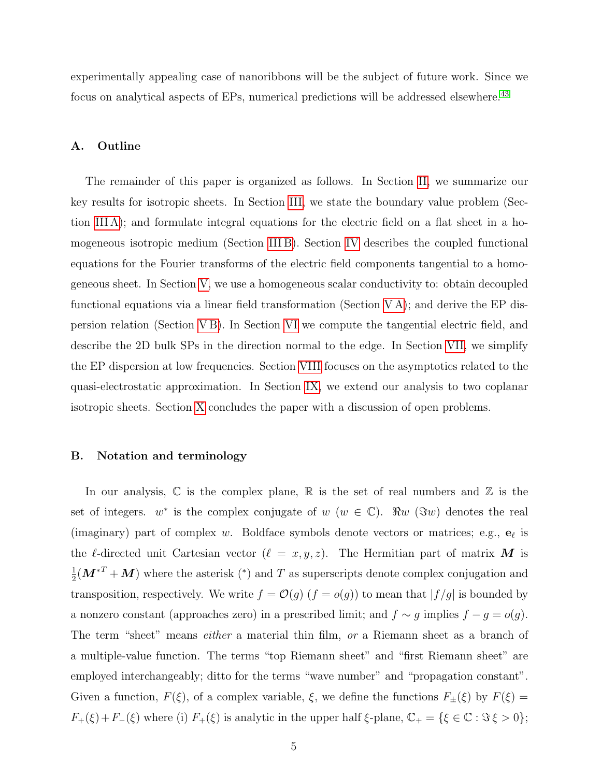experimentally appealing case of nanoribbons will be the subject of future work. Since we focus on analytical aspects of EPs, numerical predictions will be addressed elsewhere.<sup>[43](#page-40-7)</sup>

## A. Outline

The remainder of this paper is organized as follows. In Section [II,](#page-5-0) we summarize our key results for isotropic sheets. In Section [III,](#page-8-0) we state the boundary value problem (Section [III A\)](#page-8-1); and formulate integral equations for the electric field on a flat sheet in a homogeneous isotropic medium (Section [III B\)](#page-10-0). Section [IV](#page-12-0) describes the coupled functional equations for the Fourier transforms of the electric field components tangential to a homogeneous sheet. In Section [V,](#page-14-0) we use a homogeneous scalar conductivity to: obtain decoupled functional equations via a linear field transformation (Section [V A\)](#page-14-1); and derive the EP dispersion relation (Section [V B\)](#page-17-0). In Section [VI](#page-21-0) we compute the tangential electric field, and describe the 2D bulk SPs in the direction normal to the edge. In Section [VII,](#page-27-0) we simplify the EP dispersion at low frequencies. Section [VIII](#page-30-0) focuses on the asymptotics related to the quasi-electrostatic approximation. In Section [IX,](#page-32-0) we extend our analysis to two coplanar isotropic sheets. Section [X](#page-33-0) concludes the paper with a discussion of open problems.

## B. Notation and terminology

In our analysis,  $\mathbb C$  is the complex plane,  $\mathbb R$  is the set of real numbers and  $\mathbb Z$  is the set of integers.  $w^*$  is the complex conjugate of  $w (w \in \mathbb{C})$ .  $\Re w (\Im w)$  denotes the real (imaginary) part of complex w. Boldface symbols denote vectors or matrices; e.g.,  $\mathbf{e}_\ell$  is the  $\ell$ -directed unit Cartesian vector  $(\ell = x, y, z)$ . The Hermitian part of matrix M is 1  $\frac{1}{2}(\boldsymbol{M}^{*T} + \boldsymbol{M})$  where the asterisk (\*) and T as superscripts denote complex conjugation and transposition, respectively. We write  $f = \mathcal{O}(g)$   $(f = o(g))$  to mean that  $|f/g|$  is bounded by a nonzero constant (approaches zero) in a prescribed limit; and  $f \sim g$  implies  $f - g = o(g)$ . The term "sheet" means *either* a material thin film, or a Riemann sheet as a branch of a multiple-value function. The terms "top Riemann sheet" and "first Riemann sheet" are employed interchangeably; ditto for the terms "wave number" and "propagation constant". Given a function,  $F(\xi)$ , of a complex variable,  $\xi$ , we define the functions  $F_{\pm}(\xi)$  by  $F(\xi)$  =  $F_+(\xi)+F_-(\xi)$  where (i)  $F_+(\xi)$  is analytic in the upper half  $\xi$ -plane,  $\mathbb{C}_+ = {\xi \in \mathbb{C} : \Im \xi > 0};$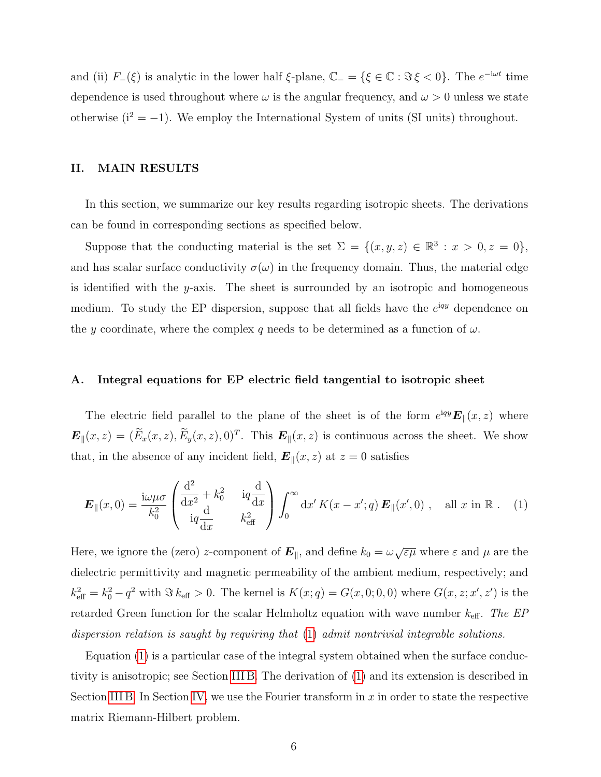and (ii)  $F_-(\xi)$  is analytic in the lower half  $\xi$ -plane,  $\mathbb{C}_- = {\xi \in \mathbb{C} : \Im \xi < 0}.$  The  $e^{-i\omega t}$  time dependence is used throughout where  $\omega$  is the angular frequency, and  $\omega > 0$  unless we state otherwise  $(i^2 = -1)$ . We employ the International System of units (SI units) throughout.

# <span id="page-5-0"></span>II. MAIN RESULTS

In this section, we summarize our key results regarding isotropic sheets. The derivations can be found in corresponding sections as specified below.

Suppose that the conducting material is the set  $\Sigma = \{(x, y, z) \in \mathbb{R}^3 : x > 0, z = 0\},\$ and has scalar surface conductivity  $\sigma(\omega)$  in the frequency domain. Thus, the material edge is identified with the  $y$ -axis. The sheet is surrounded by an isotropic and homogeneous medium. To study the EP dispersion, suppose that all fields have the  $e^{iqy}$  dependence on the y coordinate, where the complex q needs to be determined as a function of  $\omega$ .

### A. Integral equations for EP electric field tangential to isotropic sheet

The electric field parallel to the plane of the sheet is of the form  $e^{iqy} E_{\parallel}(x, z)$  where  $\mathbf{E}_{\parallel}(x,z)=(\dot{E}_x(x,z),\dot{E}_y(x,z),0)^T$ . This  $\mathbf{E}_{\parallel}(x,z)$  is continuous across the sheet. We show that, in the absence of any incident field,  $\mathbf{E}_{\parallel}(x, z)$  at  $z = 0$  satisfies

<span id="page-5-1"></span>
$$
\boldsymbol{E}_{\parallel}(x,0) = \frac{\mathrm{i}\omega\mu\sigma}{k_0^2} \begin{pmatrix} \frac{\mathrm{d}^2}{\mathrm{d}x^2} + k_0^2 & \mathrm{i}q\frac{\mathrm{d}}{\mathrm{d}x} \\ \mathrm{i}q\frac{\mathrm{d}}{\mathrm{d}x} & k_{\text{eff}}^2 \end{pmatrix} \int_0^\infty \mathrm{d}x' K(x-x';q) \,\boldsymbol{E}_{\parallel}(x',0) \;, \quad \text{all } x \text{ in } \mathbb{R} \; . \tag{1}
$$

Here, we ignore the (zero) z-component of  $\bm{E}_{\parallel}$ , and define  $k_0 = \omega \sqrt{\varepsilon \mu}$  where  $\varepsilon$  and  $\mu$  are the dielectric permittivity and magnetic permeability of the ambient medium, respectively; and  $k_{\text{eff}}^2 = k_0^2 - q^2$  with  $\Im k_{\text{eff}} > 0$ . The kernel is  $K(x; q) = G(x, 0; 0, 0)$  where  $G(x, z; x', z')$  is the retarded Green function for the scalar Helmholtz equation with wave number  $k_{\text{eff}}$ . The EP dispersion relation is saught by requiring that [\(1\)](#page-5-1) admit nontrivial integrable solutions.

Equation [\(1\)](#page-5-1) is a particular case of the integral system obtained when the surface conductivity is anisotropic; see Section [III B.](#page-10-0) The derivation of [\(1\)](#page-5-1) and its extension is described in Section [III B.](#page-10-0) In Section [IV,](#page-12-0) we use the Fourier transform in  $x$  in order to state the respective matrix Riemann-Hilbert problem.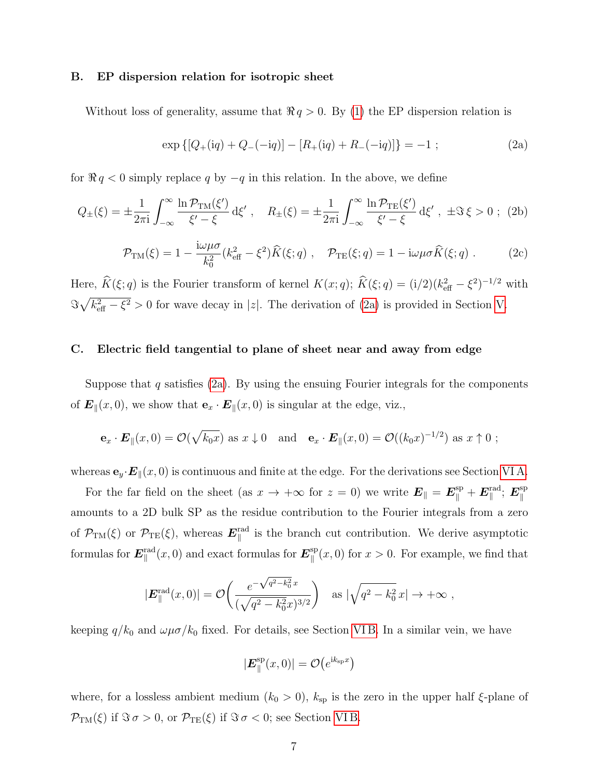#### B. EP dispersion relation for isotropic sheet

Without loss of generality, assume that  $\Re q > 0$ . By [\(1\)](#page-5-1) the EP dispersion relation is

<span id="page-6-0"></span>
$$
\exp\left\{[Q_{+}(\mathrm{i}q) + Q_{-}(-\mathrm{i}q)] - [R_{+}(\mathrm{i}q) + R_{-}(-\mathrm{i}q)]\right\} = -1 ; \tag{2a}
$$

for  $\Re q < 0$  simply replace q by  $-q$  in this relation. In the above, we define

<span id="page-6-1"></span>
$$
Q_{\pm}(\xi) = \pm \frac{1}{2\pi i} \int_{-\infty}^{\infty} \frac{\ln \mathcal{P}_{TM}(\xi')}{\xi' - \xi} d\xi', \quad R_{\pm}(\xi) = \pm \frac{1}{2\pi i} \int_{-\infty}^{\infty} \frac{\ln \mathcal{P}_{TE}(\xi')}{\xi' - \xi} d\xi', \ \pm \Im \xi > 0 \ ; \ (2b)
$$

<span id="page-6-2"></span>
$$
\mathcal{P}_{\text{TM}}(\xi) = 1 - \frac{i\omega\mu\sigma}{k_0^2} (k_{\text{eff}}^2 - \xi^2) \widehat{K}(\xi; q) , \quad \mathcal{P}_{\text{TE}}(\xi; q) = 1 - i\omega\mu\sigma \widehat{K}(\xi; q) . \tag{2c}
$$

Here,  $\hat{K}(\xi; q)$  is the Fourier transform of kernel  $K(x; q)$ ;  $\hat{K}(\xi; q) = (i/2)(k_{\text{eff}}^2 - \xi^2)^{-1/2}$  with  $\Im\sqrt{k_{\text{eff}}^2-\xi^2} > 0$  for wave decay in |z|. The derivation of [\(2a\)](#page-6-0) is provided in Section [V.](#page-14-0)

#### C. Electric field tangential to plane of sheet near and away from edge

Suppose that  $q$  satisfies [\(2a\)](#page-6-0). By using the ensuing Fourier integrals for the components of  $\mathbf{E}_{\parallel}(x, 0)$ , we show that  $\mathbf{e}_x \cdot \mathbf{E}_{\parallel}(x, 0)$  is singular at the edge, viz.,

$$
\mathbf{e}_x \cdot \mathbf{E}_{\parallel}(x,0) = \mathcal{O}(\sqrt{k_0x})
$$
 as  $x \downarrow 0$  and  $\mathbf{e}_x \cdot \mathbf{E}_{\parallel}(x,0) = \mathcal{O}((k_0x)^{-1/2})$  as  $x \uparrow 0$ ;

whereas  $\mathbf{e}_y \cdot \mathbf{E}_{\parallel}(x,0)$  is continuous and finite at the edge. For the derivations see Section [VI A.](#page-22-0)

For the far field on the sheet (as  $x \to +\infty$  for  $z = 0$ ) we write  $E_{\parallel} = E_{\parallel}^{\text{sp}} + E_{\parallel}^{\text{rad}}$ ;  $E_{\parallel}^{\text{sp}}$  $\parallel$ amounts to a 2D bulk SP as the residue contribution to the Fourier integrals from a zero of  $\mathcal{P}_{TM}(\xi)$  or  $\mathcal{P}_{TE}(\xi)$ , whereas  $E_{\parallel}^{rad}$  is the branch cut contribution. We derive asymptotic formulas for  $\bm{E}^{\rm rad}_{\parallel}(x,0)$  and exact formulas for  $\bm{E}^{\rm sp}_{\parallel}$  $\int_{\parallel}^{\text{sp}} (x, 0)$  for  $x > 0$ . For example, we find that

$$
|\boldsymbol{E}_{\parallel}^{\text{rad}}(x,0)| = \mathcal{O}\left(\frac{e^{-\sqrt{q^2 - k_0^2}x}}{(\sqrt{q^2 - k_0^2}x)^{3/2}}\right) \text{ as } |\sqrt{q^2 - k_0^2}x| \to +\infty,
$$

keeping  $q/k_0$  and  $\omega\mu\sigma/k_0$  fixed. For details, see Section VIB. In a similar vein, we have

$$
|\boldsymbol{E}^{\rm sp}_{\parallel}(x,0)| = \mathcal{O}\big(e^{{\rm i} k_{\rm sp} x}\big)
$$

where, for a lossless ambient medium  $(k_0 > 0)$ ,  $k_{sp}$  is the zero in the upper half  $\xi$ -plane of  $\mathcal{P}_{TM}(\xi)$  if  $\Im \sigma > 0$ , or  $\mathcal{P}_{TE}(\xi)$  if  $\Im \sigma < 0$ ; see Section [VI B.](#page-24-0)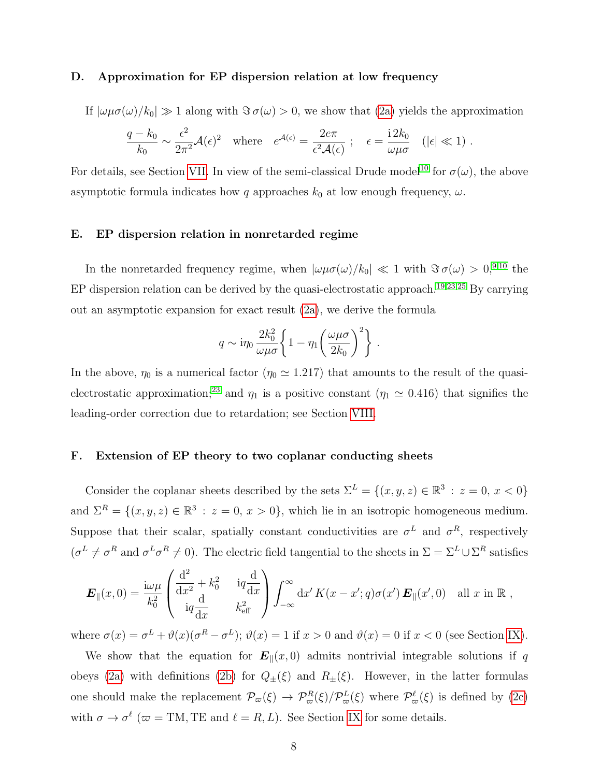#### D. Approximation for EP dispersion relation at low frequency

If  $|\omega\mu\sigma(\omega)/k_0| \gg 1$  along with  $\Im \sigma(\omega) > 0$ , we show that [\(2a\)](#page-6-0) yields the approximation

$$
\frac{q-k_0}{k_0} \sim \frac{\epsilon^2}{2\pi^2} \mathcal{A}(\epsilon)^2 \quad \text{where} \quad e^{\mathcal{A}(\epsilon)} = \frac{2e\pi}{\epsilon^2 \mathcal{A}(\epsilon)} \; ; \quad \epsilon = \frac{i2k_0}{\omega\mu\sigma} \quad (|\epsilon| \ll 1) \; .
$$

For details, see Section [VII.](#page-27-0) In view of the semi-classical Drude model<sup>[10](#page-38-2)</sup> for  $\sigma(\omega)$ , the above asymptotic formula indicates how q approaches  $k_0$  at low enough frequency,  $\omega$ .

# E. EP dispersion relation in nonretarded regime

In the nonretarded frequency regime, when  $|\omega\mu\sigma(\omega)/k_0| \ll 1$  with  $\Im \sigma(\omega) > 0$ ,<sup>[9](#page-38-9)[,10](#page-38-2)</sup> the EP dispersion relation can be derived by the quasi-electrostatic approach.<sup>[19,](#page-39-0)[23](#page-39-6)[,25](#page-39-3)</sup> By carrying out an asymptotic expansion for exact result [\(2a\)](#page-6-0), we derive the formula

$$
q \sim \mathrm{i}\eta_0 \frac{2k_0^2}{\omega\mu\sigma} \left\{ 1 - \eta_1 \left( \frac{\omega\mu\sigma}{2k_0} \right)^2 \right\} \, .
$$

In the above,  $\eta_0$  is a numerical factor  $(\eta_0 \approx 1.217)$  that amounts to the result of the quasi-electrostatic approximation;<sup>[23](#page-39-6)</sup> and  $\eta_1$  is a positive constant ( $\eta_1 \simeq 0.416$ ) that signifies the leading-order correction due to retardation; see Section [VIII.](#page-30-0)

## F. Extension of EP theory to two coplanar conducting sheets

Consider the coplanar sheets described by the sets  $\Sigma^L = \{(x, y, z) \in \mathbb{R}^3 : z = 0, x < 0\}$ and  $\Sigma^R = \{(x, y, z) \in \mathbb{R}^3 : z = 0, x > 0\}$ , which lie in an isotropic homogeneous medium. Suppose that their scalar, spatially constant conductivities are  $\sigma^L$  and  $\sigma^R$ , respectively  $(\sigma^L \neq \sigma^R \text{ and } \sigma^L \sigma^R \neq 0)$ . The electric field tangential to the sheets in  $\Sigma = \Sigma^L \cup \Sigma^R$  satisfies

$$
\boldsymbol{E}_{\parallel}(x,0) = \frac{\mathrm{i}\omega\mu}{k_0^2} \begin{pmatrix} \frac{\mathrm{d}^2}{\mathrm{d}x^2} + k_0^2 & \mathrm{i}q\frac{\mathrm{d}}{\mathrm{d}x} \\ \mathrm{i}q\frac{\mathrm{d}}{\mathrm{d}x} & k_{\text{eff}}^2 \end{pmatrix} \int_{-\infty}^{\infty} \mathrm{d}x' K(x-x';q)\sigma(x') \,\boldsymbol{E}_{\parallel}(x',0) \quad \text{all } x \text{ in } \mathbb{R} \ ,
$$

where  $\sigma(x) = \sigma^L + \vartheta(x) (\sigma^R - \sigma^L)$ ;  $\vartheta(x) = 1$  if  $x > 0$  and  $\vartheta(x) = 0$  if  $x < 0$  (see Section [IX\)](#page-32-0).

We show that the equation for  $E_{\parallel}(x, 0)$  admits nontrivial integrable solutions if q obeys [\(2a\)](#page-6-0) with definitions [\(2b\)](#page-6-1) for  $Q_{\pm}(\xi)$  and  $R_{\pm}(\xi)$ . However, in the latter formulas one should make the replacement  $\mathcal{P}_{\varpi}(\xi) \to \mathcal{P}_{\varpi}^{R}(\xi)/\mathcal{P}_{\varpi}^{L}(\xi)$  where  $\mathcal{P}_{\varpi}^{\ell}(\xi)$  is defined by [\(2c\)](#page-6-2) with  $\sigma \to \sigma^{\ell}$  ( $\varpi = TM$ , TE and  $\ell = R, L$ ). See Section [IX](#page-32-0) for some details.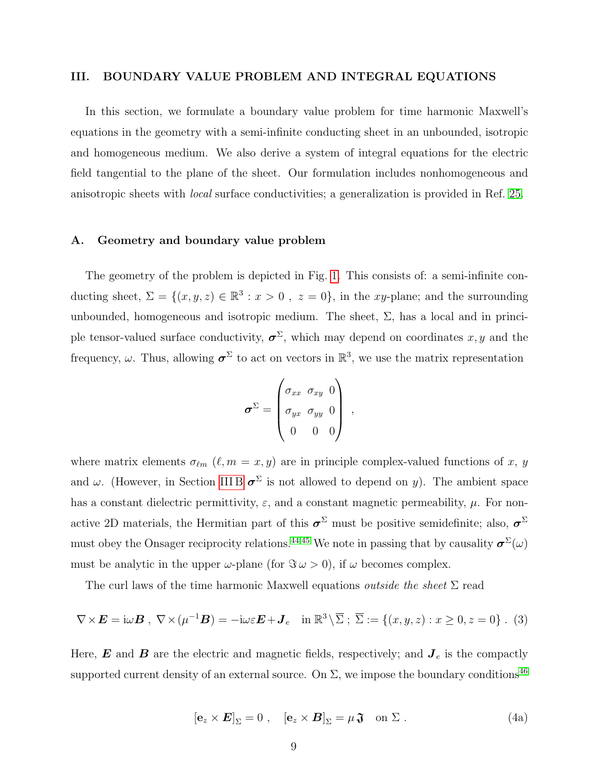## <span id="page-8-0"></span>III. BOUNDARY VALUE PROBLEM AND INTEGRAL EQUATIONS

In this section, we formulate a boundary value problem for time harmonic Maxwell's equations in the geometry with a semi-infinite conducting sheet in an unbounded, isotropic and homogeneous medium. We also derive a system of integral equations for the electric field tangential to the plane of the sheet. Our formulation includes nonhomogeneous and anisotropic sheets with local surface conductivities; a generalization is provided in Ref. [25.](#page-39-3)

#### <span id="page-8-1"></span>A. Geometry and boundary value problem

The geometry of the problem is depicted in Fig. [1.](#page-9-0) This consists of: a semi-infinite conducting sheet,  $\Sigma = \{(x, y, z) \in \mathbb{R}^3 : x > 0, z = 0\}$ , in the xy-plane; and the surrounding unbounded, homogeneous and isotropic medium. The sheet,  $\Sigma$ , has a local and in principle tensor-valued surface conductivity,  $\boldsymbol{\sigma}^{\Sigma}$ , which may depend on coordinates x, y and the frequency,  $\omega$ . Thus, allowing  $\sigma^{\Sigma}$  to act on vectors in  $\mathbb{R}^{3}$ , we use the matrix representation

$$
\boldsymbol{\sigma}^{\Sigma} = \begin{pmatrix} \sigma_{xx} & \sigma_{xy} & 0 \\ \sigma_{yx} & \sigma_{yy} & 0 \\ 0 & 0 & 0 \end{pmatrix} ,
$$

where matrix elements  $\sigma_{\ell m}$  ( $\ell, m = x, y$ ) are in principle complex-valued functions of x, y and  $\omega$ . (However, in Section [III B](#page-10-0)  $\sigma^{\Sigma}$  is not allowed to depend on y). The ambient space has a constant dielectric permittivity,  $\varepsilon$ , and a constant magnetic permeability,  $\mu$ . For nonactive 2D materials, the Hermitian part of this  $\sigma^{\Sigma}$  must be positive semidefinite; also,  $\sigma^{\Sigma}$ must obey the Onsager reciprocity relations.<sup>[44](#page-40-8)[,45](#page-40-9)</sup> We note in passing that by causality  $\sigma^{\Sigma}(\omega)$ must be analytic in the upper  $\omega$ -plane (for  $\Im \omega > 0$ ), if  $\omega$  becomes complex.

The curl laws of the time harmonic Maxwell equations *outside the sheet*  $\Sigma$  read

<span id="page-8-2"></span>
$$
\nabla \times \mathbf{E} = i\omega \mathbf{B}, \ \nabla \times (\mu^{-1} \mathbf{B}) = -i\omega \varepsilon \mathbf{E} + \mathbf{J}_e \quad \text{in } \mathbb{R}^3 \setminus \overline{\Sigma} \ ; \ \overline{\Sigma} := \{ (x, y, z) : x \ge 0, z = 0 \} \ . \tag{3}
$$

<span id="page-8-3"></span>Here,  $\boldsymbol{E}$  and  $\boldsymbol{B}$  are the electric and magnetic fields, respectively; and  $\boldsymbol{J}_e$  is the compactly supported current density of an external source. On  $\Sigma$ , we impose the boundary conditions<sup>[46](#page-40-10)</sup>

<span id="page-8-4"></span>
$$
\left[\mathbf{e}_z \times \mathbf{E}\right]_{\Sigma} = 0 \;, \quad \left[\mathbf{e}_z \times \mathbf{B}\right]_{\Sigma} = \mu \mathfrak{J} \quad \text{on } \Sigma \; . \tag{4a}
$$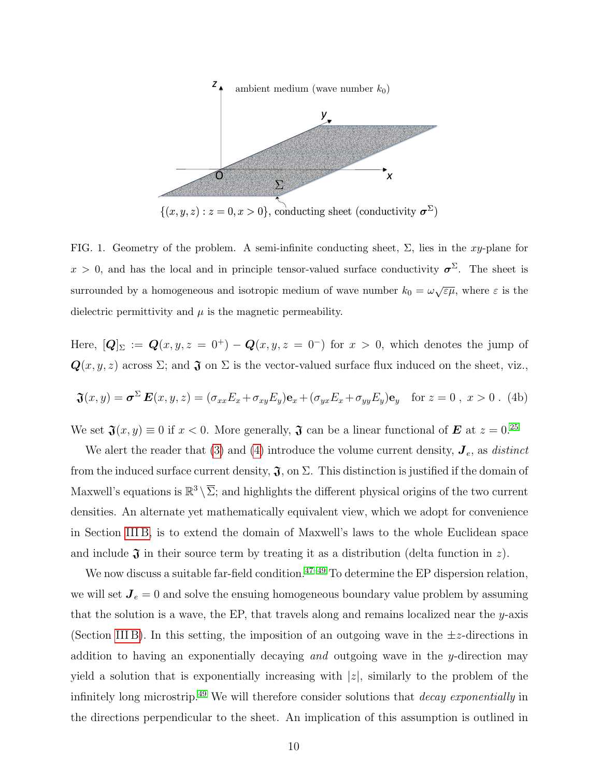

<span id="page-9-0"></span>FIG. 1. Geometry of the problem. A semi-infinite conducting sheet,  $\Sigma$ , lies in the xy-plane for  $x > 0$ , and has the local and in principle tensor-valued surface conductivity  $\sigma^{\Sigma}$ . The sheet is surrounded by a homogeneous and isotropic medium of wave number  $k_0 = \omega \sqrt{\varepsilon \mu}$ , where  $\varepsilon$  is the dielectric permittivity and  $\mu$  is the magnetic permeability.

Here,  $[Q]_{\Sigma} := Q(x, y, z = 0^+) - Q(x, y, z = 0^-)$  for  $x > 0$ , which denotes the jump of  $\mathbf{Q}(x, y, z)$  across  $\Sigma$ ; and  $\mathbf{\mathfrak{J}}$  on  $\Sigma$  is the vector-valued surface flux induced on the sheet, viz.,

$$
\mathfrak{J}(x,y) = \boldsymbol{\sigma}^{\Sigma} \boldsymbol{E}(x,y,z) = (\sigma_{xx} E_x + \sigma_{xy} E_y) \mathbf{e}_x + (\sigma_{yx} E_x + \sigma_{yy} E_y) \mathbf{e}_y \quad \text{for } z = 0, \ x > 0. \tag{4b}
$$

We set  $\mathfrak{J}(x, y) \equiv 0$  if  $x < 0$ . More generally,  $\mathfrak{J}$  can be a linear functional of  $\mathbf{E}$  at  $z = 0.25$  $z = 0.25$ 

We alert the reader that [\(3\)](#page-8-2) and [\(4\)](#page-8-3) introduce the volume current density,  $J_e$ , as *distinct* from the induced surface current density,  $\mathfrak{J}$ , on  $\Sigma$ . This distinction is justified if the domain of Maxwell's equations is  $\mathbb{R}^3 \setminus \overline{\Sigma}$ ; and highlights the different physical origins of the two current densities. An alternate yet mathematically equivalent view, which we adopt for convenience in Section [III B,](#page-10-0) is to extend the domain of Maxwell's laws to the whole Euclidean space and include  $\mathfrak J$  in their source term by treating it as a distribution (delta function in z).

We now discuss a suitable far-field condition. $47-49$  $47-49$  To determine the EP dispersion relation, we will set  $J_e = 0$  and solve the ensuing homogeneous boundary value problem by assuming that the solution is a wave, the EP, that travels along and remains localized near the  $y$ -axis (Section [III B\)](#page-10-0). In this setting, the imposition of an outgoing wave in the  $\pm z$ -directions in addition to having an exponentially decaying and outgoing wave in the y-direction may yield a solution that is exponentially increasing with  $|z|$ , similarly to the problem of the infinitely long microstrip.<sup>[49](#page-41-1)</sup> We will therefore consider solutions that *decay exponentially* in the directions perpendicular to the sheet. An implication of this assumption is outlined in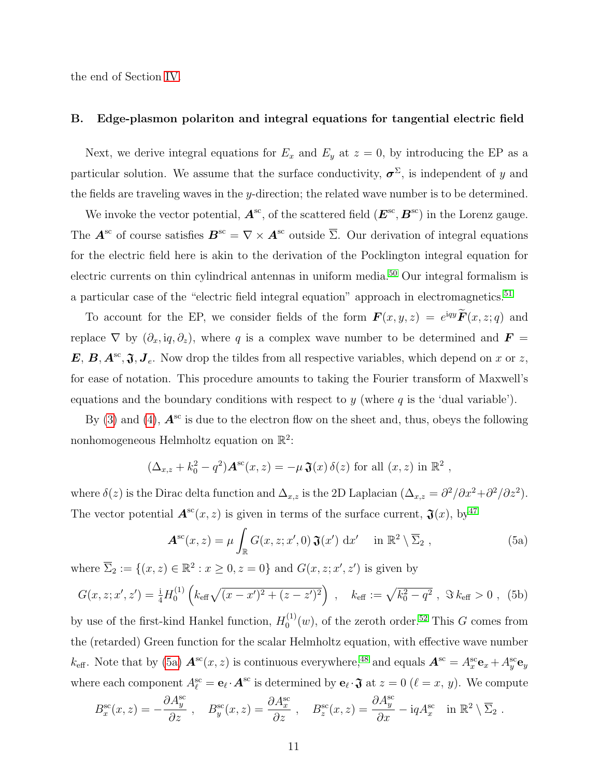the end of Section [IV.](#page-12-0)

## <span id="page-10-0"></span>B. Edge-plasmon polariton and integral equations for tangential electric field

Next, we derive integral equations for  $E_x$  and  $E_y$  at  $z = 0$ , by introducing the EP as a particular solution. We assume that the surface conductivity,  $\sigma^{\Sigma}$ , is independent of y and the fields are traveling waves in the y-direction; the related wave number is to be determined.

We invoke the vector potential,  $\mathbf{A}^{\text{sc}}$ , of the scattered field  $(\mathbf{E}^{\text{sc}}, \mathbf{B}^{\text{sc}})$  in the Lorenz gauge. The  $\mathbf{A}^{\text{sc}}$  of course satisfies  $\mathbf{B}^{\text{sc}} = \nabla \times \mathbf{A}^{\text{sc}}$  outside  $\overline{\Sigma}$ . Our derivation of integral equations for the electric field here is akin to the derivation of the Pocklington integral equation for electric currents on thin cylindrical antennas in uniform media.[50](#page-41-2) Our integral formalism is a particular case of the "electric field integral equation" approach in electromagnetics.<sup>[51](#page-41-3)</sup>

To account for the EP, we consider fields of the form  $\mathbf{F}(x, y, z) = e^{iqy}\mathbf{F}(x, z; q)$  and replace  $\nabla$  by  $(\partial_x, iq, \partial_z)$ , where q is a complex wave number to be determined and  $\mathbf{F} =$  $E, B, A^{\text{sc}}, \mathfrak{J}, J_e$ . Now drop the tildes from all respective variables, which depend on x or z, for ease of notation. This procedure amounts to taking the Fourier transform of Maxwell's equations and the boundary conditions with respect to  $y$  (where  $q$  is the 'dual variable').

By [\(3\)](#page-8-2) and [\(4\)](#page-8-3),  $\mathbf{A}^{\text{sc}}$  is due to the electron flow on the sheet and, thus, obeys the following nonhomogeneous Helmholtz equation on  $\mathbb{R}^2$ :

$$
(\Delta_{x,z} + k_0^2 - q^2) \mathbf{A}^{\rm sc}(x,z) = -\mu \mathfrak{J}(x) \delta(z) \text{ for all } (x,z) \text{ in } \mathbb{R}^2,
$$

where  $\delta(z)$  is the Dirac delta function and  $\Delta_{x,z}$  is the 2D Laplacian  $(\Delta_{x,z} = \partial^2/\partial x^2 + \partial^2/\partial z^2)$ . The vector potential  $A^{sc}(x, z)$  is given in terms of the surface current,  $\mathfrak{J}(x)$ , by<sup>[47](#page-41-0)</sup>

<span id="page-10-1"></span>
$$
\mathbf{A}^{\rm sc}(x,z) = \mu \int_{\mathbb{R}} G(x,z;x',0) \mathbf{\mathfrak{J}}(x') \, \mathrm{d}x' \quad \text{in } \mathbb{R}^2 \setminus \overline{\Sigma}_2 , \qquad (5a)
$$

where  $\overline{\Sigma}_2 := \{(x, z) \in \mathbb{R}^2 : x \ge 0, z = 0\}$  and  $G(x, z; x', z')$  is given by

<span id="page-10-2"></span>
$$
G(x, z; x', z') = \frac{1}{4} H_0^{(1)} \left( k_{\text{eff}} \sqrt{(x - x')^2 + (z - z')^2} \right) , \quad k_{\text{eff}} := \sqrt{k_0^2 - q^2} , \quad \Im \, k_{\text{eff}} > 0 , \tag{5b}
$$

by use of the first-kind Hankel function,  $H_0^{(1)}$  $C_0^{(1)}(w)$ , of the zeroth order.<sup>[52](#page-41-4)</sup> This G comes from the (retarded) Green function for the scalar Helmholtz equation, with effective wave number  $k_{\text{eff}}$ . Note that by [\(5a\)](#page-10-1)  $\mathbf{A}^{\text{sc}}(x, z)$  is continuous everywhere,<sup>[48](#page-41-5)</sup> and equals  $\mathbf{A}^{\text{sc}} = A_x^{\text{sc}} \mathbf{e}_x + A_y^{\text{sc}} \mathbf{e}_y$ where each component  $A_{\ell}^{\rm sc} = \mathbf{e}_{\ell} \cdot \mathbf{A}^{\rm sc}$  is determined by  $\mathbf{e}_{\ell} \cdot \mathbf{\hat{j}}$  at  $z = 0$  ( $\ell = x, y$ ). We compute

$$
B_x^{\rm sc}(x,z) = -\frac{\partial A_y^{\rm sc}}{\partial z} ,\quad B_y^{\rm sc}(x,z) = \frac{\partial A_x^{\rm sc}}{\partial z} ,\quad B_z^{\rm sc}(x,z) = \frac{\partial A_y^{\rm sc}}{\partial x} - \mathrm{i}qA_x^{\rm sc} \quad \text{in } \mathbb{R}^2 \setminus \overline{\Sigma}_2 .
$$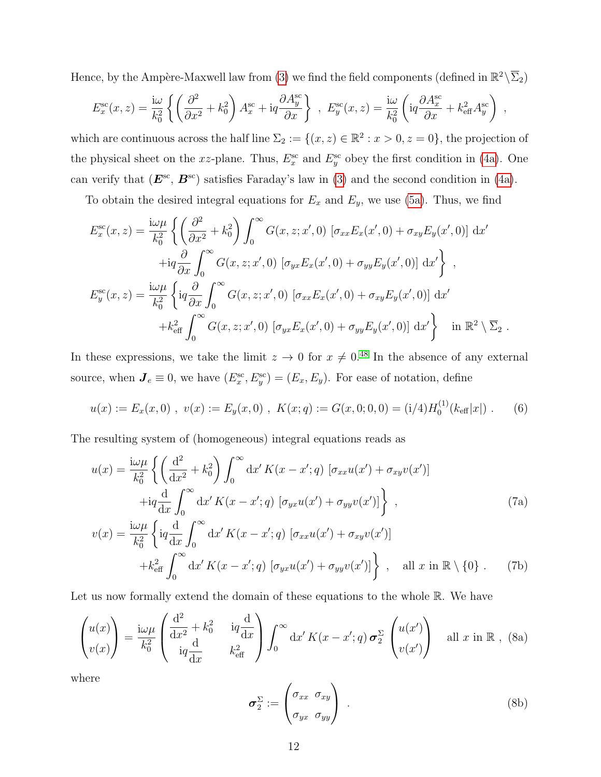Hence, by the Ampère-Maxwell law from [\(3\)](#page-8-2) we find the field components (defined in  $\mathbb{R}^2 \backslash \overline{\Sigma}_2$ )

$$
E_x^{\rm sc}(x,z) = \frac{\mathrm{i}\omega}{k_0^2} \left\{ \left( \frac{\partial^2}{\partial x^2} + k_0^2 \right) A_x^{\rm sc} + \mathrm{i}q \frac{\partial A_y^{\rm sc}}{\partial x} \right\} , E_y^{\rm sc}(x,z) = \frac{\mathrm{i}\omega}{k_0^2} \left( \mathrm{i}q \frac{\partial A_x^{\rm sc}}{\partial x} + k_{\rm eff}^2 A_y^{\rm sc} \right) ,
$$

which are continuous across the half line  $\Sigma_2 := \{(x, z) \in \mathbb{R}^2 : x > 0, z = 0\}$ , the projection of the physical sheet on the xz-plane. Thus,  $E_x^{\rm sc}$  and  $E_y^{\rm sc}$  obey the first condition in [\(4a\)](#page-8-4). One can verify that  $(E^{\text{sc}}, B^{\text{sc}})$  satisfies Faraday's law in [\(3\)](#page-8-2) and the second condition in [\(4a\)](#page-8-4).

To obtain the desired integral equations for  $E_x$  and  $E_y$ , we use [\(5a\)](#page-10-1). Thus, we find

$$
E_x^{\rm sc}(x,z) = \frac{i\omega\mu}{k_0^2} \left\{ \left( \frac{\partial^2}{\partial x^2} + k_0^2 \right) \int_0^\infty G(x,z;x',0) \left[ \sigma_{xx} E_x(x',0) + \sigma_{xy} E_y(x',0) \right] dx' \right. \left. + iq \frac{\partial}{\partial x} \int_0^\infty G(x,z;x',0) \left[ \sigma_{yx} E_x(x',0) + \sigma_{yy} E_y(x',0) \right] dx' \right\},
$$
  
\n
$$
E_y^{\rm sc}(x,z) = \frac{i\omega\mu}{k_0^2} \left\{ iq \frac{\partial}{\partial x} \int_0^\infty G(x,z;x',0) \left[ \sigma_{xx} E_x(x',0) + \sigma_{xy} E_y(x',0) \right] dx' + k_{\rm eff}^2 \int_0^\infty G(x,z;x',0) \left[ \sigma_{yx} E_x(x',0) + \sigma_{yy} E_y(x',0) \right] dx' \right\} \quad \text{in } \mathbb{R}^2 \setminus \overline{\Sigma}_2.
$$

In these expressions, we take the limit  $z \to 0$  for  $x \neq 0.48$  $x \neq 0.48$  In the absence of any external source, when  $J_e \equiv 0$ , we have  $(E_x^{\text{sc}}, E_y^{\text{sc}}) = (E_x, E_y)$ . For ease of notation, define

$$
u(x) := E_x(x,0) , v(x) := E_y(x,0) , K(x;q) := G(x,0;0,0) = (i/4)H_0^{(1)}(k_{\text{eff}}|x|) .
$$
 (6)

The resulting system of (homogeneous) integral equations reads as

$$
u(x) = \frac{\mathrm{i}\omega\mu}{k_0^2} \left\{ \left( \frac{\mathrm{d}^2}{\mathrm{d}x^2} + k_0^2 \right) \int_0^\infty \mathrm{d}x' K(x - x'; q) \left[ \sigma_{xx} u(x') + \sigma_{xy} v(x') \right] \right.\left. + \mathrm{i}q \frac{\mathrm{d}}{\mathrm{d}x} \int_0^\infty \mathrm{d}x' K(x - x'; q) \left[ \sigma_{yx} u(x') + \sigma_{yy} v(x') \right] \right\}, \tag{7a}
$$
\n
$$
v(x) = \frac{\mathrm{i}\omega\mu}{k_0^2} \left\{ \mathrm{i}q \frac{\mathrm{d}}{\mathrm{d}x} \int_0^\infty \mathrm{d}x' K(x - x'; q) \left[ \sigma_{xx} u(x') + \sigma_{xy} v(x') \right] \right.\left. + k_{\text{eff}}^2 \int_0^\infty \mathrm{d}x' K(x - x'; q) \left[ \sigma_{yx} u(x') + \sigma_{yy} v(x') \right] \right\}, \text{ all } x \text{ in } \mathbb{R} \setminus \{0\}.
$$
 (7b)

Let us now formally extend the domain of these equations to the whole  $\mathbb{R}$ . We have

<span id="page-11-0"></span>
$$
\begin{pmatrix} u(x) \\ v(x) \end{pmatrix} = \frac{\mathrm{i}\omega\mu}{k_0^2} \begin{pmatrix} \frac{\mathrm{d}^2}{\mathrm{d}x^2} + k_0^2 & \mathrm{i}q\frac{\mathrm{d}}{\mathrm{d}x} \\ \mathrm{i}q\frac{\mathrm{d}}{\mathrm{d}x} & k_{\text{eff}}^2 \end{pmatrix} \int_0^\infty \mathrm{d}x' K(x - x'; q) \,\sigma_2^{\Sigma} \begin{pmatrix} u(x') \\ v(x') \end{pmatrix} \quad \text{all } x \text{ in } \mathbb{R} \,, \text{ (8a)}
$$

where

$$
\boldsymbol{\sigma}_2^{\Sigma} := \begin{pmatrix} \sigma_{xx} & \sigma_{xy} \\ \sigma_{yx} & \sigma_{yy} \end{pmatrix} . \tag{8b}
$$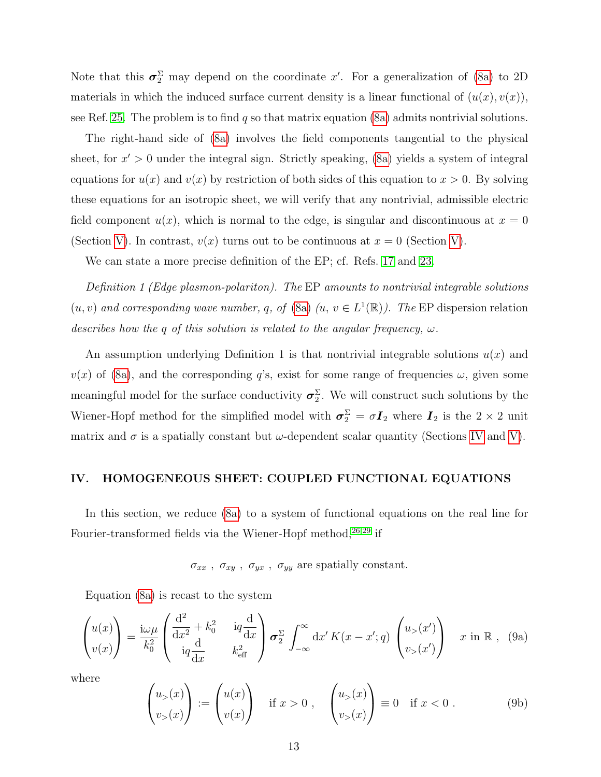Note that this  $\sigma_2^{\Sigma}$  may depend on the coordinate x'. For a generalization of [\(8a\)](#page-11-0) to 2D materials in which the induced surface current density is a linear functional of  $(u(x), v(x))$ , see Ref. [25.](#page-39-3) The problem is to find q so that matrix equation [\(8a\)](#page-11-0) admits nontrivial solutions.

The right-hand side of [\(8a\)](#page-11-0) involves the field components tangential to the physical sheet, for  $x' > 0$  under the integral sign. Strictly speaking, [\(8a\)](#page-11-0) yields a system of integral equations for  $u(x)$  and  $v(x)$  by restriction of both sides of this equation to  $x > 0$ . By solving these equations for an isotropic sheet, we will verify that any nontrivial, admissible electric field component  $u(x)$ , which is normal to the edge, is singular and discontinuous at  $x = 0$ (Section [V\)](#page-14-0). In contrast,  $v(x)$  turns out to be continuous at  $x = 0$  (Section V).

We can state a more precise definition of the EP; cf. Refs. [17](#page-38-7) and [23.](#page-39-6)

Definition 1 (Edge plasmon-polariton). The EP amounts to nontrivial integrable solutions  $(u, v)$  and corresponding wave number, q, of [\(8a\)](#page-11-0)  $(u, v \in L^1(\mathbb{R}))$ . The EP dispersion relation describes how the q of this solution is related to the angular frequency,  $\omega$ .

An assumption underlying Definition 1 is that nontrivial integrable solutions  $u(x)$  and  $v(x)$  of [\(8a\)](#page-11-0), and the corresponding q's, exist for some range of frequencies  $\omega$ , given some meaningful model for the surface conductivity  $\sigma_2^{\Sigma}$ . We will construct such solutions by the Wiener-Hopf method for the simplified model with  $\sigma_2^{\Sigma} = \sigma I_2$  where  $I_2$  is the  $2 \times 2$  unit matrix and  $\sigma$  is a spatially constant but  $\omega$ -dependent scalar quantity (Sections [IV](#page-12-0) and [V\)](#page-14-0).

## <span id="page-12-0"></span>IV. HOMOGENEOUS SHEET: COUPLED FUNCTIONAL EQUATIONS

In this section, we reduce [\(8a\)](#page-11-0) to a system of functional equations on the real line for Fourier-transformed fields via the Wiener-Hopf method,  $26,29$  $26,29$  if

 $\sigma_{xx}$  ,  $\sigma_{xy}$  ,  $\sigma_{yx}$  ,  $\sigma_{yy}$  are spatially constant.

Equation [\(8a\)](#page-11-0) is recast to the system

<span id="page-12-1"></span>
$$
\begin{pmatrix} u(x) \\ v(x) \end{pmatrix} = \frac{\mathrm{i}\omega\mu}{k_0^2} \begin{pmatrix} \frac{\mathrm{d}^2}{\mathrm{d}x^2} + k_0^2 & \mathrm{i}q\frac{\mathrm{d}}{\mathrm{d}x} \\ \mathrm{i}q\frac{\mathrm{d}}{\mathrm{d}x} & k_{\text{eff}}^2 \end{pmatrix} \sigma_2^{\Sigma} \int_{-\infty}^{\infty} \mathrm{d}x' K(x - x'; q) \begin{pmatrix} u_{>}(x') \\ v_{>}(x') \end{pmatrix} \quad x \text{ in } \mathbb{R} \,, \tag{9a}
$$

where

$$
\begin{pmatrix} u_{>}(x) \\ v_{>}(x) \end{pmatrix} := \begin{pmatrix} u(x) \\ v(x) \end{pmatrix} \quad \text{if } x > 0 , \quad \begin{pmatrix} u_{>}(x) \\ v_{>}(x) \end{pmatrix} \equiv 0 \quad \text{if } x < 0 . \tag{9b}
$$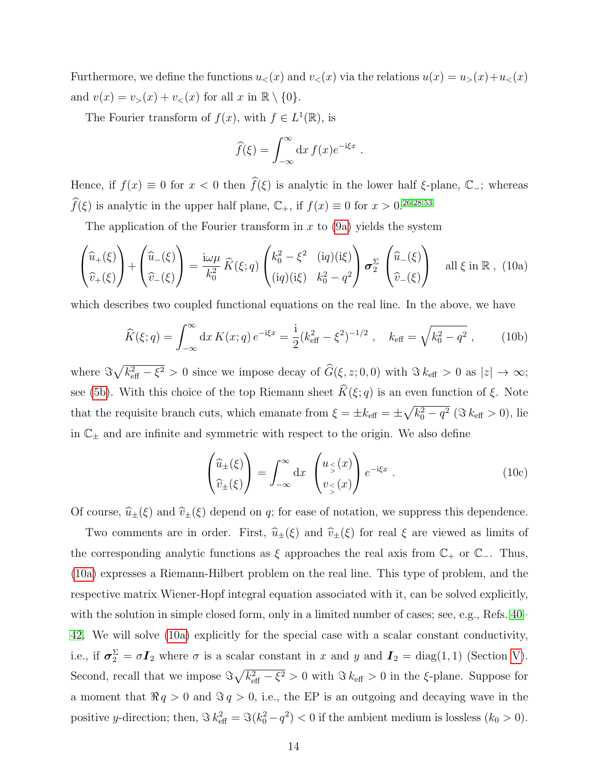Furthermore, we define the functions  $u<sub>lt</sub>(x)$  and  $v<sub>lt</sub>(x)$  via the relations  $u(x) = u<sub>gt</sub>(x) + u<sub>lt</sub>(x)$ and  $v(x) = v_>(x) + v_<(x)$  for all  $x$  in  $\mathbb{R} \setminus \{0\}$ .

The Fourier transform of  $f(x)$ , with  $f \in L^1(\mathbb{R})$ , is

$$
\widehat{f}(\xi) = \int_{-\infty}^{\infty} dx f(x) e^{-i\xi x}
$$

<span id="page-13-2"></span>.

Hence, if  $f(x) \equiv 0$  for  $x < 0$  then  $\widehat{f}(\xi)$  is analytic in the lower half  $\xi$ -plane,  $\mathbb{C}$ -; whereas  $f(\xi)$  is analytic in the upper half plane,  $\mathbb{C}_+$ , if  $f(x) \equiv 0$  for  $x > 0.26,28,53$  $x > 0.26,28,53$  $x > 0.26,28,53$  $x > 0.26,28,53$ 

The application of the Fourier transform in  $x$  to  $(9a)$  yields the system

<span id="page-13-0"></span>
$$
\begin{pmatrix}\n\hat{u}_{+}(\xi) \\
\hat{v}_{+}(\xi)\n\end{pmatrix} + \begin{pmatrix}\n\hat{u}_{-}(\xi) \\
\hat{v}_{-}(\xi)\n\end{pmatrix} = \frac{i\omega\mu}{k_0^2} \hat{K}(\xi; q) \begin{pmatrix}\nk_0^2 - \xi^2 & (iq)(i\xi) \\
(iq)(i\xi) & k_0^2 - q^2\n\end{pmatrix} \boldsymbol{\sigma}_{2}^{\Sigma} \begin{pmatrix}\n\hat{u}_{-}(\xi) \\
\hat{v}_{-}(\xi)\n\end{pmatrix} \text{ all } \xi \text{ in } \mathbb{R}, (10a)
$$

which describes two coupled functional equations on the real line. In the above, we have

<span id="page-13-1"></span>
$$
\widehat{K}(\xi;q) = \int_{-\infty}^{\infty} dx \, K(x;q) \, e^{-i\xi x} = \frac{i}{2} (k_{\text{eff}}^2 - \xi^2)^{-1/2} \,, \quad k_{\text{eff}} = \sqrt{k_0^2 - q^2} \,, \tag{10b}
$$

where  $\Im\sqrt{k_{\text{eff}}^2-\xi^2}>0$  since we impose decay of  $\widehat{G}(\xi,z;0,0)$  with  $\Im k_{\text{eff}}>0$  as  $|z|\to\infty;$ see [\(5b\)](#page-10-2). With this choice of the top Riemann sheet  $\widehat{K}(\xi; q)$  is an even function of  $\xi$ . Note that the requisite branch cuts, which emanate from  $\xi = \pm k_{\text{eff}} = \pm \sqrt{k_0^2 - q^2}$  ( $\Im k_{\text{eff}} > 0$ ), lie in  $\mathbb{C}_\pm$  and are infinite and symmetric with respect to the origin. We also define

$$
\begin{pmatrix} \widehat{u}_{\pm}(\xi) \\ \widehat{v}_{\pm}(\xi) \end{pmatrix} = \int_{-\infty}^{\infty} dx \, \begin{pmatrix} u_{\leq}(x) \\ v_{\leq}(x) \end{pmatrix} e^{-i\xi x} . \tag{10c}
$$

Of course,  $\hat{u}_{\pm}(\xi)$  and  $\hat{v}_{\pm}(\xi)$  depend on q; for ease of notation, we suppress this dependence.

Two comments are in order. First,  $\hat{u}_{\pm}(\xi)$  and  $\hat{v}_{\pm}(\xi)$  for real  $\xi$  are viewed as limits of the corresponding analytic functions as  $\xi$  approaches the real axis from  $\mathbb{C}_+$  or  $\mathbb{C}_-$ . Thus, [\(10a\)](#page-13-0) expresses a Riemann-Hilbert problem on the real line. This type of problem, and the respective matrix Wiener-Hopf integral equation associated with it, can be solved explicitly, with the solution in simple closed form, only in a limited number of cases; see, e.g., Refs. [40–](#page-40-5) [42.](#page-40-6) We will solve [\(10a\)](#page-13-0) explicitly for the special case with a scalar constant conductivity, i.e., if  $\sigma_2^{\Sigma} = \sigma I_2$  where  $\sigma$  is a scalar constant in x and y and  $I_2 = \text{diag}(1, 1)$  (Section [V\)](#page-14-0). Second, recall that we impose  $\Im \sqrt{k_{\text{eff}}^2 - \xi^2} > 0$  with  $\Im k_{\text{eff}} > 0$  in the  $\xi$ -plane. Suppose for a moment that  $\Re q > 0$  and  $\Im q > 0$ , i.e., the EP is an outgoing and decaying wave in the positive y-direction; then,  $\Im k_{\text{eff}}^2 = \Im(k_0^2 - q^2) < 0$  if the ambient medium is lossless  $(k_0 > 0)$ .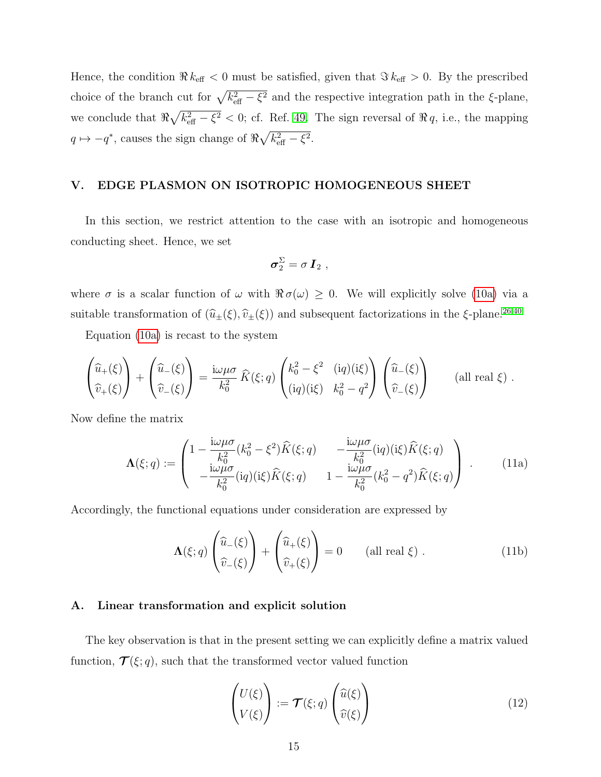Hence, the condition  $\Re k_{\text{eff}} < 0$  must be satisfied, given that  $\Im k_{\text{eff}} > 0$ . By the prescribed choice of the branch cut for  $\sqrt{k_{\text{eff}}^2 - \xi^2}$  and the respective integration path in the  $\xi$ -plane, we conclude that  $\Re\sqrt{k_{\text{eff}}^2-\xi^2}$  < 0; cf. Ref. [49.](#page-41-1) The sign reversal of  $\Re q$ , i.e., the mapping  $q \mapsto -q^*$ , causes the sign change of  $\Re\sqrt{k_{\text{eff}}^2 - \xi^2}$ .

# <span id="page-14-0"></span>V. EDGE PLASMON ON ISOTROPIC HOMOGENEOUS SHEET

In this section, we restrict attention to the case with an isotropic and homogeneous conducting sheet. Hence, we set

$$
\sigma_2^{\Sigma} = \sigma I_2 ,
$$

where  $\sigma$  is a scalar function of  $\omega$  with  $\Re \sigma(\omega) \geq 0$ . We will explicitly solve [\(10a\)](#page-13-0) via a suitable transformation of  $(\widehat{u}_{\pm}(\xi), \widehat{v}_{\pm}(\xi))$  and subsequent factorizations in the  $\xi$ -plane.<sup>[26,](#page-39-4)[40](#page-40-5)</sup>

Equation [\(10a\)](#page-13-0) is recast to the system

$$
\begin{pmatrix}\n\widehat{u}_{+}(\xi) \\
\widehat{v}_{+}(\xi)\n\end{pmatrix} + \begin{pmatrix}\n\widehat{u}_{-}(\xi) \\
\widehat{v}_{-}(\xi)\n\end{pmatrix} = \frac{i\omega\mu\sigma}{k_0^2} \widehat{K}(\xi; q) \begin{pmatrix}\nk_0^2 - \xi^2 & (iq)(i\xi) \\
(iq)(i\xi) & k_0^2 - q^2\n\end{pmatrix} \begin{pmatrix}\n\widehat{u}_{-}(\xi) \\
\widehat{v}_{-}(\xi)\n\end{pmatrix}
$$
\n(all real  $\xi$ ).

Now define the matrix

$$
\Lambda(\xi;q) := \begin{pmatrix} 1 - \frac{i\omega\mu\sigma}{k_0^2} (k_0^2 - \xi^2) \hat{K}(\xi;q) & -\frac{i\omega\mu\sigma}{k_0^2} (iq)(i\xi) \hat{K}(\xi;q) \\ -\frac{i\omega\mu\sigma}{k_0^2} (iq)(i\xi) \hat{K}(\xi;q) & 1 - \frac{i\omega\mu\sigma}{k_0^2} (k_0^2 - q^2) \hat{K}(\xi;q) \end{pmatrix} .
$$
 (11a)

Accordingly, the functional equations under consideration are expressed by

<span id="page-14-3"></span>
$$
\Lambda(\xi; q) \begin{pmatrix} \widehat{u}_{-}(\xi) \\ \widehat{v}_{-}(\xi) \end{pmatrix} + \begin{pmatrix} \widehat{u}_{+}(\xi) \\ \widehat{v}_{+}(\xi) \end{pmatrix} = 0 \quad \text{(all real } \xi \text{)} . \tag{11b}
$$

#### <span id="page-14-1"></span>A. Linear transformation and explicit solution

The key observation is that in the present setting we can explicitly define a matrix valued function,  $\mathcal{T}(\xi; q)$ , such that the transformed vector valued function

<span id="page-14-2"></span>
$$
\begin{pmatrix} U(\xi) \\ V(\xi) \end{pmatrix} := \mathcal{T}(\xi; q) \begin{pmatrix} \widehat{u}(\xi) \\ \widehat{v}(\xi) \end{pmatrix}
$$
 (12)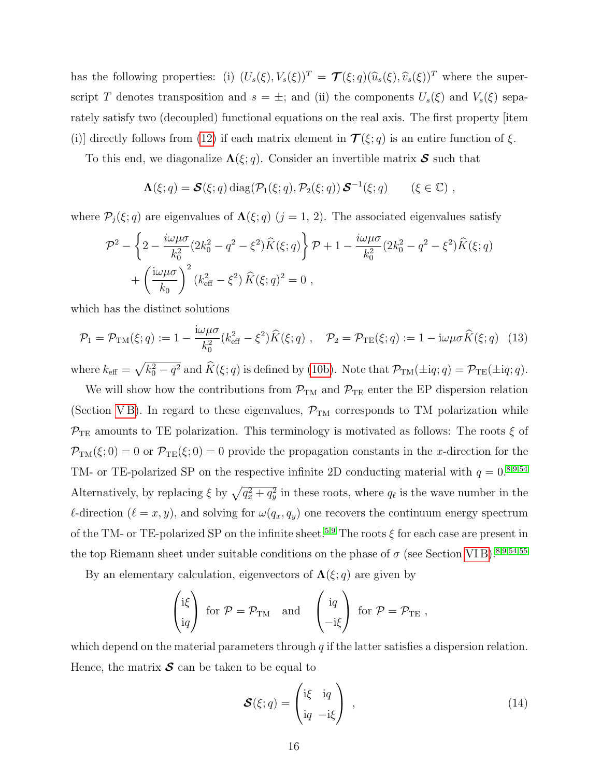has the following properties: (i)  $(U_s(\xi), V_s(\xi))^T = \mathcal{T}(\xi; q)(\widehat{u}_s(\xi), \widehat{v}_s(\xi))^T$  where the superscript T denotes transposition and  $s = \pm$ ; and (ii) the components  $U_s(\xi)$  and  $V_s(\xi)$  separately satisfy two (decoupled) functional equations on the real axis. The first property [item (i)] directly follows from [\(12\)](#page-14-2) if each matrix element in  $\mathcal{T}(\xi; q)$  is an entire function of  $\xi$ .

To this end, we diagonalize  $\Lambda(\xi, q)$ . Consider an invertible matrix S such that

$$
\Lambda(\xi;q) = \mathcal{S}(\xi;q) \operatorname{diag}(\mathcal{P}_1(\xi;q),\mathcal{P}_2(\xi;q)) \mathcal{S}^{-1}(\xi;q) \qquad (\xi \in \mathbb{C}) ,
$$

where  $\mathcal{P}_j(\xi; q)$  are eigenvalues of  $\Lambda(\xi; q)$   $(j = 1, 2)$ . The associated eigenvalues satisfy

$$
\mathcal{P}^{2} - \left\{ 2 - \frac{i\omega\mu\sigma}{k_{0}^{2}} (2k_{0}^{2} - q^{2} - \xi^{2}) \hat{K}(\xi; q) \right\} \mathcal{P} + 1 - \frac{i\omega\mu\sigma}{k_{0}^{2}} (2k_{0}^{2} - q^{2} - \xi^{2}) \hat{K}(\xi; q) + \left( \frac{i\omega\mu\sigma}{k_{0}} \right)^{2} (k_{\text{eff}}^{2} - \xi^{2}) \hat{K}(\xi; q)^{2} = 0 ,
$$

which has the distinct solutions

<span id="page-15-0"></span>
$$
\mathcal{P}_1 = \mathcal{P}_{\text{TM}}(\xi; q) := 1 - \frac{\mathrm{i}\omega\mu\sigma}{k_0^2} (k_{\text{eff}}^2 - \xi^2) \widehat{K}(\xi; q) , \quad \mathcal{P}_2 = \mathcal{P}_{\text{TE}}(\xi; q) := 1 - \mathrm{i}\omega\mu\sigma \widehat{K}(\xi; q)
$$
(13)

where  $k_{\text{eff}} = \sqrt{k_0^2 - q^2}$  and  $\hat{K}(\xi; q)$  is defined by [\(10b\)](#page-13-1). Note that  $\mathcal{P}_{TM}(\pm i q; q) = \mathcal{P}_{TE}(\pm i q; q)$ .

We will show how the contributions from  $\mathcal{P}_{TM}$  and  $\mathcal{P}_{TE}$  enter the EP dispersion relation (Section VB). In regard to these eigenvalues,  $\mathcal{P}_{TM}$  corresponds to TM polarization while  $\mathcal{P}_{\text{TE}}$  amounts to TE polarization. This terminology is motivated as follows: The roots  $\xi$  of  $\mathcal{P}_{TM}(\xi;0) = 0$  or  $\mathcal{P}_{TE}(\xi;0) = 0$  provide the propagation constants in the x-direction for the TM- or TE-polarized SP on the respective infinite 2D conducting material with  $q = 0.8954$  $q = 0.8954$  $q = 0.8954$ Alternatively, by replacing  $\xi$  by  $\sqrt{q_x^2 + q_y^2}$  in these roots, where  $q_\ell$  is the wave number in the  $\ell$ -direction  $(\ell = x, y)$ , and solving for  $\omega(q_x, q_y)$  one recovers the continuum energy spectrum of the TM- or TE-polarized SP on the infinite sheet.<sup>[5,](#page-38-8)[9](#page-38-9)</sup> The roots  $\xi$  for each case are present in the top Riemann sheet under suitable conditions on the phase of  $\sigma$  (see Section VIB).<sup>[8,](#page-38-1)[9](#page-38-9)[,54](#page-41-7)[,55](#page-41-8)</sup>

By an elementary calculation, eigenvectors of  $\Lambda(\xi; q)$  are given by

$$
\begin{pmatrix} i\xi \\ iq \end{pmatrix} \text{ for } \mathcal{P} = \mathcal{P}_{TM} \text{ and } \begin{pmatrix} iq \\ -i\xi \end{pmatrix} \text{ for } \mathcal{P} = \mathcal{P}_{TE} ,
$$

which depend on the material parameters through  $q$  if the latter satisfies a dispersion relation. Hence, the matrix  $\mathcal S$  can be taken to be equal to

<span id="page-15-1"></span>
$$
\mathcal{S}(\xi; q) = \begin{pmatrix} \mathrm{i}\xi & \mathrm{i}q \\ \mathrm{i}q & -\mathrm{i}\xi \end{pmatrix} \,, \tag{14}
$$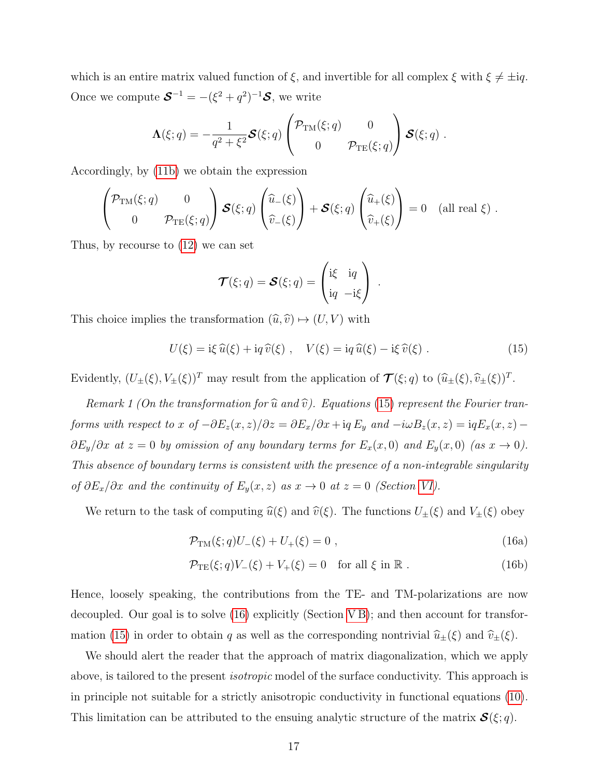which is an entire matrix valued function of  $\xi$ , and invertible for all complex  $\xi$  with  $\xi \neq \pm iq$ . Once we compute  $\mathbf{S}^{-1} = -(\xi^2 + q^2)^{-1} \mathbf{S}$ , we write

$$
\Lambda(\xi;q) = -\frac{1}{q^2 + \xi^2} \mathcal{S}(\xi;q) \begin{pmatrix} \mathcal{P}_{TM}(\xi;q) & 0 \\ 0 & \mathcal{P}_{TE}(\xi;q) \end{pmatrix} \mathcal{S}(\xi;q) .
$$

Accordingly, by [\(11b\)](#page-14-3) we obtain the expression

$$
\begin{pmatrix}\n\mathcal{P}_{TM}(\xi;q) & 0 \\
0 & \mathcal{P}_{TE}(\xi;q)\n\end{pmatrix}\n\mathcal{S}(\xi;q)\begin{pmatrix}\n\widehat{u}_{-}(\xi) \\
\widehat{v}_{-}(\xi)\n\end{pmatrix} + \mathcal{S}(\xi;q)\begin{pmatrix}\n\widehat{u}_{+}(\xi) \\
\widehat{v}_{+}(\xi)\n\end{pmatrix} = 0 \text{ (all real } \xi).
$$

Thus, by recourse to [\(12\)](#page-14-2) we can set

$$
\mathcal{T}(\xi;q) = \mathcal{S}(\xi;q) = \begin{pmatrix} i\xi & iq \\ iq & -i\xi \end{pmatrix} .
$$

This choice implies the transformation  $(\widehat{u}, \widehat{v}) \mapsto (U, V)$  with

<span id="page-16-0"></span>
$$
U(\xi) = \mathrm{i}\xi\,\widehat{u}(\xi) + \mathrm{i}q\,\widehat{v}(\xi) , \quad V(\xi) = \mathrm{i}q\,\widehat{u}(\xi) - \mathrm{i}\xi\,\widehat{v}(\xi) . \tag{15}
$$

Evidently,  $(U_{\pm}(\xi), V_{\pm}(\xi))^T$  may result from the application of  $\mathcal{T}(\xi; q)$  to  $(\widehat{u}_{\pm}(\xi), \widehat{v}_{\pm}(\xi))^T$ .

Remark 1 (On the transformation for  $\widehat{u}$  and  $\widehat{v}$ ). Equations [\(15\)](#page-16-0) represent the Fourier tranforms with respect to x of  $-\partial E_z(x, z)/\partial z = \partial E_x/\partial x + iq E_y$  and  $-i\omega B_z(x, z) = iq E_x(x, z) - iq E_y(x, z)$  $\partial E_y/\partial x$  at  $z = 0$  by omission of any boundary terms for  $E_x(x, 0)$  and  $E_y(x, 0)$  (as  $x \to 0$ ). This absence of boundary terms is consistent with the presence of a non-integrable singularity of  $\partial E_x/\partial x$  and the continuity of  $E_y(x, z)$  as  $x \to 0$  at  $z = 0$  (Section [VI\)](#page-21-0).

We return to the task of computing  $\widehat{u}(\xi)$  and  $\widehat{v}(\xi)$ . The functions  $U_{\pm}(\xi)$  and  $V_{\pm}(\xi)$  obey

<span id="page-16-1"></span>
$$
\mathcal{P}_{TM}(\xi;q)U_{-}(\xi) + U_{+}(\xi) = 0 , \qquad (16a)
$$

$$
\mathcal{P}_{\mathrm{TE}}(\xi; q)V_{-}(\xi) + V_{+}(\xi) = 0 \quad \text{for all } \xi \text{ in } \mathbb{R}. \tag{16b}
$$

Hence, loosely speaking, the contributions from the TE- and TM-polarizations are now decoupled. Our goal is to solve [\(16\)](#page-16-1) explicitly (Section [V B\)](#page-17-0); and then account for transfor-mation [\(15\)](#page-16-0) in order to obtain q as well as the corresponding nontrivial  $\hat{u}_{\pm}(\xi)$  and  $\hat{v}_{\pm}(\xi)$ .

We should alert the reader that the approach of matrix diagonalization, which we apply above, is tailored to the present isotropic model of the surface conductivity. This approach is in principle not suitable for a strictly anisotropic conductivity in functional equations [\(10\)](#page-13-2). This limitation can be attributed to the ensuing analytic structure of the matrix  $\mathcal{S}(\xi; q)$ .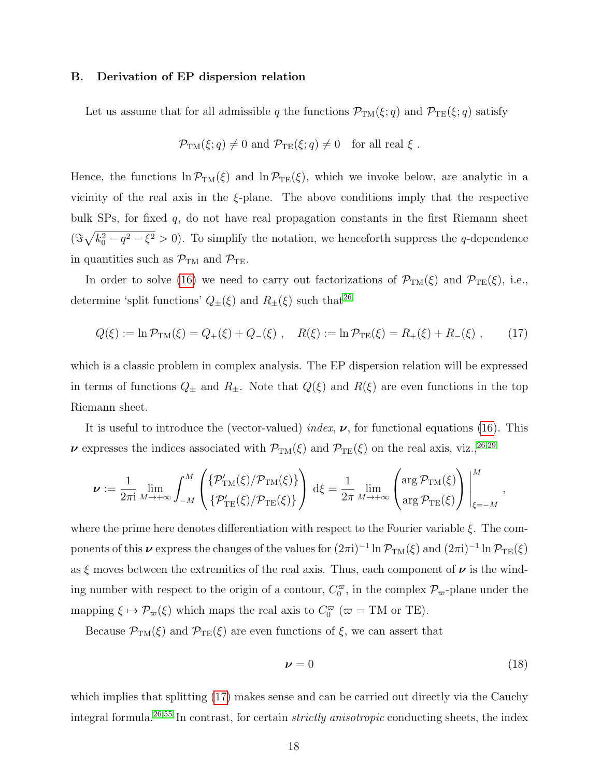## <span id="page-17-0"></span>B. Derivation of EP dispersion relation

Let us assume that for all admissible q the functions  $\mathcal{P}_{TM}(\xi;q)$  and  $\mathcal{P}_{TE}(\xi;q)$  satisfy

$$
\mathcal{P}_{TM}(\xi; q) \neq 0
$$
 and  $\mathcal{P}_{TE}(\xi; q) \neq 0$  for all real  $\xi$ .

Hence, the functions  $\ln P_{TM}(\xi)$  and  $\ln P_{TE}(\xi)$ , which we invoke below, are analytic in a vicinity of the real axis in the  $\xi$ -plane. The above conditions imply that the respective bulk SPs, for fixed  $q$ , do not have real propagation constants in the first Riemann sheet  $(\Im\sqrt{k_0^2-q^2-\xi^2}>0)$ . To simplify the notation, we henceforth suppress the q-dependence in quantities such as  $\mathcal{P}_{\text{TM}}$  and  $\mathcal{P}_{\text{TE}}$ .

In order to solve [\(16\)](#page-16-1) we need to carry out factorizations of  $\mathcal{P}_{TM}(\xi)$  and  $\mathcal{P}_{TE}(\xi)$ , i.e., determine 'split functions'  $Q_{\pm}(\xi)$  and  $R_{\pm}(\xi)$  such that<sup>[26](#page-39-4)</sup>

<span id="page-17-1"></span>
$$
Q(\xi) := \ln \mathcal{P}_{\rm TM}(\xi) = Q_+(\xi) + Q_-(\xi) , \quad R(\xi) := \ln \mathcal{P}_{\rm TE}(\xi) = R_+(\xi) + R_-(\xi) , \qquad (17)
$$

which is a classic problem in complex analysis. The EP dispersion relation will be expressed in terms of functions  $Q_{\pm}$  and  $R_{\pm}$ . Note that  $Q(\xi)$  and  $R(\xi)$  are even functions in the top Riemann sheet.

It is useful to introduce the (vector-valued) index,  $\nu$ , for functional equations [\(16\)](#page-16-1). This  $\nu$  expresses the indices associated with  $\mathcal{P}_{TM}(\xi)$  and  $\mathcal{P}_{TE}(\xi)$  on the real axis, viz.,<sup>[26,](#page-39-4)[29](#page-39-5)</sup>

$$
\nu := \frac{1}{2\pi i} \lim_{M \to +\infty} \int_{-M}^{M} \left( \frac{\{\mathcal{P}'_{\text{TM}}(\xi)/\mathcal{P}_{\text{TM}}(\xi)\}}{\{\mathcal{P}'_{\text{TE}}(\xi)/\mathcal{P}_{\text{TE}}(\xi)\}} \right) d\xi = \frac{1}{2\pi} \lim_{M \to +\infty} \left( \arg \mathcal{P}_{\text{TH}}(\xi) \right) \Big|_{\xi=-M}^{M},
$$

where the prime here denotes differentiation with respect to the Fourier variable  $\xi$ . The components of this  $\nu$  express the changes of the values for  $(2\pi i)^{-1} \ln \mathcal{P}_{TM}(\xi)$  and  $(2\pi i)^{-1} \ln \mathcal{P}_{TE}(\xi)$ as  $\xi$  moves between the extremities of the real axis. Thus, each component of  $\nu$  is the winding number with respect to the origin of a contour,  $C_0^{\varpi}$ , in the complex  $\mathcal{P}_{\varpi}$ -plane under the mapping  $\xi \mapsto \mathcal{P}_{\varpi}(\xi)$  which maps the real axis to  $C_0^{\varpi}$  ( $\varpi = TM$  or TE).

Because  $\mathcal{P}_{TM}(\xi)$  and  $\mathcal{P}_{TE}(\xi)$  are even functions of  $\xi$ , we can assert that

<span id="page-17-2"></span>
$$
\nu = 0 \tag{18}
$$

which implies that splitting  $(17)$  makes sense and can be carried out directly via the Cauchy integral formula.<sup>[26,](#page-39-4)[55](#page-41-8)</sup> In contrast, for certain *strictly anisotropic* conducting sheets, the index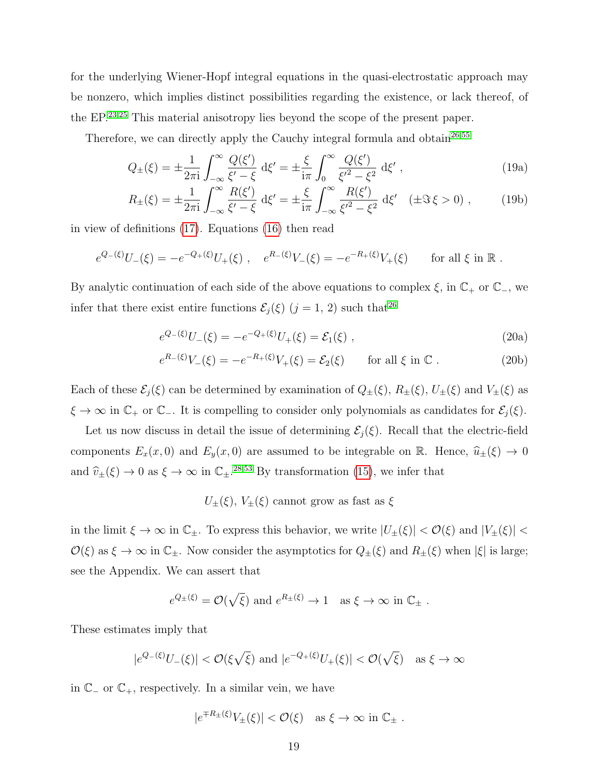for the underlying Wiener-Hopf integral equations in the quasi-electrostatic approach may be nonzero, which implies distinct possibilities regarding the existence, or lack thereof, of the EP.[23](#page-39-6)[,25](#page-39-3) This material anisotropy lies beyond the scope of the present paper.

Therefore, we can directly apply the Cauchy integral formula and obtain<sup>[26](#page-39-4)[,55](#page-41-8)</sup>

<span id="page-18-1"></span>
$$
Q_{\pm}(\xi) = \pm \frac{1}{2\pi i} \int_{-\infty}^{\infty} \frac{Q(\xi')}{\xi' - \xi} d\xi' = \pm \frac{\xi}{i\pi} \int_{0}^{\infty} \frac{Q(\xi')}{\xi'^2 - \xi^2} d\xi', \qquad (19a)
$$

<span id="page-18-2"></span>
$$
R_{\pm}(\xi) = \pm \frac{1}{2\pi i} \int_{-\infty}^{\infty} \frac{R(\xi')}{\xi' - \xi} d\xi' = \pm \frac{\xi}{i\pi} \int_{-\infty}^{\infty} \frac{R(\xi')}{\xi'^2 - \xi^2} d\xi' \quad (\pm \Im \xi > 0) , \qquad (19b)
$$

in view of definitions [\(17\)](#page-17-1). Equations [\(16\)](#page-16-1) then read

$$
e^{Q_{-}(\xi)}U_{-}(\xi) = -e^{-Q_{+}(\xi)}U_{+}(\xi)
$$
,  $e^{R_{-}(\xi)}V_{-}(\xi) = -e^{-R_{+}(\xi)}V_{+}(\xi)$  for all  $\xi$  in  $\mathbb{R}$ .

By analytic continuation of each side of the above equations to complex  $\xi$ , in  $\mathbb{C}_+$  or  $\mathbb{C}_-$ , we infer that there exist entire functions  $\mathcal{E}_j(\xi)$   $(j = 1, 2)$  such that<sup>[26](#page-39-4)</sup>

<span id="page-18-0"></span>
$$
e^{Q_{-}(\xi)}U_{-}(\xi) = -e^{-Q_{+}(\xi)}U_{+}(\xi) = \mathcal{E}_{1}(\xi) , \qquad (20a)
$$

$$
e^{R_{-}(\xi)}V_{-}(\xi) = -e^{-R_{+}(\xi)}V_{+}(\xi) = \mathcal{E}_{2}(\xi) \qquad \text{for all } \xi \text{ in } \mathbb{C} . \tag{20b}
$$

Each of these  $\mathcal{E}_j(\xi)$  can be determined by examination of  $Q_{\pm}(\xi)$ ,  $R_{\pm}(\xi)$ ,  $U_{\pm}(\xi)$  and  $V_{\pm}(\xi)$  as  $\xi \to \infty$  in  $\mathbb{C}_+$  or  $\mathbb{C}_-$ . It is compelling to consider only polynomials as candidates for  $\mathcal{E}_j(\xi)$ .

Let us now discuss in detail the issue of determining  $\mathcal{E}_i(\xi)$ . Recall that the electric-field components  $E_x(x, 0)$  and  $E_y(x, 0)$  are assumed to be integrable on R. Hence,  $\hat{u}_\pm(\xi) \to 0$ and  $\hat{v}_{\pm}(\xi) \to 0$  as  $\xi \to \infty$  in  $\mathbb{C}_{\pm}$ .<sup>[28,](#page-39-10)[53](#page-41-6)</sup> By transformation [\(15\)](#page-16-0), we infer that

 $U_{\pm}(\xi),\,V_{\pm}(\xi)$  cannot grow as fast as  $\xi$ 

in the limit  $\xi \to \infty$  in  $\mathbb{C}_{\pm}$ . To express this behavior, we write  $|U_{\pm}(\xi)| < \mathcal{O}(\xi)$  and  $|V_{\pm}(\xi)| <$  $\mathcal{O}(\xi)$  as  $\xi \to \infty$  in  $\mathbb{C}_{\pm}$ . Now consider the asymptotics for  $Q_{\pm}(\xi)$  and  $R_{\pm}(\xi)$  when  $|\xi|$  is large; see the Appendix. We can assert that

$$
e^{Q_{\pm}(\xi)} = \mathcal{O}(\sqrt{\xi})
$$
 and  $e^{R_{\pm}(\xi)} \to 1$  as  $\xi \to \infty$  in  $\mathbb{C}_{\pm}$ .

These estimates imply that

$$
|e^{Q_{-}(\xi)}U_{-}(\xi)| < \mathcal{O}(\xi\sqrt{\xi})
$$
 and  $|e^{-Q_{+}(\xi)}U_{+}(\xi)| < \mathcal{O}(\sqrt{\xi})$  as  $\xi \to \infty$ 

in  $\mathbb{C}$  – or  $\mathbb{C}$ <sub>+</sub>, respectively. In a similar vein, we have

$$
|e^{\mp R_{\pm}(\xi)}V_{\pm}(\xi)| < \mathcal{O}(\xi)
$$
 as  $\xi \to \infty$  in  $\mathbb{C}_{\pm}$ .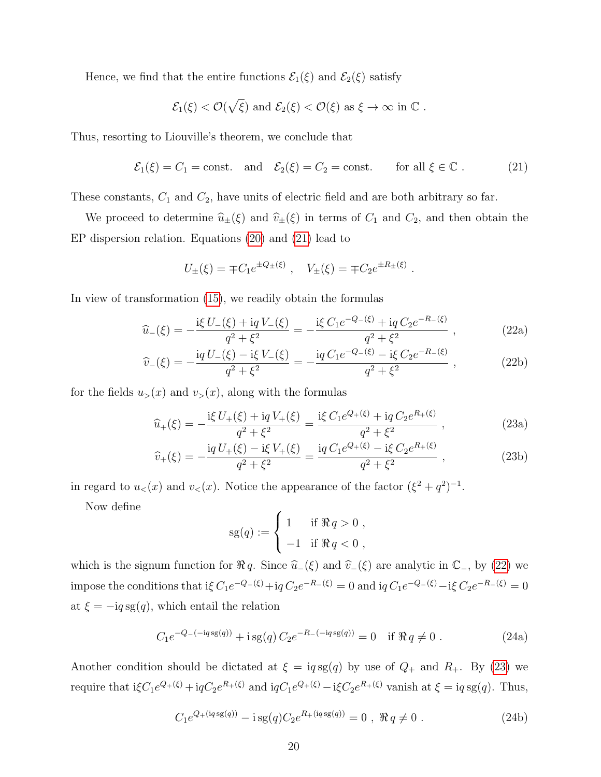Hence, we find that the entire functions  $\mathcal{E}_1(\xi)$  and  $\mathcal{E}_2(\xi)$  satisfy

$$
\mathcal{E}_1(\xi) < \mathcal{O}(\sqrt{\xi})
$$
 and  $\mathcal{E}_2(\xi) < \mathcal{O}(\xi)$  as  $\xi \to \infty$  in  $\mathbb{C}$ .

Thus, resorting to Liouville's theorem, we conclude that

<span id="page-19-0"></span>
$$
\mathcal{E}_1(\xi) = C_1 = \text{const.}
$$
 and  $\mathcal{E}_2(\xi) = C_2 = \text{const.}$  for all  $\xi \in \mathbb{C}$ . (21)

These constants,  $C_1$  and  $C_2$ , have units of electric field and are both arbitrary so far.

We proceed to determine  $\hat{u}_{\pm}(\xi)$  and  $\hat{v}_{\pm}(\xi)$  in terms of  $C_1$  and  $C_2$ , and then obtain the EP dispersion relation. Equations [\(20\)](#page-18-0) and [\(21\)](#page-19-0) lead to

$$
U_{\pm}(\xi) = \mp C_1 e^{\pm Q_{\pm}(\xi)}, \quad V_{\pm}(\xi) = \mp C_2 e^{\pm R_{\pm}(\xi)}
$$

In view of transformation [\(15\)](#page-16-0), we readily obtain the formulas

$$
\hat{u}_{-}(\xi) = -\frac{\mathrm{i}\xi U_{-}(\xi) + \mathrm{i}q V_{-}(\xi)}{q^2 + \xi^2} = -\frac{\mathrm{i}\xi C_1 e^{-Q_{-}(\xi)} + \mathrm{i}q C_2 e^{-R_{-}(\xi)}}{q^2 + \xi^2} ,\qquad (22a)
$$

<span id="page-19-2"></span><span id="page-19-1"></span>.

$$
\widehat{v}_{-}(\xi) = -\frac{\mathrm{i}q U_{-}(\xi) - \mathrm{i}\xi V_{-}(\xi)}{q^2 + \xi^2} = -\frac{\mathrm{i}q C_1 e^{-Q_{-}(\xi)} - \mathrm{i}\xi C_2 e^{-R_{-}(\xi)}}{q^2 + \xi^2} ,\qquad (22b)
$$

for the fields  $u_>(x)$  and  $v_>(x)$ , along with the formulas

$$
\widehat{u}_{+}(\xi) = -\frac{\mathrm{i}\xi U_{+}(\xi) + \mathrm{i}q V_{+}(\xi)}{q^{2} + \xi^{2}} = \frac{\mathrm{i}\xi C_{1}e^{Q_{+}(\xi)} + \mathrm{i}q C_{2}e^{R_{+}(\xi)}}{q^{2} + \xi^{2}} , \qquad (23a)
$$

$$
\widehat{v}_{+}(\xi) = -\frac{\mathrm{i}q U_{+}(\xi) - \mathrm{i}\xi V_{+}(\xi)}{q^2 + \xi^2} = \frac{\mathrm{i}q C_1 e^{Q_{+}(\xi)} - \mathrm{i}\xi C_2 e^{R_{+}(\xi)}}{q^2 + \xi^2},\tag{23b}
$$

in regard to  $u<sub>lt</sub>(x)$  and  $v<sub>lt</sub>(x)$ . Notice the appearance of the factor  $(\xi^2 + q^2)^{-1}$ .

Now define

<span id="page-19-3"></span>
$$
sg(q) := \begin{cases} 1 & \text{if } \Re q > 0 ,\\ -1 & \text{if } \Re q < 0 , \end{cases}
$$

which is the signum function for  $\Re q$ . Since  $\hat{u}_-(\xi)$  and  $\hat{v}_-(\xi)$  are analytic in  $\mathbb{C}_-$ , by [\(22\)](#page-19-1) we impose the conditions that i $\xi C_1 e^{-Q_-(\xi)} + iq C_2 e^{-R_-(\xi)} = 0$  and  $iq C_1 e^{-Q_-(\xi)} - i \xi C_2 e^{-R_-(\xi)} = 0$ at  $\xi = -iq \, \text{sg}(q)$ , which entail the relation

$$
C_1 e^{-Q - (-iq\operatorname{sg}(q))} + i\operatorname{sg}(q) C_2 e^{-R - (-iq\operatorname{sg}(q))} = 0 \quad \text{if } \Re q \neq 0. \tag{24a}
$$

Another condition should be dictated at  $\xi = iq \, \text{sg}(q)$  by use of  $Q_+$  and  $R_+$ . By [\(23\)](#page-19-2) we require that  $i\xi C_1e^{Q_+(\xi)} + iqC_2e^{R_+(\xi)}$  and  $iqC_1e^{Q_+(\xi)} - i\xi C_2e^{R_+(\xi)}$  vanish at  $\xi = iq \operatorname{sg}(q)$ . Thus,

$$
C_1 e^{Q_+(iq\operatorname{sg}(q))} - i\operatorname{sg}(q)C_2 e^{R_+(iq\operatorname{sg}(q))} = 0 , \Re q \neq 0 . \tag{24b}
$$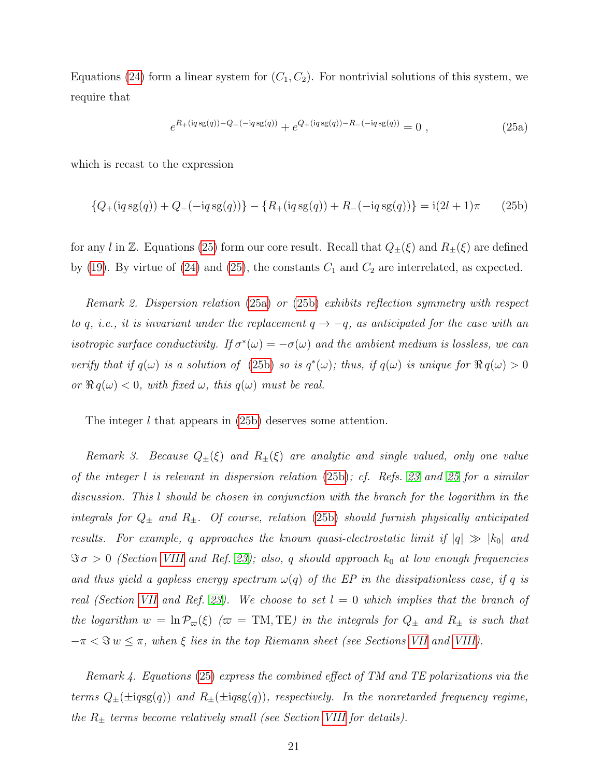Equations [\(24\)](#page-19-3) form a linear system for  $(C_1, C_2)$ . For nontrivial solutions of this system, we require that

<span id="page-20-1"></span><span id="page-20-0"></span>
$$
e^{R_{+}(i q s g(q)) - Q_{-}(-i q s g(q))} + e^{Q_{+}(i q s g(q)) - R_{-}(-i q s g(q))} = 0,
$$
\n(25a)

which is recast to the expression

<span id="page-20-2"></span>
$$
{Q_{+}(iq \operatorname{sg}(q)) + Q_{-}(-iq \operatorname{sg}(q))} - {R_{+}(iq \operatorname{sg}(q)) + R_{-}(-iq \operatorname{sg}(q))} = i(2l + 1)\pi
$$
 (25b)

for any l in Z. Equations [\(25\)](#page-20-0) form our core result. Recall that  $Q_{\pm}(\xi)$  and  $R_{\pm}(\xi)$  are defined by [\(19\)](#page-18-1). By virtue of [\(24\)](#page-19-3) and [\(25\)](#page-20-0), the constants  $C_1$  and  $C_2$  are interrelated, as expected.

Remark 2. Dispersion relation [\(25a\)](#page-20-1) or [\(25b\)](#page-20-2) exhibits reflection symmetry with respect to q, i.e., it is invariant under the replacement  $q \rightarrow -q$ , as anticipated for the case with an isotropic surface conductivity. If  $\sigma^*(\omega) = -\sigma(\omega)$  and the ambient medium is lossless, we can verify that if  $q(\omega)$  is a solution of [\(25b\)](#page-20-2) so is  $q^*(\omega)$ ; thus, if  $q(\omega)$  is unique for  $\Re q(\omega) > 0$ or  $\Re q(\omega) < 0$ , with fixed  $\omega$ , this  $q(\omega)$  must be real.

The integer l that appears in [\(25b\)](#page-20-2) deserves some attention.

Remark 3. Because  $Q_{\pm}(\xi)$  and  $R_{\pm}(\xi)$  are analytic and single valued, only one value of the integer l is relevant in dispersion relation [\(25b\)](#page-20-2); cf. Refs. [23](#page-39-6) and [25](#page-39-3) for a similar discussion. This l should be chosen in conjunction with the branch for the logarithm in the integrals for  $Q_{\pm}$  and  $R_{\pm}$ . Of course, relation [\(25b\)](#page-20-2) should furnish physically anticipated results. For example, q approaches the known quasi-electrostatic limit if  $|q| \gg |k_0|$  and  $\Im \sigma > 0$  (Section [VIII](#page-30-0) and Ref. [23\)](#page-39-6); also, q should approach  $k_0$  at low enough frequencies and thus yield a gapless energy spectrum  $\omega(q)$  of the EP in the dissipationless case, if q is real (Section [VII](#page-27-0) and Ref. [23\)](#page-39-6). We choose to set  $l = 0$  which implies that the branch of the logarithm  $w = \ln \mathcal{P}_{\varpi}(\xi)$  ( $\varpi = \text{TM, TE}$ ) in the integrals for  $Q_{\pm}$  and  $R_{\pm}$  is such that  $-\pi < \Im w \leq \pi$ , when  $\xi$  lies in the top Riemann sheet (see Sections [VII](#page-27-0) and [VIII\)](#page-30-0).

Remark 4. Equations [\(25\)](#page-20-0) express the combined effect of TM and TE polarizations via the terms  $Q_{\pm}(\pm ig)$  and  $R_{\pm}(\pm ig)$ , respectively. In the nonretarded frequency regime, the  $R_{\pm}$  terms become relatively small (see Section [VIII](#page-30-0) for details).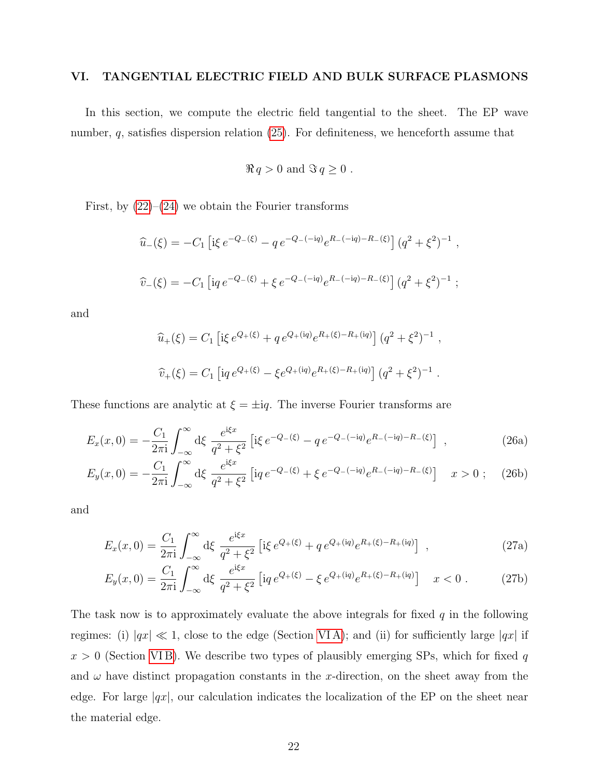# <span id="page-21-0"></span>VI. TANGENTIAL ELECTRIC FIELD AND BULK SURFACE PLASMONS

In this section, we compute the electric field tangential to the sheet. The EP wave number,  $q$ , satisfies dispersion relation  $(25)$ . For definiteness, we henceforth assume that

$$
\Re q > 0
$$
 and  $\Im q \ge 0$ .

First, by  $(22)$ – $(24)$  we obtain the Fourier transforms

$$
\hat{u}_{-}(\xi) = -C_1 \left[ i\xi e^{-Q_{-}(\xi)} - q e^{-Q_{-}(-iq)} e^{R_{-}(-iq) - R_{-}(\xi)} \right] (q^2 + \xi^2)^{-1} ,
$$
  

$$
\hat{v}_{-}(\xi) = -C_1 \left[ i q e^{-Q_{-}(\xi)} + \xi e^{-Q_{-}(-iq)} e^{R_{-}(-iq) - R_{-}(\xi)} \right] (q^2 + \xi^2)^{-1} ;
$$

and

<span id="page-21-1"></span>
$$
\hat{u}_{+}(\xi) = C_{1} \left[ i\xi e^{Q_{+}(\xi)} + q e^{Q_{+}(iq)} e^{R_{+}(\xi) - R_{+}(iq)} \right] (q^{2} + \xi^{2})^{-1} ,
$$
  

$$
\hat{v}_{+}(\xi) = C_{1} \left[ iq e^{Q_{+}(\xi)} - \xi e^{Q_{+}(iq)} e^{R_{+}(\xi) - R_{+}(iq)} \right] (q^{2} + \xi^{2})^{-1} .
$$

These functions are analytic at  $\xi = \pm iq$ . The inverse Fourier transforms are

$$
E_x(x,0) = -\frac{C_1}{2\pi i} \int_{-\infty}^{\infty} d\xi \frac{e^{i\xi x}}{q^2 + \xi^2} \left[ i\xi e^{-Q_-(\xi)} - q e^{-Q_-(-iq)} e^{R_-(-iq) - R_-(\xi)} \right] ,
$$
 (26a)

$$
E_y(x,0) = -\frac{C_1}{2\pi i} \int_{-\infty}^{\infty} d\xi \frac{e^{i\xi x}}{q^2 + \xi^2} \left[ i q \, e^{-Q_-(\xi)} + \xi \, e^{-Q_-(-iq)} e^{R_-(-iq) - R_-(\xi)} \right] \quad x > 0 \; ; \tag{26b}
$$

<span id="page-21-2"></span>and

$$
E_x(x,0) = \frac{C_1}{2\pi i} \int_{-\infty}^{\infty} d\xi \frac{e^{i\xi x}}{q^2 + \xi^2} \left[ i\xi e^{Q_+(\xi)} + q e^{Q_+(\xi)} e^{R_+(\xi) - R_+(\xi)} \right] ,
$$
 (27a)

$$
E_y(x,0) = \frac{C_1}{2\pi i} \int_{-\infty}^{\infty} d\xi \frac{e^{i\xi x}}{q^2 + \xi^2} \left[ i q \, e^{Q_+(\xi)} - \xi \, e^{Q_+(\xi)} e^{R_+(\xi) - R_+(\xi)} \right] \quad x < 0 \,. \tag{27b}
$$

The task now is to approximately evaluate the above integrals for fixed  $q$  in the following regimes: (i)  $|qx| \ll 1$ , close to the edge (Section VIA); and (ii) for sufficiently large  $|qx|$  if  $x > 0$  (Section VIB). We describe two types of plausibly emerging SPs, which for fixed q and  $\omega$  have distinct propagation constants in the x-direction, on the sheet away from the edge. For large  $|qx|$ , our calculation indicates the localization of the EP on the sheet near the material edge.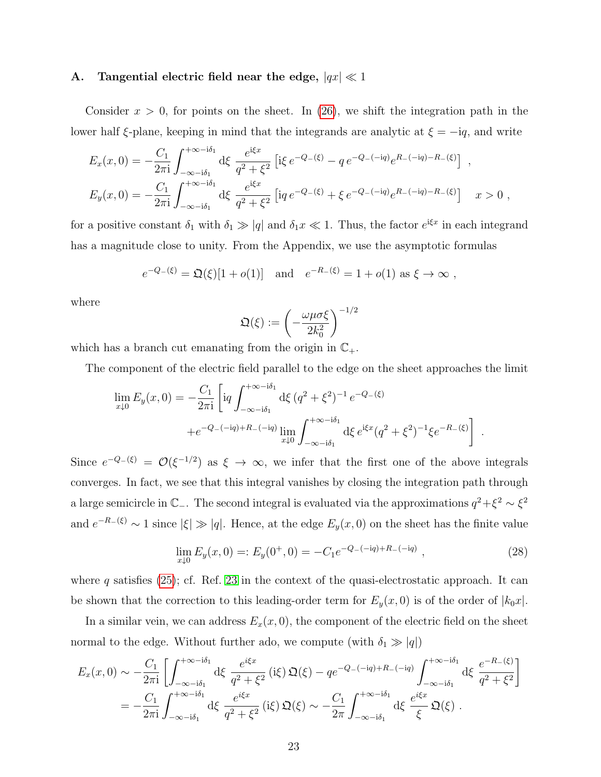## <span id="page-22-0"></span>A. Tangential electric field near the edge,  $|qx| \ll 1$

Consider  $x > 0$ , for points on the sheet. In [\(26\)](#page-21-1), we shift the integration path in the lower half  $\xi$ -plane, keeping in mind that the integrands are analytic at  $\xi = -iq$ , and write

$$
E_x(x,0) = -\frac{C_1}{2\pi i} \int_{-\infty - i\delta_1}^{+\infty - i\delta_1} d\xi \frac{e^{i\xi x}}{q^2 + \xi^2} \left[ i\xi e^{-Q_-(\xi)} - q e^{-Q_-(-iq)} e^{R_-(-iq) - R_-(\xi)} \right] ,
$$
  
\n
$$
E_y(x,0) = -\frac{C_1}{2\pi i} \int_{-\infty - i\delta_1}^{+\infty - i\delta_1} d\xi \frac{e^{i\xi x}}{q^2 + \xi^2} \left[ i q e^{-Q_-(\xi)} + \xi e^{-Q_-(-iq)} e^{R_-(-iq) - R_-(\xi)} \right] ,
$$
  
\n
$$
x > 0 ,
$$

for a positive constant  $\delta_1$  with  $\delta_1 \gg |q|$  and  $\delta_1 x \ll 1$ . Thus, the factor  $e^{i\xi x}$  in each integrand has a magnitude close to unity. From the Appendix, we use the asymptotic formulas

$$
e^{-Q_{-}(\xi)} = \mathfrak{Q}(\xi)[1 + o(1)]
$$
 and  $e^{-R_{-}(\xi)} = 1 + o(1)$  as  $\xi \to \infty$ ,

where

$$
\mathfrak{Q}(\xi):=\left(-\frac{\omega\mu\sigma\xi}{2k_0^2}\right)^{-1/2}
$$

which has a branch cut emanating from the origin in  $\mathbb{C}_+$ .

The component of the electric field parallel to the edge on the sheet approaches the limit

$$
\lim_{x \downarrow 0} E_y(x, 0) = -\frac{C_1}{2\pi i} \left[ i q \int_{-\infty - i\delta_1}^{+\infty - i\delta_1} d\xi \left( q^2 + \xi^2 \right)^{-1} e^{-Q_-(\xi)} + e^{-Q_-(-iq) + R_-(-iq)} \lim_{x \downarrow 0} \int_{-\infty - i\delta_1}^{+\infty - i\delta_1} d\xi \, e^{i\xi x} \left( q^2 + \xi^2 \right)^{-1} \xi e^{-R_-(\xi)} \right] .
$$

Since  $e^{-Q-(\xi)} = \mathcal{O}(\xi^{-1/2})$  as  $\xi \to \infty$ , we infer that the first one of the above integrals converges. In fact, we see that this integral vanishes by closing the integration path through a large semicircle in  $\mathbb{C}_-$ . The second integral is evaluated via the approximations  $q^2 + \xi^2 \sim \xi^2$ and  $e^{-R_{-}(\xi)} \sim 1$  since  $|\xi| \gg |q|$ . Hence, at the edge  $E_{y}(x, 0)$  on the sheet has the finite value

<span id="page-22-1"></span>
$$
\lim_{x \downarrow 0} E_y(x,0) =: E_y(0^+,0) = -C_1 e^{-Q_-(-iq) + R_-(-iq)}, \qquad (28)
$$

where  $q$  satisfies [\(25\)](#page-20-0); cf. Ref. [23](#page-39-6) in the context of the quasi-electrostatic approach. It can be shown that the correction to this leading-order term for  $E_y(x, 0)$  is of the order of  $|k_0x|$ .

In a similar vein, we can address  $E_x(x, 0)$ , the component of the electric field on the sheet normal to the edge. Without further ado, we compute (with  $\delta_1 \gg |q|$ )

$$
E_x(x,0) \sim -\frac{C_1}{2\pi i} \left[ \int_{-\infty - i\delta_1}^{+\infty - i\delta_1} d\xi \frac{e^{i\xi x}}{q^2 + \xi^2} (i\xi) \mathfrak{Q}(\xi) - q e^{-Q_-(-iq) + R_-(-iq)} \int_{-\infty - i\delta_1}^{+\infty - i\delta_1} d\xi \frac{e^{-R_-(\xi)}}{q^2 + \xi^2} \right]
$$
  
= 
$$
-\frac{C_1}{2\pi i} \int_{-\infty - i\delta_1}^{+\infty - i\delta_1} d\xi \frac{e^{i\xi x}}{q^2 + \xi^2} (i\xi) \mathfrak{Q}(\xi) \sim -\frac{C_1}{2\pi} \int_{-\infty - i\delta_1}^{+\infty - i\delta_1} d\xi \frac{e^{i\xi x}}{\xi} \mathfrak{Q}(\xi) .
$$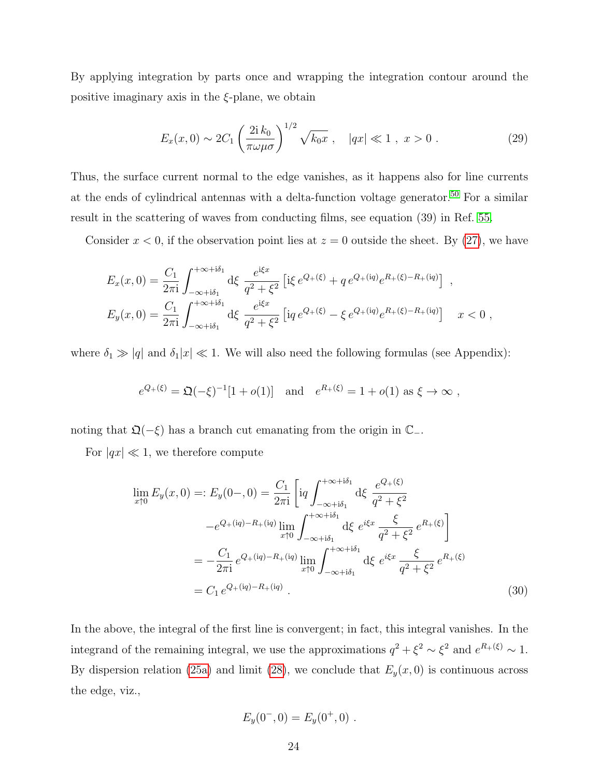By applying integration by parts once and wrapping the integration contour around the positive imaginary axis in the  $\xi$ -plane, we obtain

$$
E_x(x,0) \sim 2C_1 \left(\frac{2i k_0}{\pi \omega \mu \sigma}\right)^{1/2} \sqrt{k_0 x} , \quad |qx| \ll 1 , \ x > 0 . \tag{29}
$$

Thus, the surface current normal to the edge vanishes, as it happens also for line currents at the ends of cylindrical antennas with a delta-function voltage generator.[50](#page-41-2) For a similar result in the scattering of waves from conducting films, see equation (39) in Ref. [55.](#page-41-8)

Consider  $x < 0$ , if the observation point lies at  $z = 0$  outside the sheet. By [\(27\)](#page-21-2), we have

$$
E_x(x,0) = \frac{C_1}{2\pi i} \int_{-\infty+i\delta_1}^{+\infty+i\delta_1} d\xi \frac{e^{i\xi x}}{q^2 + \xi^2} \left[ i\xi e^{Q_+(\xi)} + q e^{Q_+(\iota q)} e^{R_+(\xi) - R_+(\iota q)} \right] ,
$$
  
\n
$$
E_y(x,0) = \frac{C_1}{2\pi i} \int_{-\infty+i\delta_1}^{+\infty+i\delta_1} d\xi \frac{e^{i\xi x}}{q^2 + \xi^2} \left[ i q e^{Q_+(\xi)} - \xi e^{Q_+(\iota q)} e^{R_+(\xi) - R_+(\iota q)} \right] \quad x < 0 ,
$$

where  $\delta_1 \gg |q|$  and  $\delta_1|x| \ll 1$ . We will also need the following formulas (see Appendix):

$$
e^{Q_+(\xi)} = \mathfrak{Q}(-\xi)^{-1}[1 + o(1)]
$$
 and  $e^{R_+(\xi)} = 1 + o(1)$  as  $\xi \to \infty$ ,

noting that  $\mathfrak{Q}(-\xi)$  has a branch cut emanating from the origin in  $\mathbb{C}_-$ .

For  $|qx| \ll 1$ , we therefore compute

$$
\lim_{x \uparrow 0} E_y(x, 0) =: E_y(0-, 0) = \frac{C_1}{2\pi i} \left[ i q \int_{-\infty + i\delta_1}^{+\infty + i\delta_1} d\xi \frac{e^{Q_+(\xi)}}{q^2 + \xi^2} -e^{Q_+(\mathrm{i}q) - R_+(\mathrm{i}q)} \lim_{x \uparrow 0} \int_{-\infty + i\delta_1}^{+\infty + i\delta_1} d\xi e^{i\xi x} \frac{\xi}{q^2 + \xi^2} e^{R_+(\xi)} \right]
$$

$$
= -\frac{C_1}{2\pi i} e^{Q_+(\mathrm{i}q) - R_+(\mathrm{i}q)} \lim_{x \uparrow 0} \int_{-\infty + i\delta_1}^{+\infty + i\delta_1} d\xi e^{i\xi x} \frac{\xi}{q^2 + \xi^2} e^{R_+(\xi)}
$$

$$
= C_1 e^{Q_+(\mathrm{i}q) - R_+(\mathrm{i}q)} . \tag{30}
$$

In the above, the integral of the first line is convergent; in fact, this integral vanishes. In the integrand of the remaining integral, we use the approximations  $q^2 + \xi^2 \sim \xi^2$  and  $e^{R_+(\xi)} \sim 1$ . By dispersion relation [\(25a\)](#page-20-1) and limit [\(28\)](#page-22-1), we conclude that  $E_y(x, 0)$  is continuous across the edge, viz.,

$$
E_y(0^-,0) = E_y(0^+,0) .
$$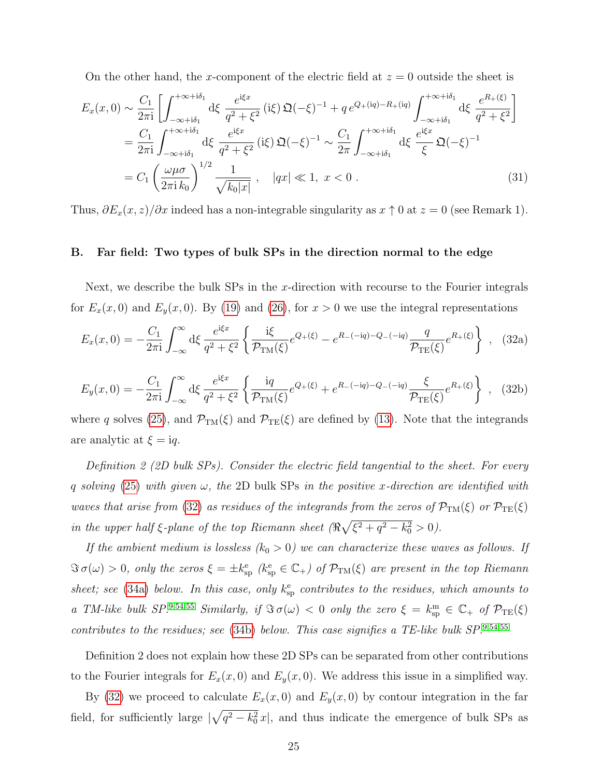On the other hand, the x-component of the electric field at  $z = 0$  outside the sheet is

$$
E_x(x,0) \sim \frac{C_1}{2\pi i} \left[ \int_{-\infty+i\delta_1}^{+\infty+i\delta_1} d\xi \frac{e^{i\xi x}}{q^2 + \xi^2} (i\xi) \mathfrak{Q}(-\xi)^{-1} + q e^{Q_+(iq) - R_+(iq)} \int_{-\infty+i\delta_1}^{+\infty+i\delta_1} d\xi \frac{e^{R_+(\xi)}}{q^2 + \xi^2} \right]
$$
  
\n
$$
= \frac{C_1}{2\pi i} \int_{-\infty+i\delta_1}^{+\infty+i\delta_1} d\xi \frac{e^{i\xi x}}{q^2 + \xi^2} (i\xi) \mathfrak{Q}(-\xi)^{-1} \sim \frac{C_1}{2\pi} \int_{-\infty+i\delta_1}^{+\infty+i\delta_1} d\xi \frac{e^{i\xi x}}{\xi} \mathfrak{Q}(-\xi)^{-1}
$$
  
\n
$$
= C_1 \left( \frac{\omega \mu \sigma}{2\pi i k_0} \right)^{1/2} \frac{1}{\sqrt{k_0 |x|}} , \quad |qx| \ll 1, \ x < 0 .
$$
 (31)

Thus,  $\partial E_x(x, z)/\partial x$  indeed has a non-integrable singularity as  $x \uparrow 0$  at  $z = 0$  (see Remark 1).

## <span id="page-24-0"></span>B. Far field: Two types of bulk SPs in the direction normal to the edge

Next, we describe the bulk SPs in the x-direction with recourse to the Fourier integrals for  $E_x(x, 0)$  and  $E_y(x, 0)$ . By [\(19\)](#page-18-1) and [\(26\)](#page-21-1), for  $x > 0$  we use the integral representations

<span id="page-24-1"></span>
$$
E_x(x,0) = -\frac{C_1}{2\pi i} \int_{-\infty}^{\infty} d\xi \frac{e^{i\xi x}}{q^2 + \xi^2} \left\{ \frac{i\xi}{\mathcal{P}_{TM}(\xi)} e^{Q_+(\xi)} - e^{R_-(-iq) - Q_-(-iq)} \frac{q}{\mathcal{P}_{TE}(\xi)} e^{R_+(\xi)} \right\} , \quad (32a)
$$

$$
E_y(x,0) = -\frac{C_1}{2\pi i} \int_{-\infty}^{\infty} d\xi \frac{e^{i\xi x}}{q^2 + \xi^2} \left\{ \frac{iq}{\mathcal{P}_{TM}(\xi)} e^{Q_+(\xi)} + e^{R_-(-iq) - Q_-(-iq)} \frac{\xi}{\mathcal{P}_{TE}(\xi)} e^{R_+(\xi)} \right\} , \quad (32b)
$$

where q solves [\(25\)](#page-20-0), and  $\mathcal{P}_{TM}(\xi)$  and  $\mathcal{P}_{TE}(\xi)$  are defined by [\(13\)](#page-15-0). Note that the integrands are analytic at  $\xi = iq$ .

Definition 2 (2D bulk SPs). Consider the electric field tangential to the sheet. For every q solving [\(25\)](#page-20-0) with given  $\omega$ , the 2D bulk SPs in the positive x-direction are identified with waves that arise from [\(32\)](#page-24-1) as residues of the integrands from the zeros of  $\mathcal{P}_{TM}(\xi)$  or  $\mathcal{P}_{TE}(\xi)$ in the upper half  $\xi$ -plane of the top Riemann sheet  $(\Re \sqrt{\xi^2 + q^2 - k_0^2} > 0)$ .

If the ambient medium is lossless  $(k_0 > 0)$  we can characterize these waves as follows. If  $\Im \sigma(\omega) > 0$ , only the zeros  $\xi = \pm k_{\rm sp}^{\rm e}$  ( $k_{\rm sp}^{\rm e} \in \mathbb{C}_+$ ) of  $\mathcal{P}_{\rm TM}(\xi)$  are present in the top Riemann sheet; see [\(34a\)](#page-25-0) below. In this case, only  $k_{sp}^e$  contributes to the residues, which amounts to a TM-like bulk  $SP^{.954,55}$  $SP^{.954,55}$  $SP^{.954,55}$  $SP^{.954,55}$  $SP^{.954,55}$  Similarly, if  $\Im \sigma(\omega) < 0$  only the zero  $\xi = k_{\rm sp}^{\rm m} \in \mathbb{C}_+$  of  $\mathcal{P}_{\rm TE}(\xi)$ contributes to the residues; see  $(34b)$  below. This case signifies a TE-like bulk SP.<sup>[9,](#page-38-9)[54](#page-41-7)[,55](#page-41-8)</sup>

Definition 2 does not explain how these 2D SPs can be separated from other contributions to the Fourier integrals for  $E_x(x, 0)$  and  $E_y(x, 0)$ . We address this issue in a simplified way.

By [\(32\)](#page-24-1) we proceed to calculate  $E_x(x, 0)$  and  $E_y(x, 0)$  by contour integration in the far field, for sufficiently large  $\sqrt{q^2 - k_0^2} x$ , and thus indicate the emergence of bulk SPs as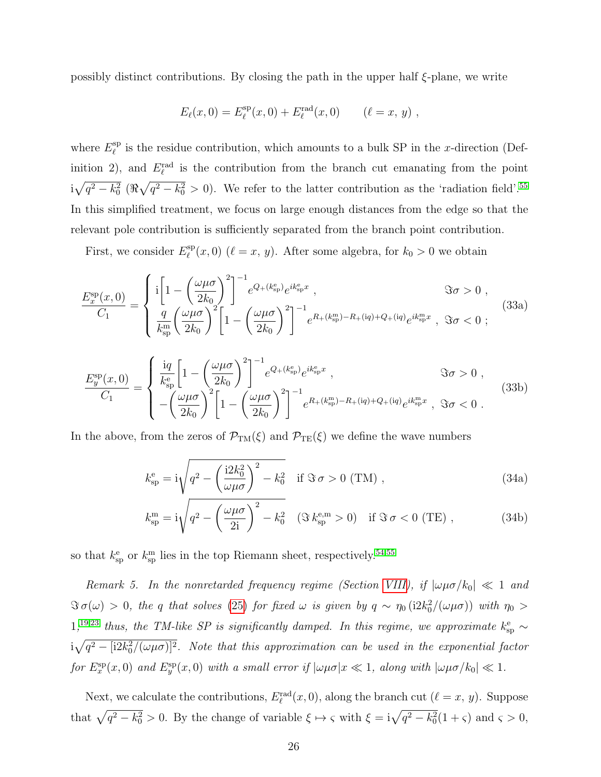possibly distinct contributions. By closing the path in the upper half  $\xi$ -plane, we write

$$
E_{\ell}(x,0) = E_{\ell}^{\rm sp}(x,0) + E_{\ell}^{\rm rad}(x,0) \qquad (\ell = x, y) ,
$$

where  $E_{\ell}^{\rm sp}$  $\ell^{\text{sp}}$  is the residue contribution, which amounts to a bulk SP in the x-direction (Definition 2), and  $E_{\ell}^{\text{rad}}$  is the contribution from the branch cut emanating from the point  $i\sqrt{q^2-k_0^2}$  ( $\Re\sqrt{q^2-k_0^2} > 0$ ). We refer to the latter contribution as the 'radiation field'.<sup>[55](#page-41-8)</sup> In this simplified treatment, we focus on large enough distances from the edge so that the relevant pole contribution is sufficiently separated from the branch point contribution.

First, we consider  $E_{\ell}^{\text{sp}}$  $\binom{\text{sp}}{\ell}(x, 0)$  ( $\ell = x, y$ ). After some algebra, for  $k_0 > 0$  we obtain

$$
\frac{E_x^{\rm sp}(x,0)}{C_1} = \begin{cases} i \left[ 1 - \left( \frac{\omega \mu \sigma}{2k_0} \right)^2 \right]^{-1} e^{Q_+(k_{\rm sp}^{\rm e})} e^{ik_{\rm sp}^{\rm e}x} , & \Im \sigma > 0 ,\\ \frac{q}{k_{\rm sp}^{\rm m}} \left( \frac{\omega \mu \sigma}{2k_0} \right)^2 \left[ 1 - \left( \frac{\omega \mu \sigma}{2k_0} \right)^2 \right]^{-1} e^{R_+(k_{\rm sp}^{\rm m}) - R_+(iq) + Q_+(iq)} e^{ik_{\rm sp}^{\rm m}x} , & \Im \sigma < 0 ; \end{cases}
$$
(33a)

$$
\frac{E_y^{\rm sp}(x,0)}{C_1} = \begin{cases} \frac{iq}{k_{\rm sp}^{\rm e}} \left[ 1 - \left( \frac{\omega \mu \sigma}{2k_0} \right)^2 \right]^{-1} e^{Q_+(k_{\rm sp}^{\rm e})} e^{ik_{\rm sp}^{\rm e}x} , & \Im \sigma > 0 ,\\ -\left( \frac{\omega \mu \sigma}{2k_0} \right)^2 \left[ 1 - \left( \frac{\omega \mu \sigma}{2k_0} \right)^2 \right]^{-1} e^{R_+(k_{\rm sp}^{\rm m}) - R_+(iq) + Q_+(iq)} e^{ik_{\rm sp}^{\rm m}x} , & \Im \sigma < 0 . \end{cases} \tag{33b}
$$

In the above, from the zeros of  $\mathcal{P}_{TM}(\xi)$  and  $\mathcal{P}_{TE}(\xi)$  we define the wave numbers

<span id="page-25-1"></span><span id="page-25-0"></span>
$$
k_{\rm sp}^{\rm e} = i\sqrt{q^2 - \left(\frac{i2k_0^2}{\omega\mu\sigma}\right)^2 - k_0^2} \quad \text{if } \Im \sigma > 0 \text{ (TM)},
$$
\n(34a)

$$
k_{\rm sp}^{\rm m} = i\sqrt{q^2 - \left(\frac{\omega\mu\sigma}{2i}\right)^2 - k_0^2} \quad (\Im k_{\rm sp}^{\rm e,m} > 0) \quad \text{if } \Im \sigma < 0 \text{ (TE)}, \tag{34b}
$$

so that  $k_{\rm sp}^{\rm e}$  or  $k_{\rm sp}^{\rm m}$  lies in the top Riemann sheet, respectively.<sup>[54](#page-41-7)[,55](#page-41-8)</sup>

Remark 5. In the nonretarded frequency regime (Section [VIII\)](#page-30-0), if  $|\omega\mu\sigma/k_0| \ll 1$  and  $\Im \sigma(\omega) > 0$ , the q that solves [\(25\)](#page-20-0) for fixed  $\omega$  is given by  $q \sim \eta_0 (i2k_0^2/(\omega\mu\sigma))$  with  $\eta_0 >$  $1;^{19,23}$  $1;^{19,23}$  $1;^{19,23}$  $1;^{19,23}$  thus, the TM-like SP is significantly damped. In this regime, we approximate  $k_{\rm sp}^{\rm e} \sim$  $\mathrm{i} \sqrt{q^2 -[\mathrm{i} 2k_0^2/(\omega\mu\sigma)]^2}$ . Note that this approximation can be used in the exponential factor for  $E_x^{\rm sp}(x,0)$  and  $E_y^{\rm sp}(x,0)$  with a small error if  $|\omega\mu\sigma|x \ll 1$ , along with  $|\omega\mu\sigma/k_0| \ll 1$ .

Next, we calculate the contributions,  $E_{\ell}^{\text{rad}}(x,0)$ , along the branch cut  $(\ell = x, y)$ . Suppose that  $\sqrt{q^2 - k_0^2} > 0$ . By the change of variable  $\xi \mapsto \zeta$  with  $\xi = i\sqrt{q^2 - k_0^2}(1 + \zeta)$  and  $\zeta > 0$ ,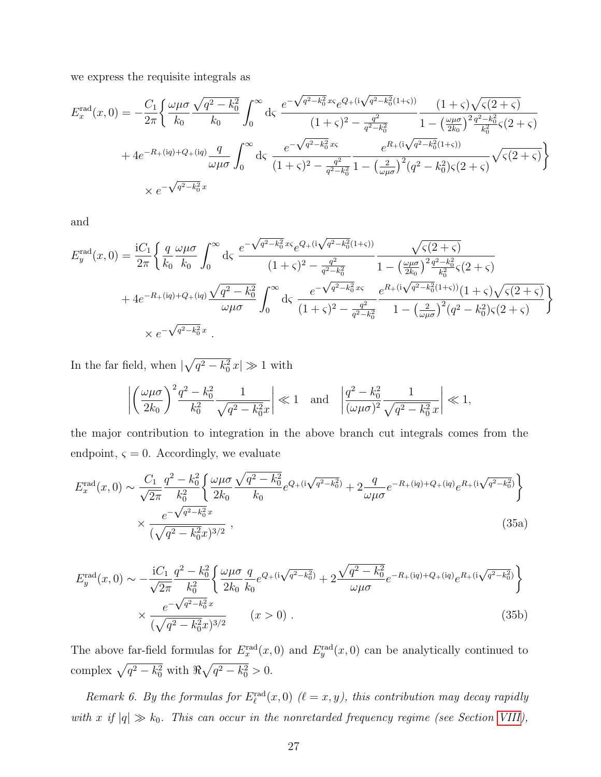we express the requisite integrals as

$$
E_x^{\rm rad}(x,0) = -\frac{C_1}{2\pi} \left\{ \frac{\omega\mu\sigma}{k_0} \frac{\sqrt{q^2 - k_0^2}}{k_0} \int_0^\infty d\varsigma \frac{e^{-\sqrt{q^2 - k_0^2}x\varsigma}e^{Q_+(\mathrm{i}\sqrt{q^2 - k_0^2}(1+\varsigma))}}{(1+\varsigma)^2 - \frac{q^2}{q^2 - k_0^2}} \frac{(1+\varsigma)\sqrt{\varsigma(2+\varsigma)}}{1 - \left(\frac{\omega\mu\sigma}{2k_0}\right)^2 \frac{q^2 - k_0^2}{k_0^2}\varsigma(2+\varsigma)} + 4e^{-R_+(\mathrm{i}q) + Q_+(\mathrm{i}q)} \frac{q}{\omega\mu\sigma} \int_0^\infty d\varsigma \frac{e^{-\sqrt{q^2 - k_0^2}x\varsigma}}{(1+\varsigma)^2 - \frac{q^2}{q^2 - k_0^2}} \frac{e^{R_+(\mathrm{i}\sqrt{q^2 - k_0^2}(1+\varsigma))}}{1 - \left(\frac{2}{\omega\mu\sigma}\right)^2 (q^2 - k_0^2)\varsigma(2+\varsigma)} \sqrt{\varsigma(2+\varsigma)} \right\}
$$
  
  $\times e^{-\sqrt{q^2 - k_0^2}x}$ 

and

$$
E_{y}^{\text{rad}}(x,0) = \frac{iC_{1}}{2\pi} \left\{ \frac{q}{k_{0}} \frac{\omega\mu\sigma}{k_{0}} \int_{0}^{\infty} d\varsigma \frac{e^{-\sqrt{q^{2}-k_{0}^{2}}}x_{\varsigma}e^{Q_{+}(i\sqrt{q^{2}-k_{0}^{2}}(1+\varsigma))}}{(1+\varsigma)^{2} - \frac{q^{2}}{q^{2}-k_{0}^{2}}} \frac{\sqrt{\varsigma(2+\varsigma)}}{1 - \left(\frac{\omega\mu\sigma}{2k_{0}}\right)^{2}\frac{q^{2}-k_{0}^{2}}{k_{0}^{2}}\varsigma(2+\varsigma)} + 4e^{-R_{+}(iq)+Q_{+}(iq)} \frac{\sqrt{q^{2}-k_{0}^{2}}}{{\omega\mu\sigma}} \int_{0}^{\infty} d\varsigma \frac{e^{-\sqrt{q^{2}-k_{0}^{2}}}x_{\varsigma}}{(1+\varsigma)^{2} - \frac{q^{2}}{q^{2}-k_{0}^{2}}} \frac{e^{R_{+}(i\sqrt{q^{2}-k_{0}^{2}}(1+\varsigma))}(1+\varsigma)\sqrt{\varsigma(2+\varsigma)}}{1 - \left(\frac{2}{\omega\mu\sigma}\right)^{2}(q^{2}-k_{0}^{2})\varsigma(2+\varsigma)} \right\}
$$
  
  $\times e^{-\sqrt{q^{2}-k_{0}^{2}}}x$ .

In the far field, when  $|\sqrt{q^2 - k_0^2} x| \gg 1$  with

$$
\left| \left( \frac{\omega \mu \sigma}{2k_0} \right)^2 \frac{q^2 - k_0^2}{k_0^2} \frac{1}{\sqrt{q^2 - k_0^2 x}} \right| \ll 1 \quad \text{and} \quad \left| \frac{q^2 - k_0^2}{(\omega \mu \sigma)^2} \frac{1}{\sqrt{q^2 - k_0^2 x}} \right| \ll 1,
$$

the major contribution to integration in the above branch cut integrals comes from the endpoint,  $\varsigma = 0$ . Accordingly, we evaluate

$$
E_x^{\rm rad}(x,0) \sim \frac{C_1}{\sqrt{2\pi}} \frac{q^2 - k_0^2}{k_0^2} \left\{ \frac{\omega\mu\sigma}{2k_0} \frac{\sqrt{q^2 - k_0^2}}{k_0} e^{Q_+(i\sqrt{q^2 - k_0^2})} + 2 \frac{q}{\omega\mu\sigma} e^{-R_+(iq) + Q_+(iq)} e^{R_+(i\sqrt{q^2 - k_0^2})} \right\}
$$
  

$$
\times \frac{e^{-\sqrt{q^2 - k_0^2}x}}{(\sqrt{q^2 - k_0^2}x)^{3/2}},
$$
(35a)

$$
E_y^{\rm rad}(x,0) \sim -\frac{iC_1}{\sqrt{2\pi}} \frac{q^2 - k_0^2}{k_0^2} \left\{ \frac{\omega\mu\sigma}{2k_0} \frac{q}{k_0} e^{Q_+(i\sqrt{q^2 - k_0^2})} + 2 \frac{\sqrt{q^2 - k_0^2}}{\omega\mu\sigma} e^{-R_+(iq) + Q_+(iq)} e^{R_+(i\sqrt{q^2 - k_0^2})} \right\}
$$
  

$$
\times \frac{e^{-\sqrt{q^2 - k_0^2}x}}{(\sqrt{q^2 - k_0^2}x)^{3/2}} \qquad (x > 0).
$$
 (35b)

The above far-field formulas for  $E_x^{\text{rad}}(x,0)$  and  $E_y^{\text{rad}}(x,0)$  can be analytically continued to complex  $\sqrt{q^2 - k_0^2}$  with  $\Re \sqrt{q^2 - k_0^2} > 0$ .

Remark 6. By the formulas for  $E_{\ell}^{\text{rad}}(x,0)$  ( $\ell = x, y$ ), this contribution may decay rapidly with x if  $|q| \gg k_0$ . This can occur in the nonretarded frequency regime (see Section [VIII\)](#page-30-0),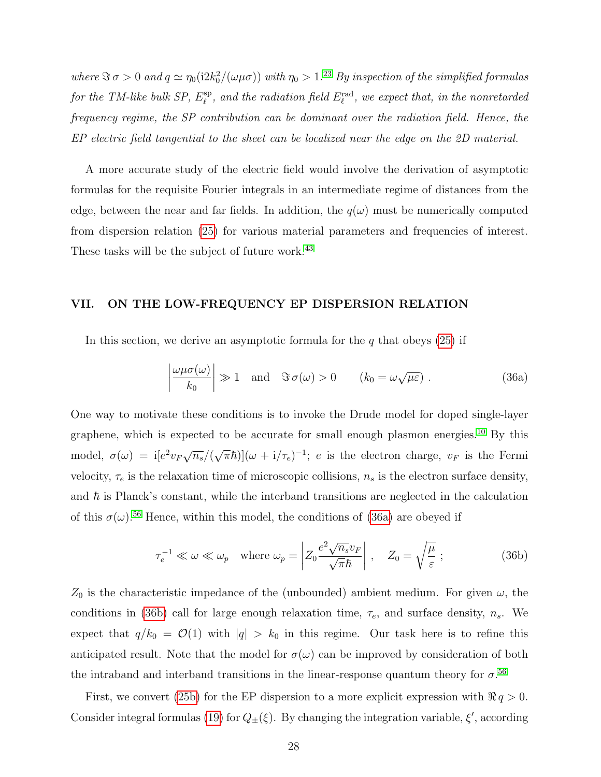where  $\Im \sigma > 0$  and  $q \simeq \eta_0(i2k_0^2/(\omega\mu\sigma))$  with  $\eta_0 > 1.^{23}$  $\eta_0 > 1.^{23}$  $\eta_0 > 1.^{23}$  By inspection of the simplified formulas for the TM-like bulk SP,  $E_{\ell}^{\text{sp}}$  $_{\ell}^{\mathrm{sp}},$  and the radiation field  $E_{\ell}^{\mathrm{rad}},$  we expect that, in the nonretarded frequency regime, the SP contribution can be dominant over the radiation field. Hence, the EP electric field tangential to the sheet can be localized near the edge on the 2D material.

A more accurate study of the electric field would involve the derivation of asymptotic formulas for the requisite Fourier integrals in an intermediate regime of distances from the edge, between the near and far fields. In addition, the  $q(\omega)$  must be numerically computed from dispersion relation [\(25\)](#page-20-0) for various material parameters and frequencies of interest. These tasks will be the subject of future work.<sup>[43](#page-40-7)</sup>

# <span id="page-27-0"></span>VII. ON THE LOW-FREQUENCY EP DISPERSION RELATION

In this section, we derive an asymptotic formula for the  $q$  that obeys [\(25\)](#page-20-0) if

<span id="page-27-1"></span>
$$
\left|\frac{\omega\mu\sigma(\omega)}{k_0}\right| \gg 1 \quad \text{and} \quad \Im\,\sigma(\omega) > 0 \qquad (k_0 = \omega\sqrt{\mu\varepsilon}) \; . \tag{36a}
$$

One way to motivate these conditions is to invoke the Drude model for doped single-layer graphene, which is expected to be accurate for small enough plasmon energies.[10](#page-38-2) By this model,  $\sigma(\omega) = i[e^2v_F\sqrt{n_s}/(\omega)]$  $(\sqrt{\pi}\hbar)](\omega + i/\tau_e)^{-1}$ ; *e* is the electron charge,  $v_F$  is the Fermi velocity,  $\tau_e$  is the relaxation time of microscopic collisions,  $n_s$  is the electron surface density, and  $\hbar$  is Planck's constant, while the interband transitions are neglected in the calculation of this  $\sigma(\omega)$ .<sup>[56](#page-41-9)</sup> Hence, within this model, the conditions of [\(36a\)](#page-27-1) are obeyed if

<span id="page-27-2"></span>
$$
\tau_e^{-1} \ll \omega \ll \omega_p \quad \text{where } \omega_p = \left| Z_0 \frac{e^2 \sqrt{n_s} v_F}{\sqrt{\pi} \hbar} \right| \,, \quad Z_0 = \sqrt{\frac{\mu}{\varepsilon}} \,, \tag{36b}
$$

 $Z_0$  is the characteristic impedance of the (unbounded) ambient medium. For given  $\omega$ , the conditions in [\(36b\)](#page-27-2) call for large enough relaxation time,  $\tau_e$ , and surface density,  $n_s$ . We expect that  $q/k_0 = \mathcal{O}(1)$  with  $|q| > k_0$  in this regime. Our task here is to refine this anticipated result. Note that the model for  $\sigma(\omega)$  can be improved by consideration of both the intraband and interband transitions in the linear-response quantum theory for  $\sigma$ <sup>[56](#page-41-9)</sup>

First, we convert [\(25b\)](#page-20-2) for the EP dispersion to a more explicit expression with  $\Re q > 0$ . Consider integral formulas [\(19\)](#page-18-1) for  $Q_{\pm}(\xi)$ . By changing the integration variable,  $\xi'$ , according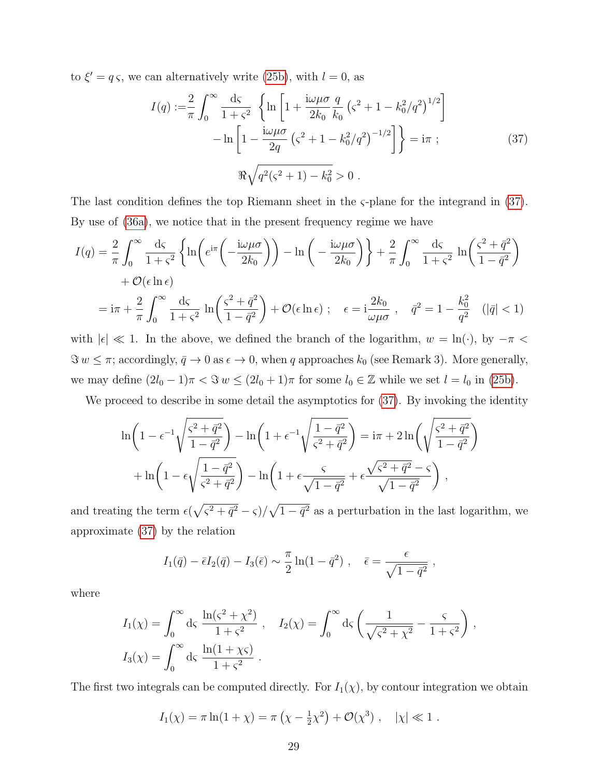to  $\xi' = q \varsigma$ , we can alternatively write [\(25b\)](#page-20-2), with  $l = 0$ , as

<span id="page-28-0"></span>
$$
I(q) := \frac{2}{\pi} \int_0^\infty \frac{d\zeta}{1 + \zeta^2} \left\{ \ln \left[ 1 + \frac{i\omega\mu\sigma}{2k_0} \frac{q}{k_0} \left( \zeta^2 + 1 - k_0^2/q^2 \right)^{1/2} \right] - \ln \left[ 1 - \frac{i\omega\mu\sigma}{2q} \left( \zeta^2 + 1 - k_0^2/q^2 \right)^{-1/2} \right] \right\} = i\pi ;
$$
 (37)  

$$
\Re \sqrt{q^2(\zeta^2 + 1) - k_0^2} > 0.
$$

The last condition defines the top Riemann sheet in the  $\varsigma$ -plane for the integrand in [\(37\)](#page-28-0). By use of [\(36a\)](#page-27-1), we notice that in the present frequency regime we have

$$
I(q) = \frac{2}{\pi} \int_0^\infty \frac{d\zeta}{1+\zeta^2} \left\{ \ln \left( e^{i\pi} \left( -\frac{i\omega\mu\sigma}{2k_0} \right) \right) - \ln \left( -\frac{i\omega\mu\sigma}{2k_0} \right) \right\} + \frac{2}{\pi} \int_0^\infty \frac{d\zeta}{1+\zeta^2} \ln \left( \frac{\zeta^2 + \bar{q}^2}{1-\bar{q}^2} \right) \right.
$$
  
+  $\mathcal{O}(\epsilon \ln \epsilon)$   
=  $i\pi + \frac{2}{\pi} \int_0^\infty \frac{d\zeta}{1+\zeta^2} \ln \left( \frac{\zeta^2 + \bar{q}^2}{1-\bar{q}^2} \right) + \mathcal{O}(\epsilon \ln \epsilon) ; \quad \epsilon = i\frac{2k_0}{\omega\mu\sigma}, \quad \bar{q}^2 = 1 - \frac{k_0^2}{q^2} \quad (|\bar{q}| < 1)$ 

with  $|\epsilon| \ll 1$ . In the above, we defined the branch of the logarithm,  $w = \ln(\cdot)$ , by  $-\pi <$  $\Im w \leq \pi$ ; accordingly,  $\bar{q} \to 0$  as  $\epsilon \to 0$ , when q approaches  $k_0$  (see Remark 3). More generally, we may define  $(2l_0 - 1)\pi < \Im w \le (2l_0 + 1)\pi$  for some  $l_0 \in \mathbb{Z}$  while we set  $l = l_0$  in [\(25b\)](#page-20-2).

We proceed to describe in some detail the asymptotics for  $(37)$ . By invoking the identity

$$
\ln\left(1 - \epsilon^{-1}\sqrt{\frac{\varsigma^2 + \bar{q}^2}{1 - \bar{q}^2}}\right) - \ln\left(1 + \epsilon^{-1}\sqrt{\frac{1 - \bar{q}^2}{\varsigma^2 + \bar{q}^2}}\right) = i\pi + 2\ln\left(\sqrt{\frac{\varsigma^2 + \bar{q}^2}{1 - \bar{q}^2}}\right) \n+ \ln\left(1 - \epsilon\sqrt{\frac{1 - \bar{q}^2}{\varsigma^2 + \bar{q}^2}}\right) - \ln\left(1 + \epsilon\frac{\varsigma}{\sqrt{1 - \bar{q}^2}} + \epsilon\frac{\sqrt{\varsigma^2 + \bar{q}^2} - \varsigma}{\sqrt{1 - \bar{q}^2}}\right),
$$

and treating the term  $\epsilon(\sqrt{\varsigma^2 + \bar{q}^2} - \varsigma)/\sqrt{1 - \bar{q}^2}$  as a perturbation in the last logarithm, we approximate [\(37\)](#page-28-0) by the relation

$$
I_1(\bar{q}) - \bar{\epsilon} I_2(\bar{q}) - I_3(\bar{\epsilon}) \sim \frac{\pi}{2} \ln(1 - \bar{q}^2) , \quad \bar{\epsilon} = \frac{\epsilon}{\sqrt{1 - \bar{q}^2}} ,
$$

where

$$
I_1(\chi) = \int_0^\infty d\varsigma \, \frac{\ln(\varsigma^2 + \chi^2)}{1 + \varsigma^2} , \quad I_2(\chi) = \int_0^\infty d\varsigma \, \left( \frac{1}{\sqrt{\varsigma^2 + \chi^2}} - \frac{\varsigma}{1 + \varsigma^2} \right) ,
$$
  

$$
I_3(\chi) = \int_0^\infty d\varsigma \, \frac{\ln(1 + \chi \varsigma)}{1 + \varsigma^2} .
$$

The first two integrals can be computed directly. For  $I_1(\chi)$ , by contour integration we obtain

$$
I_1(\chi) = \pi \ln(1+\chi) = \pi \left( \chi - \frac{1}{2} \chi^2 \right) + \mathcal{O}(\chi^3) , \quad |\chi| \ll 1 .
$$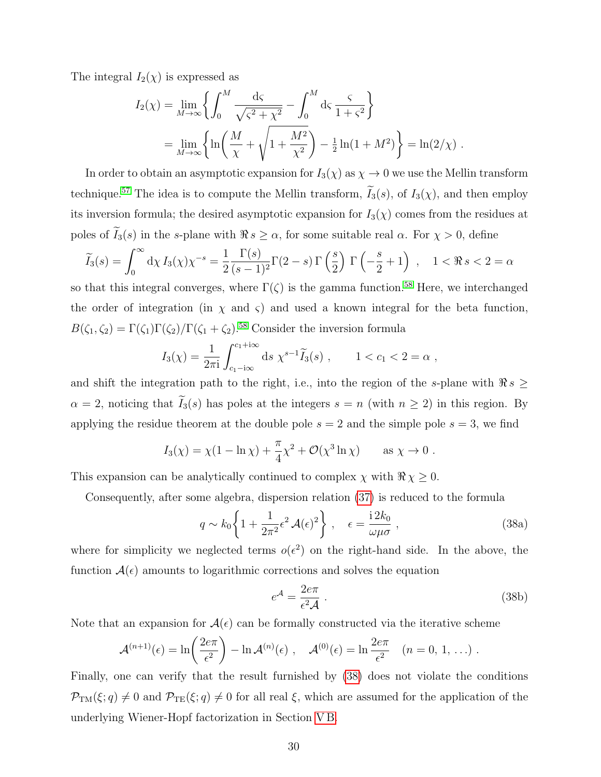The integral  $I_2(\chi)$  is expressed as

$$
I_2(\chi) = \lim_{M \to \infty} \left\{ \int_0^M \frac{ds}{\sqrt{\varsigma^2 + \chi^2}} - \int_0^M ds \, \frac{\varsigma}{1 + \varsigma^2} \right\}
$$
  
= 
$$
\lim_{M \to \infty} \left\{ \ln \left( \frac{M}{\chi} + \sqrt{1 + \frac{M^2}{\chi^2}} \right) - \frac{1}{2} \ln(1 + M^2) \right\} = \ln(2/\chi) .
$$

In order to obtain an asymptotic expansion for  $I_3(\chi)$  as  $\chi \to 0$  we use the Mellin transform technique.<sup>[57](#page-41-10)</sup> The idea is to compute the Mellin transform,  $\widetilde{I}_3(s)$ , of  $I_3(\chi)$ , and then employ its inversion formula; the desired asymptotic expansion for  $I_3(\chi)$  comes from the residues at poles of  $\tilde{I}_3(s)$  in the s-plane with  $\Re s \geq \alpha$ , for some suitable real  $\alpha$ . For  $\chi > 0$ , define

$$
\widetilde{I}_3(s) = \int_0^\infty d\chi \, I_3(\chi) \chi^{-s} = \frac{1}{2} \frac{\Gamma(s)}{(s-1)^2} \Gamma(2-s) \, \Gamma\left(\frac{s}{2}\right) \, \Gamma\left(-\frac{s}{2}+1\right) \,, \quad 1 < \Re \, s < 2 = \alpha
$$

so that this integral converges, where  $\Gamma(\zeta)$  is the gamma function.<sup>[58](#page-41-11)</sup> Here, we interchanged the order of integration (in  $\chi$  and  $\varsigma$ ) and used a known integral for the beta function,  $B(\zeta_1, \zeta_2) = \Gamma(\zeta_1)\Gamma(\zeta_2)/\Gamma(\zeta_1 + \zeta_2).$ <sup>[58](#page-41-11)</sup> Consider the inversion formula

$$
I_3(\chi) = \frac{1}{2\pi i} \int_{c_1 - i\infty}^{c_1 + i\infty} ds \ \chi^{s-1} \widetilde{I}_3(s) \ , \qquad 1 < c_1 < 2 = \alpha \ ,
$$

and shift the integration path to the right, i.e., into the region of the s-plane with  $\Re s \geq$  $\alpha = 2$ , noticing that  $\widetilde{I}_3(s)$  has poles at the integers  $s = n$  (with  $n \geq 2$ ) in this region. By applying the residue theorem at the double pole  $s = 2$  and the simple pole  $s = 3$ , we find

$$
I_3(\chi) = \chi(1 - \ln \chi) + \frac{\pi}{4}\chi^2 + \mathcal{O}(\chi^3 \ln \chi) \quad \text{as } \chi \to 0.
$$

This expansion can be analytically continued to complex  $\chi$  with  $\Re \chi \geq 0$ .

Consequently, after some algebra, dispersion relation [\(37\)](#page-28-0) is reduced to the formula

$$
q \sim k_0 \left\{ 1 + \frac{1}{2\pi^2} \epsilon^2 \mathcal{A}(\epsilon)^2 \right\} , \quad \epsilon = \frac{\mathrm{i} \, 2k_0}{\omega \mu \sigma} , \tag{38a}
$$

where for simplicity we neglected terms  $o(\epsilon^2)$  on the right-hand side. In the above, the function  $A(\epsilon)$  amounts to logarithmic corrections and solves the equation

<span id="page-29-0"></span>
$$
e^{\mathcal{A}} = \frac{2e\pi}{\epsilon^2 \mathcal{A}} \tag{38b}
$$

Note that an expansion for  $A(\epsilon)$  can be formally constructed via the iterative scheme

$$
\mathcal{A}^{(n+1)}(\epsilon) = \ln\left(\frac{2e\pi}{\epsilon^2}\right) - \ln \mathcal{A}^{(n)}(\epsilon) , \quad \mathcal{A}^{(0)}(\epsilon) = \ln \frac{2e\pi}{\epsilon^2} \quad (n = 0, 1, \ldots) .
$$

Finally, one can verify that the result furnished by [\(38\)](#page-29-0) does not violate the conditions  $\mathcal{P}_{TM}(\xi;q)\neq 0$  and  $\mathcal{P}_{TE}(\xi;q)\neq 0$  for all real  $\xi$ , which are assumed for the application of the underlying Wiener-Hopf factorization in Section [V B.](#page-17-0)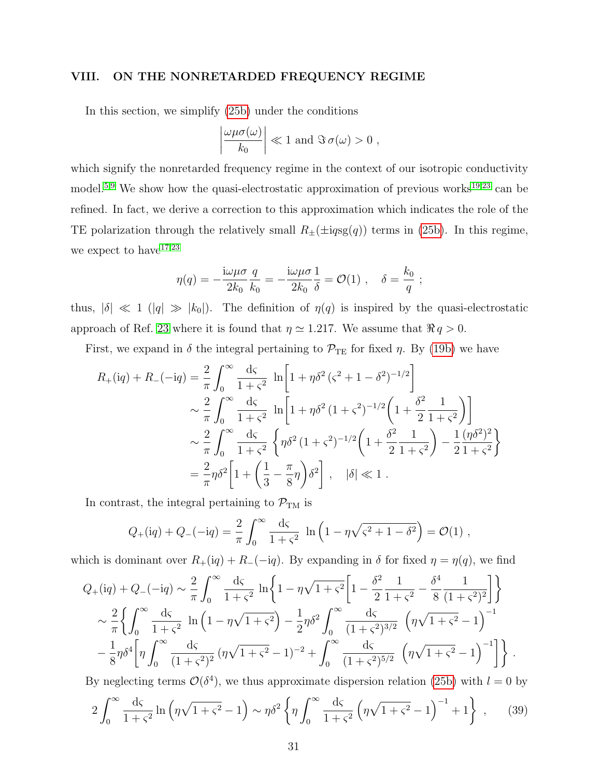# <span id="page-30-0"></span>VIII. ON THE NONRETARDED FREQUENCY REGIME

In this section, we simplify [\(25b\)](#page-20-2) under the conditions

$$
\left|\frac{\omega\mu\sigma(\omega)}{k_0}\right| \ll 1 \text{ and } \Im \sigma(\omega) > 0 ,
$$

which signify the nonretarded frequency regime in the context of our isotropic conductivity model.<sup>[5](#page-38-8)[,9](#page-38-9)</sup> We show how the quasi-electrostatic approximation of previous works<sup>[19](#page-39-0)[,23](#page-39-6)</sup> can be refined. In fact, we derive a correction to this approximation which indicates the role of the TE polarization through the relatively small  $R_{\pm}(\pm ig\text{sg}(q))$  terms in [\(25b\)](#page-20-2). In this regime, we expect to  $\mathrm{have}^{17,23}$  $\mathrm{have}^{17,23}$  $\mathrm{have}^{17,23}$  $\mathrm{have}^{17,23}$ 

$$
\eta(q) = -\frac{\mathrm{i}\omega\mu\sigma}{2k_0} \frac{q}{k_0} = -\frac{\mathrm{i}\omega\mu\sigma}{2k_0} \frac{1}{\delta} = \mathcal{O}(1) , \quad \delta = \frac{k_0}{q} ;
$$

thus,  $|\delta| \ll 1$  ( $|q| \gg |k_0|$ ). The definition of  $\eta(q)$  is inspired by the quasi-electrostatic approach of Ref. [23](#page-39-6) where it is found that  $\eta \simeq 1.217$ . We assume that  $\Re q > 0$ .

First, we expand in  $\delta$  the integral pertaining to  $\mathcal{P}_{TE}$  for fixed  $\eta$ . By [\(19b\)](#page-18-2) we have

$$
R_{+}(iq) + R_{-}(-iq) = \frac{2}{\pi} \int_{0}^{\infty} \frac{d\varsigma}{1+\varsigma^{2}} \ln\left[1 + \eta \delta^{2} (\varsigma^{2} + 1 - \delta^{2})^{-1/2}\right] \sim \frac{2}{\pi} \int_{0}^{\infty} \frac{d\varsigma}{1+\varsigma^{2}} \ln\left[1 + \eta \delta^{2} (1+\varsigma^{2})^{-1/2}\left(1 + \frac{\delta^{2}}{2} \frac{1}{1+\varsigma^{2}}\right)\right] \sim \frac{2}{\pi} \int_{0}^{\infty} \frac{d\varsigma}{1+\varsigma^{2}} \left\{\eta \delta^{2} (1+\varsigma^{2})^{-1/2}\left(1 + \frac{\delta^{2}}{2} \frac{1}{1+\varsigma^{2}}\right) - \frac{1}{2} \frac{(\eta \delta^{2})^{2}}{1+\varsigma^{2}}\right\} \sim \frac{2}{\pi} \eta \delta^{2} \left[1 + \left(\frac{1}{3} - \frac{\pi}{8}\eta\right) \delta^{2}\right], \quad |\delta| \ll 1.
$$

In contrast, the integral pertaining to  $\mathcal{P}_{TM}$  is

$$
Q_{+}(iq) + Q_{-}(-iq) = \frac{2}{\pi} \int_0^{\infty} \frac{d\zeta}{1+\zeta^2} \ln\left(1 - \eta\sqrt{\zeta^2 + 1 - \delta^2}\right) = \mathcal{O}(1) ,
$$

which is dominant over  $R_+(iq) + R_-(-iq)$ . By expanding in  $\delta$  for fixed  $\eta = \eta(q)$ , we find

$$
Q_{+}(iq) + Q_{-}(-iq) \sim \frac{2}{\pi} \int_{0}^{\infty} \frac{d\varsigma}{1+\varsigma^{2}} \ln\left\{1 - \eta\sqrt{1+\varsigma^{2}} \left[1 - \frac{\delta^{2}}{2} \frac{1}{1+\varsigma^{2}} - \frac{\delta^{4}}{8} \frac{1}{(1+\varsigma^{2})^{2}}\right]\right\}
$$
  

$$
\sim \frac{2}{\pi} \left\{ \int_{0}^{\infty} \frac{d\varsigma}{1+\varsigma^{2}} \ln\left(1 - \eta\sqrt{1+\varsigma^{2}}\right) - \frac{1}{2} \eta \delta^{2} \int_{0}^{\infty} \frac{d\varsigma}{(1+\varsigma^{2})^{3/2}} \left(\eta\sqrt{1+\varsigma^{2}} - 1\right)^{-1} - \frac{1}{8} \eta \delta^{4} \left[\eta \int_{0}^{\infty} \frac{d\varsigma}{(1+\varsigma^{2})^{2}} \left(\eta\sqrt{1+\varsigma^{2}} - 1\right)^{-2} + \int_{0}^{\infty} \frac{d\varsigma}{(1+\varsigma^{2})^{5/2}} \left(\eta\sqrt{1+\varsigma^{2}} - 1\right)^{-1} \right]\right\}.
$$

By neglecting terms  $\mathcal{O}(\delta^4)$ , we thus approximate dispersion relation [\(25b\)](#page-20-2) with  $l = 0$  by

<span id="page-30-1"></span>
$$
2\int_0^\infty \frac{d\zeta}{1+\zeta^2} \ln\left(\eta\sqrt{1+\zeta^2}-1\right) \sim \eta\delta^2 \left\{\eta \int_0^\infty \frac{d\zeta}{1+\zeta^2} \left(\eta\sqrt{1+\zeta^2}-1\right)^{-1} + 1\right\} ,\qquad(39)
$$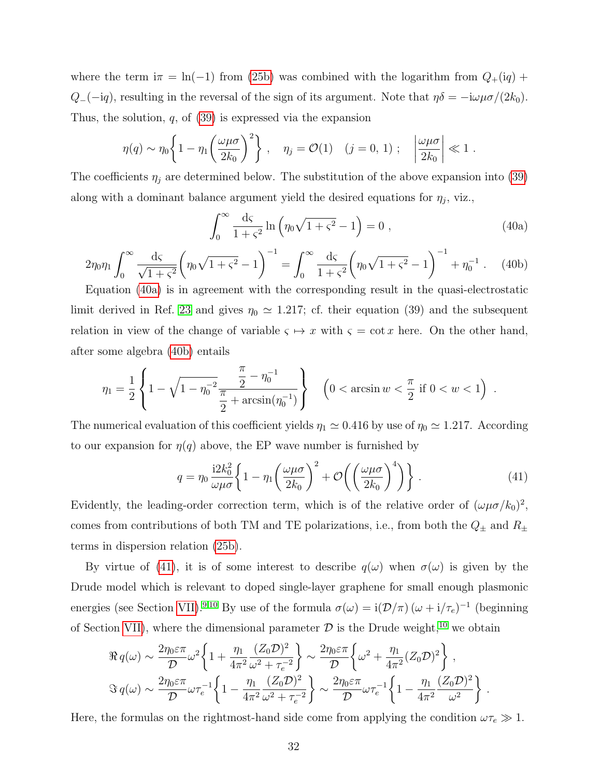where the term  $i\pi = \ln(-1)$  from [\(25b\)](#page-20-2) was combined with the logarithm from  $Q_{+}(iq)$  +  $Q_{-}(-iq)$ , resulting in the reversal of the sign of its argument. Note that  $\eta \delta = -i\omega\mu\sigma/(2k_0)$ . Thus, the solution,  $q$ , of  $(39)$  is expressed via the expansion

$$
\eta(q) \sim \eta_0 \left\{ 1 - \eta_1 \left( \frac{\omega \mu \sigma}{2k_0} \right)^2 \right\}, \quad \eta_j = \mathcal{O}(1) \quad (j = 0, 1); \quad \left| \frac{\omega \mu \sigma}{2k_0} \right| \ll 1.
$$

The coefficients  $\eta_j$  are determined below. The substitution of the above expansion into [\(39\)](#page-30-1) along with a dominant balance argument yield the desired equations for  $\eta_j$ , viz.,

<span id="page-31-0"></span>
$$
\int_0^\infty \frac{d\zeta}{1+\zeta^2} \ln \left( \eta_0 \sqrt{1+\zeta^2} - 1 \right) = 0 , \qquad (40a)
$$

<span id="page-31-1"></span>
$$
2\eta_0\eta_1 \int_0^\infty \frac{d\varsigma}{\sqrt{1+\varsigma^2}} \left(\eta_0\sqrt{1+\varsigma^2} - 1\right)^{-1} = \int_0^\infty \frac{d\varsigma}{1+\varsigma^2} \left(\eta_0\sqrt{1+\varsigma^2} - 1\right)^{-1} + \eta_0^{-1} \tag{40b}
$$

Equation [\(40a\)](#page-31-0) is in agreement with the corresponding result in the quasi-electrostatic limit derived in Ref. [23](#page-39-6) and gives  $\eta_0 \simeq 1.217$ ; cf. their equation (39) and the subsequent relation in view of the change of variable  $\varsigma \mapsto x$  with  $\varsigma = \cot x$  here. On the other hand, after some algebra [\(40b\)](#page-31-1) entails

$$
\eta_1 = \frac{1}{2} \left\{ 1 - \sqrt{1 - \eta_0^{-2}} \frac{\frac{\pi}{2} - \eta_0^{-1}}{\frac{\pi}{2} + \arcsin(\eta_0^{-1})} \right\} \quad \left( 0 < \arcsin w < \frac{\pi}{2} \text{ if } 0 < w < 1 \right) .
$$

The numerical evaluation of this coefficient yields  $\eta_1 \simeq 0.416$  by use of  $\eta_0 \simeq 1.217$ . According to our expansion for  $\eta(q)$  above, the EP wave number is furnished by

<span id="page-31-2"></span>
$$
q = \eta_0 \frac{12k_0^2}{\omega \mu \sigma} \left\{ 1 - \eta_1 \left( \frac{\omega \mu \sigma}{2k_0} \right)^2 + \mathcal{O} \left( \left( \frac{\omega \mu \sigma}{2k_0} \right)^4 \right) \right\} \,. \tag{41}
$$

Evidently, the leading-order correction term, which is of the relative order of  $(\omega \mu \sigma / k_0)^2$ , comes from contributions of both TM and TE polarizations, i.e., from both the  $Q_{\pm}$  and  $R_{\pm}$ terms in dispersion relation [\(25b\)](#page-20-2).

By virtue of [\(41\)](#page-31-2), it is of some interest to describe  $q(\omega)$  when  $\sigma(\omega)$  is given by the Drude model which is relevant to doped single-layer graphene for small enough plasmonic energies (see Section [VII\)](#page-27-0).<sup>[9,](#page-38-9)[10](#page-38-2)</sup> By use of the formula  $\sigma(\omega) = i(\mathcal{D}/\pi)(\omega + i/\tau_e)^{-1}$  (beginning of Section [VII\)](#page-27-0), where the dimensional parameter  $\mathcal D$  is the Drude weight,<sup>[10](#page-38-2)</sup> we obtain

$$
\Re q(\omega) \sim \frac{2\eta_0 \varepsilon \pi}{\mathcal{D}} \omega^2 \left\{ 1 + \frac{\eta_1}{4\pi^2} \frac{(Z_0 \mathcal{D})^2}{\omega^2 + \tau_e^{-2}} \right\} \sim \frac{2\eta_0 \varepsilon \pi}{\mathcal{D}} \left\{ \omega^2 + \frac{\eta_1}{4\pi^2} (Z_0 \mathcal{D})^2 \right\},
$$
  

$$
\Im q(\omega) \sim \frac{2\eta_0 \varepsilon \pi}{\mathcal{D}} \omega \tau_e^{-1} \left\{ 1 - \frac{\eta_1}{4\pi^2} \frac{(Z_0 \mathcal{D})^2}{\omega^2 + \tau_e^{-2}} \right\} \sim \frac{2\eta_0 \varepsilon \pi}{\mathcal{D}} \omega \tau_e^{-1} \left\{ 1 - \frac{\eta_1}{4\pi^2} \frac{(Z_0 \mathcal{D})^2}{\omega^2} \right\}.
$$

Here, the formulas on the rightmost-hand side come from applying the condition  $\omega \tau_e \gg 1$ .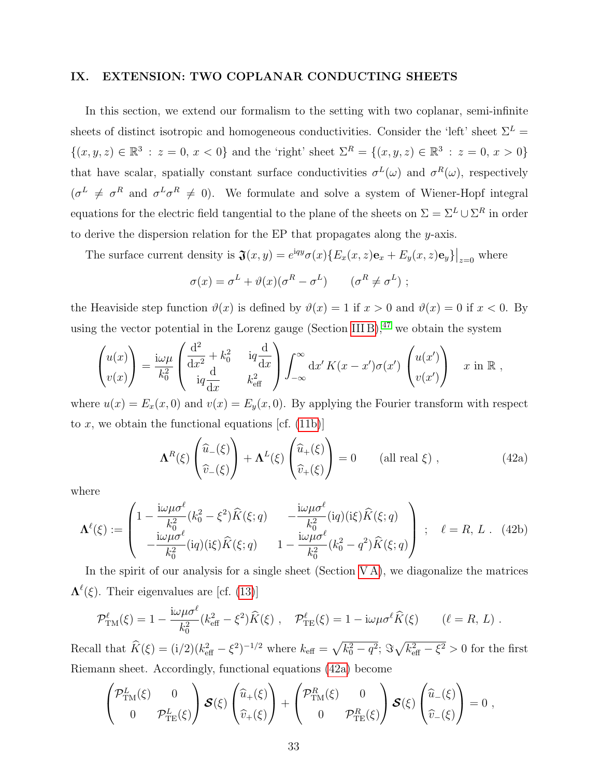# <span id="page-32-0"></span>IX. EXTENSION: TWO COPLANAR CONDUCTING SHEETS

In this section, we extend our formalism to the setting with two coplanar, semi-infinite sheets of distinct isotropic and homogeneous conductivities. Consider the 'left' sheet  $\Sigma^L$  =  $\{(x, y, z) \in \mathbb{R}^3 : z = 0, x < 0\}$  and the 'right' sheet  $\Sigma^R = \{(x, y, z) \in \mathbb{R}^3 : z = 0, x > 0\}$ that have scalar, spatially constant surface conductivities  $\sigma^L(\omega)$  and  $\sigma^R(\omega)$ , respectively  $(\sigma^L \neq \sigma^R \text{ and } \sigma^L \sigma^R \neq 0)$ . We formulate and solve a system of Wiener-Hopf integral equations for the electric field tangential to the plane of the sheets on  $\Sigma = \Sigma^L \cup \Sigma^R$  in order to derive the dispersion relation for the EP that propagates along the y-axis.

The surface current density is  $\mathfrak{J}(x,y) = e^{iqy}\sigma(x)\{E_x(x,z)\mathbf{e}_x + E_y(x,z)\mathbf{e}_y\}\big|_{z=0}$  where

$$
\sigma(x) = \sigma^L + \vartheta(x)(\sigma^R - \sigma^L) \qquad (\sigma^R \neq \sigma^L) ;
$$

the Heaviside step function  $\vartheta(x)$  is defined by  $\vartheta(x) = 1$  if  $x > 0$  and  $\vartheta(x) = 0$  if  $x < 0$ . By using the vector potential in the Lorenz gauge (Section [III B\)](#page-10-0),  $47$  we obtain the system

$$
\begin{pmatrix} u(x) \\ v(x) \end{pmatrix} = \frac{i\omega\mu}{k_0^2} \begin{pmatrix} \frac{d^2}{dx^2} + k_0^2 & iq\frac{d}{dx} \\ iq\frac{d}{dx} & k_{\text{eff}}^2 \end{pmatrix} \int_{-\infty}^{\infty} dx' K(x - x')\sigma(x') \begin{pmatrix} u(x') \\ v(x') \end{pmatrix} x \text{ in } \mathbb{R} ,
$$

where  $u(x) = E_x(x, 0)$  and  $v(x) = E_y(x, 0)$ . By applying the Fourier transform with respect to x, we obtain the functional equations [cf.  $(11b)$ ]

<span id="page-32-1"></span>
$$
\Lambda^{R}(\xi) \left( \widehat{\tilde{u}}_{-}(\xi) \right) + \Lambda^{L}(\xi) \left( \widehat{\tilde{u}}_{+}(\xi) \right) = 0 \qquad \text{(all real } \xi) , \qquad (42a)
$$

where

$$
\Lambda^{\ell}(\xi) := \begin{pmatrix} 1 - \frac{i\omega\mu\sigma^{\ell}}{k_0^2} (k_0^2 - \xi^2) \widehat{K}(\xi; q) & -\frac{i\omega\mu\sigma^{\ell}}{k_0^2} (iq) (i\xi) \widehat{K}(\xi; q) \\ -\frac{i\omega\mu\sigma^{\ell}}{k_0^2} (iq) (i\xi) \widehat{K}(\xi; q) & 1 - \frac{i\omega\mu\sigma^{\ell}}{k_0^2} (k_0^2 - q^2) \widehat{K}(\xi; q) \end{pmatrix} ; \quad \ell = R, L \quad (42b)
$$

In the spirit of our analysis for a single sheet (Section  $VA$ ), we diagonalize the matrices  $\Lambda^{\ell}(\xi)$ . Their eigenvalues are [cf. [\(13\)](#page-15-0)]

$$
\mathcal{P}^{\ell}_{\text{TM}}(\xi) = 1 - \frac{i\omega\mu\sigma^{\ell}}{k_0^2} (k_{\text{eff}}^2 - \xi^2) \widehat{K}(\xi) , \quad \mathcal{P}^{\ell}_{\text{TE}}(\xi) = 1 - i\omega\mu\sigma^{\ell} \widehat{K}(\xi) \qquad (\ell = R, L) .
$$

Recall that  $\widehat{K}(\xi) = (i/2)(k_{\text{eff}}^2 - \xi^2)^{-1/2}$  where  $k_{\text{eff}} = \sqrt{k_0^2 - q^2}$ ;  $\Im\sqrt{k_{\text{eff}}^2 - \xi^2} > 0$  for the first Riemann sheet. Accordingly, functional equations [\(42a\)](#page-32-1) become

$$
\begin{pmatrix} \mathcal{P}^L_{\text{TM}}(\xi) & 0 \\ 0 & \mathcal{P}^L_{\text{TE}}(\xi) \end{pmatrix} \mathcal{S}(\xi) \begin{pmatrix} \widehat{u}_+(\xi) \\ \widehat{v}_+(\xi) \end{pmatrix} + \begin{pmatrix} \mathcal{P}^R_{\text{TM}}(\xi) & 0 \\ 0 & \mathcal{P}^R_{\text{TE}}(\xi) \end{pmatrix} \mathcal{S}(\xi) \begin{pmatrix} \widehat{u}_-(\xi) \\ \widehat{v}_-(\xi) \end{pmatrix} = 0 ,
$$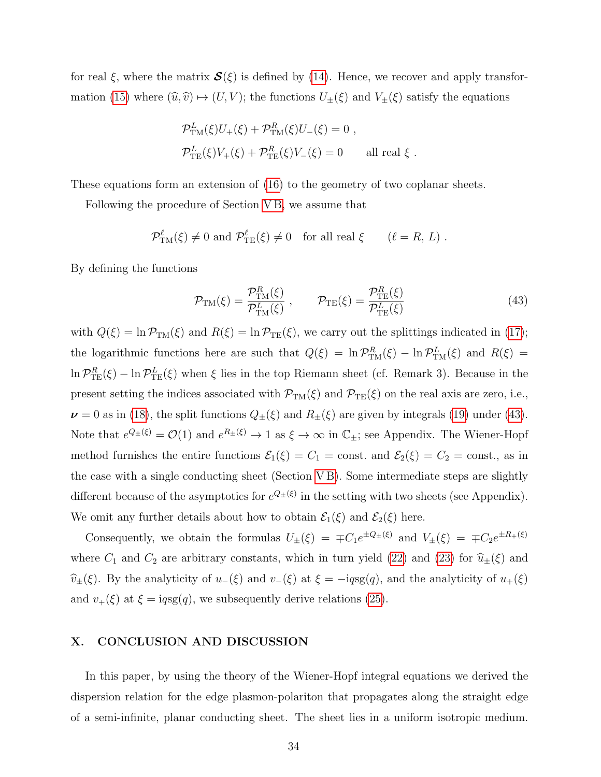for real  $\xi$ , where the matrix  $\mathcal{S}(\xi)$  is defined by [\(14\)](#page-15-1). Hence, we recover and apply transfor-mation [\(15\)](#page-16-0) where  $(\widehat{u}, \widehat{v}) \mapsto (U, V)$ ; the functions  $U_{\pm}(\xi)$  and  $V_{\pm}(\xi)$  satisfy the equations

$$
\mathcal{P}_{\text{TM}}^{L}(\xi)U_{+}(\xi) + \mathcal{P}_{\text{TM}}^{R}(\xi)U_{-}(\xi) = 0 ,
$$
  

$$
\mathcal{P}_{\text{TE}}^{L}(\xi)V_{+}(\xi) + \mathcal{P}_{\text{TE}}^{R}(\xi)V_{-}(\xi) = 0 \quad \text{all real } \xi .
$$

These equations form an extension of [\(16\)](#page-16-1) to the geometry of two coplanar sheets.

Following the procedure of Section [V B,](#page-17-0) we assume that

$$
\mathcal{P}_{\text{TM}}^{\ell}(\xi) \neq 0
$$
 and  $\mathcal{P}_{\text{TE}}^{\ell}(\xi) \neq 0$  for all real  $\xi$   $(\ell = R, L)$ .

By defining the functions

<span id="page-33-1"></span>
$$
\mathcal{P}_{\text{TM}}(\xi) = \frac{\mathcal{P}_{\text{TM}}^R(\xi)}{\mathcal{P}_{\text{TM}}^L(\xi)}, \qquad \mathcal{P}_{\text{TE}}(\xi) = \frac{\mathcal{P}_{\text{TE}}^R(\xi)}{\mathcal{P}_{\text{TE}}^L(\xi)} \tag{43}
$$

with  $Q(\xi) = \ln \mathcal{P}_{TM}(\xi)$  and  $R(\xi) = \ln \mathcal{P}_{TE}(\xi)$ , we carry out the splittings indicated in [\(17\)](#page-17-1); the logarithmic functions here are such that  $Q(\xi) = \ln \mathcal{P}_{TM}^R(\xi) - \ln \mathcal{P}_{TM}^L(\xi)$  and  $R(\xi) =$  $\ln P_{\text{TE}}^R(\xi) - \ln P_{\text{TE}}^L(\xi)$  when  $\xi$  lies in the top Riemann sheet (cf. Remark 3). Because in the present setting the indices associated with  $\mathcal{P}_{TM}(\xi)$  and  $\mathcal{P}_{TE}(\xi)$  on the real axis are zero, i.e.,  $\nu = 0$  as in [\(18\)](#page-17-2), the split functions  $Q_{\pm}(\xi)$  and  $R_{\pm}(\xi)$  are given by integrals [\(19\)](#page-18-1) under [\(43\)](#page-33-1). Note that  $e^{Q_{\pm}(\xi)} = \mathcal{O}(1)$  and  $e^{R_{\pm}(\xi)} \to 1$  as  $\xi \to \infty$  in  $\mathbb{C}_{\pm}$ ; see Appendix. The Wiener-Hopf method furnishes the entire functions  $\mathcal{E}_1(\xi) = C_1 = \text{const.}$  and  $\mathcal{E}_2(\xi) = C_2 = \text{const.}$ , as in the case with a single conducting sheet (Section [V B\)](#page-17-0). Some intermediate steps are slightly different because of the asymptotics for  $e^{Q_{\pm}(\xi)}$  in the setting with two sheets (see Appendix). We omit any further details about how to obtain  $\mathcal{E}_1(\xi)$  and  $\mathcal{E}_2(\xi)$  here.

Consequently, we obtain the formulas  $U_{\pm}(\xi) = \pm C_1 e^{\pm Q_{\pm}(\xi)}$  and  $V_{\pm}(\xi) = \pm C_2 e^{\pm R_{+}(\xi)}$ where  $C_1$  and  $C_2$  are arbitrary constants, which in turn yield [\(22\)](#page-19-1) and [\(23\)](#page-19-2) for  $\hat{u}_{\pm}(\xi)$  and  $\widehat{v}_\pm(\xi)$ . By the analyticity of  $u_-(\xi)$  and  $v_-(\xi)$  at  $\xi = -iqs(g(q))$ , and the analyticity of  $u_+(\xi)$ and  $v_{+}(\xi)$  at  $\xi = iqsg(q)$ , we subsequently derive relations [\(25\)](#page-20-0).

# <span id="page-33-0"></span>X. CONCLUSION AND DISCUSSION

In this paper, by using the theory of the Wiener-Hopf integral equations we derived the dispersion relation for the edge plasmon-polariton that propagates along the straight edge of a semi-infinite, planar conducting sheet. The sheet lies in a uniform isotropic medium.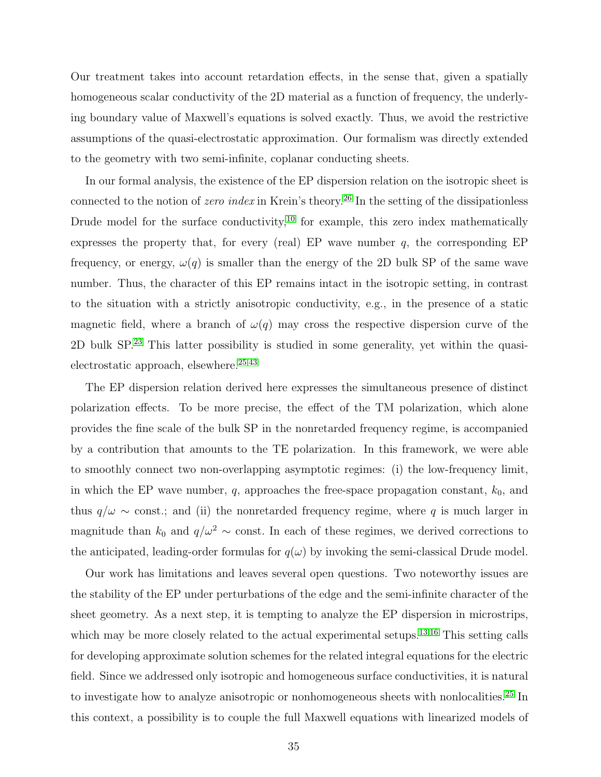Our treatment takes into account retardation effects, in the sense that, given a spatially homogeneous scalar conductivity of the 2D material as a function of frequency, the underlying boundary value of Maxwell's equations is solved exactly. Thus, we avoid the restrictive assumptions of the quasi-electrostatic approximation. Our formalism was directly extended to the geometry with two semi-infinite, coplanar conducting sheets.

In our formal analysis, the existence of the EP dispersion relation on the isotropic sheet is connected to the notion of *zero index* in Krein's theory.<sup>[26](#page-39-4)</sup> In the setting of the dissipationless Drude model for the surface conductivity, $10$  for example, this zero index mathematically expresses the property that, for every (real) EP wave number  $q$ , the corresponding EP frequency, or energy,  $\omega(q)$  is smaller than the energy of the 2D bulk SP of the same wave number. Thus, the character of this EP remains intact in the isotropic setting, in contrast to the situation with a strictly anisotropic conductivity, e.g., in the presence of a static magnetic field, where a branch of  $\omega(q)$  may cross the respective dispersion curve of the 2D bulk SP.[23](#page-39-6) This latter possibility is studied in some generality, yet within the quasielectrostatic approach, elsewhere. $25,43$  $25,43$ 

The EP dispersion relation derived here expresses the simultaneous presence of distinct polarization effects. To be more precise, the effect of the TM polarization, which alone provides the fine scale of the bulk SP in the nonretarded frequency regime, is accompanied by a contribution that amounts to the TE polarization. In this framework, we were able to smoothly connect two non-overlapping asymptotic regimes: (i) the low-frequency limit, in which the EP wave number,  $q$ , approaches the free-space propagation constant,  $k_0$ , and thus  $q/\omega \sim \text{const.}$ ; and (ii) the nonretarded frequency regime, where q is much larger in magnitude than  $k_0$  and  $q/\omega^2 \sim$  const. In each of these regimes, we derived corrections to the anticipated, leading-order formulas for  $q(\omega)$  by invoking the semi-classical Drude model.

Our work has limitations and leaves several open questions. Two noteworthy issues are the stability of the EP under perturbations of the edge and the semi-infinite character of the sheet geometry. As a next step, it is tempting to analyze the EP dispersion in microstrips, which may be more closely related to the actual experimental setups.<sup>[13,](#page-38-5)[16](#page-38-6)</sup> This setting calls for developing approximate solution schemes for the related integral equations for the electric field. Since we addressed only isotropic and homogeneous surface conductivities, it is natural to investigate how to analyze anisotropic or nonhomogeneous sheets with nonlocalities.[25](#page-39-3) In this context, a possibility is to couple the full Maxwell equations with linearized models of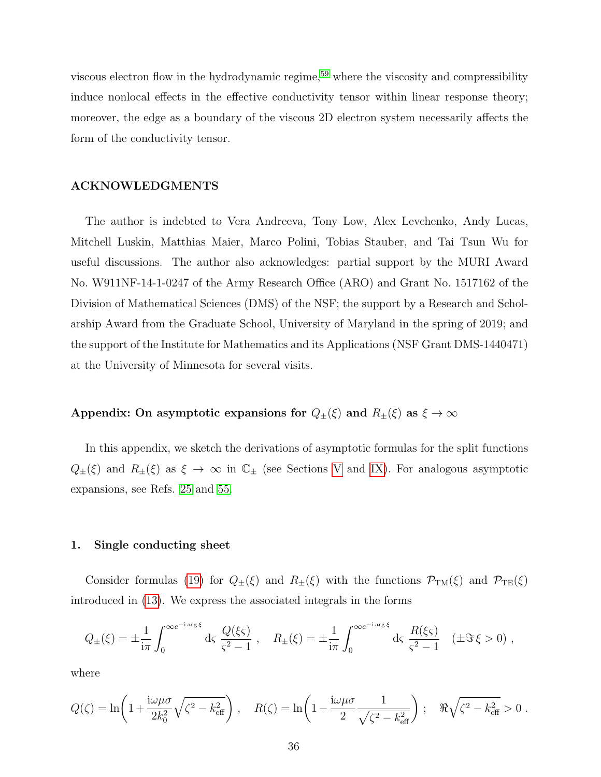viscous electron flow in the hydrodynamic regime,<sup>[59](#page-41-12)</sup> where the viscosity and compressibility induce nonlocal effects in the effective conductivity tensor within linear response theory; moreover, the edge as a boundary of the viscous 2D electron system necessarily affects the form of the conductivity tensor.

## ACKNOWLEDGMENTS

The author is indebted to Vera Andreeva, Tony Low, Alex Levchenko, Andy Lucas, Mitchell Luskin, Matthias Maier, Marco Polini, Tobias Stauber, and Tai Tsun Wu for useful discussions. The author also acknowledges: partial support by the MURI Award No. W911NF-14-1-0247 of the Army Research Office (ARO) and Grant No. 1517162 of the Division of Mathematical Sciences (DMS) of the NSF; the support by a Research and Scholarship Award from the Graduate School, University of Maryland in the spring of 2019; and the support of the Institute for Mathematics and its Applications (NSF Grant DMS-1440471) at the University of Minnesota for several visits.

# Appendix: On asymptotic expansions for  $Q_{\pm}(\xi)$  and  $R_{\pm}(\xi)$  as  $\xi \to \infty$

In this appendix, we sketch the derivations of asymptotic formulas for the split functions  $Q_{\pm}(\xi)$  and  $R_{\pm}(\xi)$  as  $\xi \to \infty$  in  $\mathbb{C}_{\pm}$  (see Sections [V](#page-14-0) and [IX\)](#page-32-0). For analogous asymptotic expansions, see Refs. [25](#page-39-3) and [55.](#page-41-8)

## <span id="page-35-0"></span>1. Single conducting sheet

Consider formulas [\(19\)](#page-18-1) for  $Q_{\pm}(\xi)$  and  $R_{\pm}(\xi)$  with the functions  $\mathcal{P}_{TM}(\xi)$  and  $\mathcal{P}_{TE}(\xi)$ introduced in [\(13\)](#page-15-0). We express the associated integrals in the forms

$$
Q_{\pm}(\xi) = \pm \frac{1}{i\pi} \int_0^{\infty e^{-i \arg \xi}} d\varsigma \frac{Q(\xi \varsigma)}{\varsigma^2 - 1} , \quad R_{\pm}(\xi) = \pm \frac{1}{i\pi} \int_0^{\infty e^{-i \arg \xi}} d\varsigma \frac{R(\xi \varsigma)}{\varsigma^2 - 1} \quad (\pm \Im \xi > 0) ,
$$

where

$$
Q(\zeta) = \ln\left(1 + \frac{\mathrm{i}\omega\mu\sigma}{2k_0^2}\sqrt{\zeta^2 - k_{\text{eff}}^2}\right), \quad R(\zeta) = \ln\left(1 - \frac{\mathrm{i}\omega\mu\sigma}{2}\frac{1}{\sqrt{\zeta^2 - k_{\text{eff}}^2}}\right); \quad \Re\sqrt{\zeta^2 - k_{\text{eff}}^2} > 0.
$$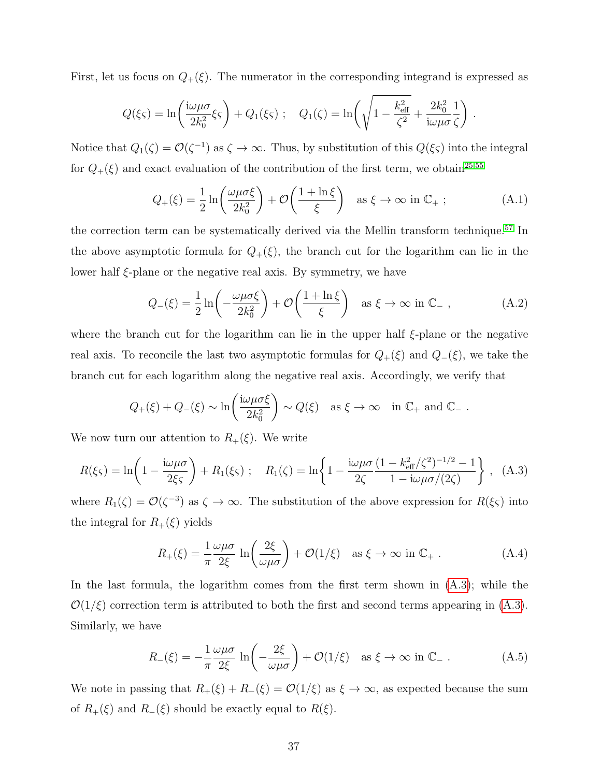First, let us focus on  $Q_+(\xi)$ . The numerator in the corresponding integrand is expressed as

$$
Q(\xi\zeta) = \ln\left(\frac{\mathrm{i}\omega\mu\sigma}{2k_0^2}\xi\zeta\right) + Q_1(\xi\zeta); \quad Q_1(\zeta) = \ln\left(\sqrt{1 - \frac{k_{\text{eff}}^2}{\zeta^2}} + \frac{2k_0^2}{\mathrm{i}\omega\mu\sigma}\frac{1}{\zeta}\right)
$$

Notice that  $Q_1(\zeta) = \mathcal{O}(\zeta^{-1})$  as  $\zeta \to \infty$ . Thus, by substitution of this  $Q(\xi \zeta)$  into the integral for  $Q_{+}(\xi)$  and exact evaluation of the contribution of the first term, we obtain<sup>[25](#page-39-3)[,55](#page-41-8)</sup>

$$
Q_{+}(\xi) = \frac{1}{2} \ln \left( \frac{\omega \mu \sigma \xi}{2k_0^2} \right) + \mathcal{O} \left( \frac{1 + \ln \xi}{\xi} \right) \quad \text{as } \xi \to \infty \text{ in } \mathbb{C}_+ ; \tag{A.1}
$$

.

the correction term can be systematically derived via the Mellin transform technique.<sup>[57](#page-41-10)</sup> In the above asymptotic formula for  $Q_{+}(\xi)$ , the branch cut for the logarithm can lie in the lower half ξ-plane or the negative real axis. By symmetry, we have

$$
Q_{-}(\xi) = \frac{1}{2} \ln \left( -\frac{\omega \mu \sigma \xi}{2k_0^2} \right) + \mathcal{O} \left( \frac{1 + \ln \xi}{\xi} \right) \quad \text{as } \xi \to \infty \text{ in } \mathbb{C}_-, \tag{A.2}
$$

where the branch cut for the logarithm can lie in the upper half  $\xi$ -plane or the negative real axis. To reconcile the last two asymptotic formulas for  $Q_+(\xi)$  and  $Q_-(\xi)$ , we take the branch cut for each logarithm along the negative real axis. Accordingly, we verify that

$$
Q_{+}(\xi) + Q_{-}(\xi) \sim \ln\left(\frac{\mathrm{i}\omega\mu\sigma\xi}{2k_0^2}\right) \sim Q(\xi)
$$
 as  $\xi \to \infty$  in  $\mathbb{C}_+$  and  $\mathbb{C}_-$ .

We now turn our attention to  $R_+(\xi)$ . We write

<span id="page-36-0"></span>
$$
R(\xi\zeta) = \ln\left(1 - \frac{\mathrm{i}\omega\mu\sigma}{2\xi\zeta}\right) + R_1(\xi\zeta) \; ; \quad R_1(\zeta) = \ln\left\{1 - \frac{\mathrm{i}\omega\mu\sigma}{2\zeta}\frac{(1 - k_{\text{eff}}^2/\zeta^2)^{-1/2} - 1}{1 - \mathrm{i}\omega\mu\sigma/(2\zeta)}\right\} \; , \quad (A.3)
$$

where  $R_1(\zeta) = \mathcal{O}(\zeta^{-3})$  as  $\zeta \to \infty$ . The substitution of the above expression for  $R(\xi \zeta)$  into the integral for  $R_+(\xi)$  yields

$$
R_{+}(\xi) = \frac{1}{\pi} \frac{\omega \mu \sigma}{2\xi} \ln \left( \frac{2\xi}{\omega \mu \sigma} \right) + \mathcal{O}(1/\xi) \quad \text{as } \xi \to \infty \text{ in } \mathbb{C}_{+} \,. \tag{A.4}
$$

In the last formula, the logarithm comes from the first term shown in [\(A.3\)](#page-36-0); while the  $\mathcal{O}(1/\xi)$  correction term is attributed to both the first and second terms appearing in [\(A.3\)](#page-36-0). Similarly, we have

$$
R_{-}(\xi) = -\frac{1}{\pi} \frac{\omega \mu \sigma}{2\xi} \ln \left( -\frac{2\xi}{\omega \mu \sigma} \right) + \mathcal{O}(1/\xi) \quad \text{as } \xi \to \infty \text{ in } \mathbb{C}_{-} \,. \tag{A.5}
$$

We note in passing that  $R_+(\xi) + R_-(\xi) = \mathcal{O}(1/\xi)$  as  $\xi \to \infty$ , as expected because the sum of  $R_+(\xi)$  and  $R_-(\xi)$  should be exactly equal to  $R(\xi)$ .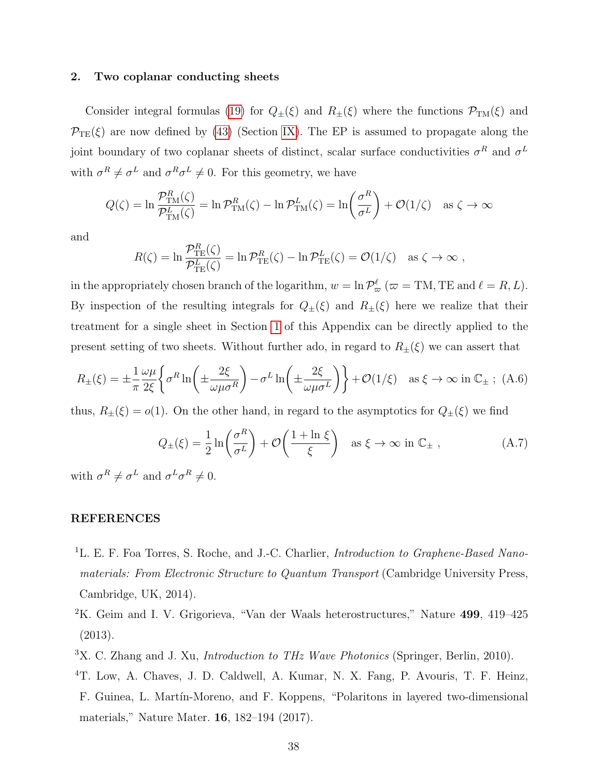#### 2. Two coplanar conducting sheets

Consider integral formulas [\(19\)](#page-18-1) for  $Q_{\pm}(\xi)$  and  $R_{\pm}(\xi)$  where the functions  $\mathcal{P}_{TM}(\xi)$  and  $\mathcal{P}_{TE}(\xi)$  are now defined by [\(43\)](#page-33-1) (Section [IX\)](#page-32-0). The EP is assumed to propagate along the joint boundary of two coplanar sheets of distinct, scalar surface conductivities  $\sigma^R$  and  $\sigma^L$ with  $\sigma^R \neq \sigma^L$  and  $\sigma^R \sigma^L \neq 0$ . For this geometry, we have

$$
Q(\zeta) = \ln \frac{\mathcal{P}_{\text{TM}}^R(\zeta)}{\mathcal{P}_{\text{TM}}^L(\zeta)} = \ln \mathcal{P}_{\text{TM}}^R(\zeta) - \ln \mathcal{P}_{\text{TM}}^L(\zeta) = \ln \left(\frac{\sigma^R}{\sigma^L}\right) + \mathcal{O}(1/\zeta) \quad \text{as } \zeta \to \infty
$$

and

$$
R(\zeta) = \ln \frac{\mathcal{P}_{\text{TE}}^R(\zeta)}{\mathcal{P}_{\text{TE}}^L(\zeta)} = \ln \mathcal{P}_{\text{TE}}^R(\zeta) - \ln \mathcal{P}_{\text{TE}}^L(\zeta) = \mathcal{O}(1/\zeta) \quad \text{as } \zeta \to \infty,
$$

in the appropriately chosen branch of the logarithm,  $w = \ln \mathcal{P}_{\varpi}^{\ell}$  ( $\varpi = TM$ , TE and  $\ell = R, L$ ). By inspection of the resulting integrals for  $Q_{\pm}(\xi)$  and  $R_{\pm}(\xi)$  here we realize that their treatment for a single sheet in Section [1](#page-35-0) of this Appendix can be directly applied to the present setting of two sheets. Without further ado, in regard to  $R_{\pm}(\xi)$  we can assert that

$$
R_{\pm}(\xi) = \pm \frac{1}{\pi} \frac{\omega \mu}{2\xi} \left\{ \sigma^R \ln \left( \pm \frac{2\xi}{\omega \mu \sigma^R} \right) - \sigma^L \ln \left( \pm \frac{2\xi}{\omega \mu \sigma^L} \right) \right\} + \mathcal{O}(1/\xi) \quad \text{as } \xi \to \infty \text{ in } \mathbb{C}_{\pm} \ ; \ (A.6)
$$

thus,  $R_{\pm}(\xi) = o(1)$ . On the other hand, in regard to the asymptotics for  $Q_{\pm}(\xi)$  we find

$$
Q_{\pm}(\xi) = \frac{1}{2} \ln \left( \frac{\sigma^R}{\sigma^L} \right) + \mathcal{O} \left( \frac{1 + \ln \xi}{\xi} \right) \quad \text{as } \xi \to \infty \text{ in } \mathbb{C}_{\pm} \,, \tag{A.7}
$$

with  $\sigma^R \neq \sigma^L$  and  $\sigma^L \sigma^R \neq 0$ .

# REFERENCES

- <span id="page-37-0"></span><sup>1</sup>L. E. F. Foa Torres, S. Roche, and J.-C. Charlier, *Introduction to Graphene-Based Nano*materials: From Electronic Structure to Quantum Transport (Cambridge University Press, Cambridge, UK, 2014).
- <span id="page-37-1"></span><sup>2</sup>K. Geim and I. V. Grigorieva, "Van der Waals heterostructures," Nature 499, 419–425 (2013).
- <span id="page-37-3"></span><span id="page-37-2"></span><sup>3</sup>X. C. Zhang and J. Xu, *Introduction to THz Wave Photonics* (Springer, Berlin, 2010).
- <sup>4</sup>T. Low, A. Chaves, J. D. Caldwell, A. Kumar, N. X. Fang, P. Avouris, T. F. Heinz, F. Guinea, L. Mart´ın-Moreno, and F. Koppens, "Polaritons in layered two-dimensional materials," Nature Mater. 16, 182–194 (2017).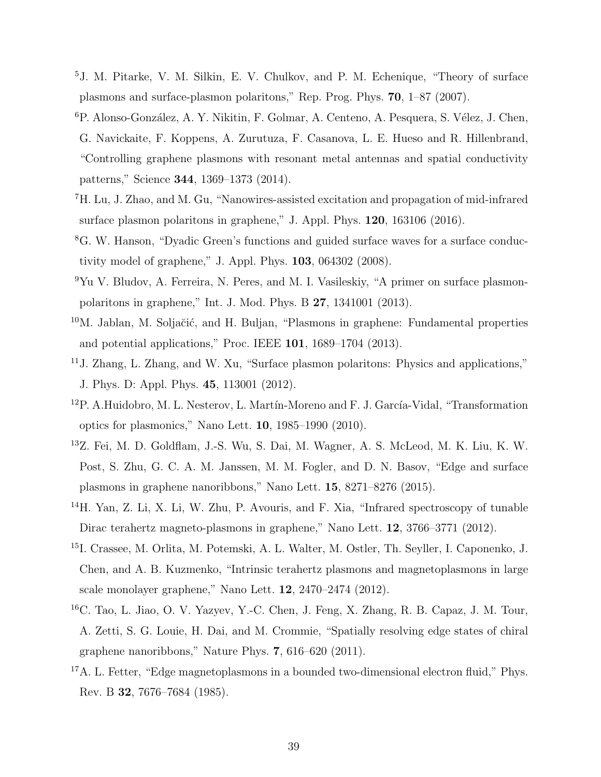- <span id="page-38-8"></span><sup>5</sup>J. M. Pitarke, V. M. Silkin, E. V. Chulkov, and P. M. Echenique, "Theory of surface plasmons and surface-plasmon polaritons," Rep. Prog. Phys. 70, 1–87 (2007).
- <sup>6</sup>P. Alonso-González, A. Y. Nikitin, F. Golmar, A. Centeno, A. Pesquera, S. Vélez, J. Chen, G. Navickaite, F. Koppens, A. Zurutuza, F. Casanova, L. E. Hueso and R. Hillenbrand, "Controlling graphene plasmons with resonant metal antennas and spatial conductivity patterns," Science 344, 1369–1373 (2014).
- <span id="page-38-0"></span><sup>7</sup>H. Lu, J. Zhao, and M. Gu, "Nanowires-assisted excitation and propagation of mid-infrared surface plasmon polaritons in graphene," J. Appl. Phys. 120, 163106 (2016).
- <span id="page-38-1"></span><sup>8</sup>G. W. Hanson, "Dyadic Green's functions and guided surface waves for a surface conductivity model of graphene," J. Appl. Phys. 103, 064302 (2008).
- <span id="page-38-9"></span><sup>9</sup>Yu V. Bludov, A. Ferreira, N. Peres, and M. I. Vasileskiy, "A primer on surface plasmonpolaritons in graphene," Int. J. Mod. Phys. B 27, 1341001 (2013).
- <span id="page-38-2"></span><sup>10</sup>M. Jablan, M. Soljačić, and H. Buljan, "Plasmons in graphene: Fundamental properties and potential applications," Proc. IEEE 101, 1689–1704 (2013).
- <span id="page-38-3"></span><sup>11</sup>J. Zhang, L. Zhang, and W. Xu, "Surface plasmon polaritons: Physics and applications," J. Phys. D: Appl. Phys. 45, 113001 (2012).
- <span id="page-38-4"></span><sup>12</sup>P. A.Huidobro, M. L. Nesterov, L. Martín-Moreno and F. J. García-Vidal, "Transformation optics for plasmonics," Nano Lett. 10, 1985–1990 (2010).
- <span id="page-38-5"></span><sup>13</sup>Z. Fei, M. D. Goldflam, J.-S. Wu, S. Dai, M. Wagner, A. S. McLeod, M. K. Liu, K. W. Post, S. Zhu, G. C. A. M. Janssen, M. M. Fogler, and D. N. Basov, "Edge and surface plasmons in graphene nanoribbons," Nano Lett. 15, 8271–8276 (2015).
- <sup>14</sup>H. Yan, Z. Li, X. Li, W. Zhu, P. Avouris, and F. Xia, "Infrared spectroscopy of tunable Dirac terahertz magneto-plasmons in graphene," Nano Lett. 12, 3766–3771 (2012).
- <sup>15</sup>I. Crassee, M. Orlita, M. Potemski, A. L. Walter, M. Ostler, Th. Seyller, I. Caponenko, J. Chen, and A. B. Kuzmenko, "Intrinsic terahertz plasmons and magnetoplasmons in large scale monolayer graphene," Nano Lett. 12, 2470–2474 (2012).
- <span id="page-38-6"></span><sup>16</sup>C. Tao, L. Jiao, O. V. Yazyev, Y.-C. Chen, J. Feng, X. Zhang, R. B. Capaz, J. M. Tour, A. Zetti, S. G. Louie, H. Dai, and M. Crommie, "Spatially resolving edge states of chiral graphene nanoribbons," Nature Phys. 7, 616–620 (2011).
- <span id="page-38-7"></span> $17A$ . L. Fetter, "Edge magnetoplasmons in a bounded two-dimensional electron fluid," Phys. Rev. B 32, 7676–7684 (1985).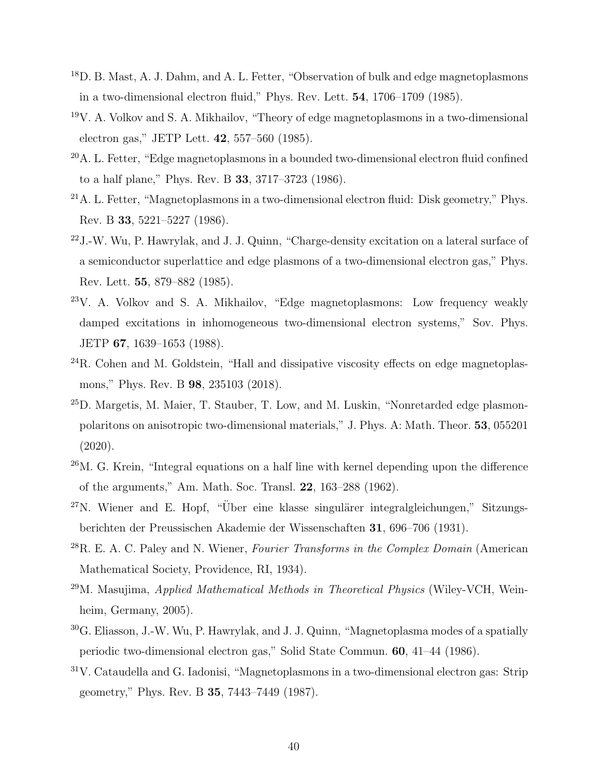- <span id="page-39-7"></span><sup>18</sup>D. B. Mast, A. J. Dahm, and A. L. Fetter, "Observation of bulk and edge magnetoplasmons in a two-dimensional electron fluid," Phys. Rev. Lett. 54, 1706–1709 (1985).
- <span id="page-39-0"></span><sup>19</sup>V. A. Volkov and S. A. Mikhailov, "Theory of edge magnetoplasmons in a two-dimensional electron gas," JETP Lett. 42, 557–560 (1985).
- <span id="page-39-1"></span> $20$ A. L. Fetter, "Edge magnetoplasmons in a bounded two-dimensional electron fluid confined to a half plane," Phys. Rev. B 33, 3717–3723 (1986).
- <sup>21</sup>A. L. Fetter, "Magnetoplasmons in a two-dimensional electron fluid: Disk geometry," Phys. Rev. B 33, 5221–5227 (1986).
- <span id="page-39-8"></span> $22$ J.-W. Wu, P. Hawrylak, and J. J. Quinn, "Charge-density excitation on a lateral surface of a semiconductor superlattice and edge plasmons of a two-dimensional electron gas," Phys. Rev. Lett. 55, 879–882 (1985).
- <span id="page-39-6"></span><sup>23</sup>V. A. Volkov and S. A. Mikhailov, "Edge magnetoplasmons: Low frequency weakly damped excitations in inhomogeneous two-dimensional electron systems," Sov. Phys. JETP 67, 1639–1653 (1988).
- <span id="page-39-2"></span> $^{24}$ R. Cohen and M. Goldstein, "Hall and dissipative viscosity effects on edge magnetoplasmons," Phys. Rev. B 98, 235103 (2018).
- <span id="page-39-3"></span><sup>25</sup>D. Margetis, M. Maier, T. Stauber, T. Low, and M. Luskin, "Nonretarded edge plasmonpolaritons on anisotropic two-dimensional materials," J. Phys. A: Math. Theor. 53, 055201 (2020).
- <span id="page-39-4"></span><sup>26</sup>M. G. Krein, "Integral equations on a half line with kernel depending upon the difference of the arguments," Am. Math. Soc. Transl. 22, 163–288 (1962).
- $27$ N. Wiener and E. Hopf, "Über eine klasse singulärer integralgleichungen," Sitzungsberichten der Preussischen Akademie der Wissenschaften 31, 696–706 (1931).
- <span id="page-39-10"></span> $^{28}R$ . E. A. C. Paley and N. Wiener, *Fourier Transforms in the Complex Domain* (American Mathematical Society, Providence, RI, 1934).
- <span id="page-39-5"></span> $^{29}$ M. Masujima, Applied Mathematical Methods in Theoretical Physics (Wiley-VCH, Weinheim, Germany, 2005).
- <span id="page-39-9"></span><sup>30</sup>G. Eliasson, J.-W. Wu, P. Hawrylak, and J. J. Quinn, "Magnetoplasma modes of a spatially periodic two-dimensional electron gas," Solid State Commun. 60, 41–44 (1986).
- <sup>31</sup>V. Cataudella and G. Iadonisi, "Magnetoplasmons in a two-dimensional electron gas: Strip geometry," Phys. Rev. B 35, 7443–7449 (1987).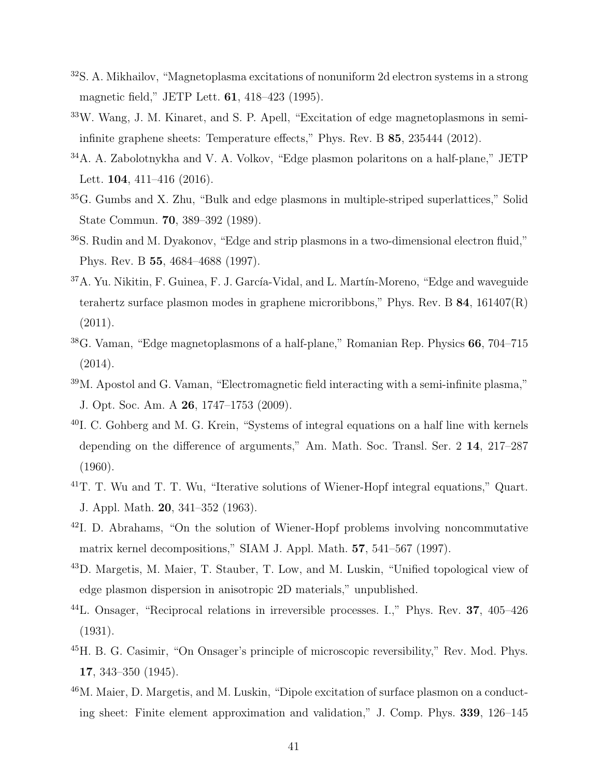- $32$ S. A. Mikhailov, "Magnetoplasma excitations of nonuniform 2d electron systems in a strong magnetic field," JETP Lett. 61, 418–423 (1995).
- <sup>33</sup>W. Wang, J. M. Kinaret, and S. P. Apell, "Excitation of edge magnetoplasmons in semiinfinite graphene sheets: Temperature effects," Phys. Rev. B 85, 235444 (2012).
- <span id="page-40-0"></span><sup>34</sup>A. A. Zabolotnykha and V. A. Volkov, "Edge plasmon polaritons on a half-plane," JETP Lett. **104**, 411-416 (2016).
- <span id="page-40-1"></span><sup>35</sup>G. Gumbs and X. Zhu, "Bulk and edge plasmons in multiple-striped superlattices," Solid State Commun. 70, 389–392 (1989).
- <sup>36</sup>S. Rudin and M. Dyakonov, "Edge and strip plasmons in a two-dimensional electron fluid," Phys. Rev. B 55, 4684–4688 (1997).
- <span id="page-40-2"></span><sup>37</sup>A. Yu. Nikitin, F. Guinea, F. J. García-Vidal, and L. Martín-Moreno, "Edge and waveguide terahertz surface plasmon modes in graphene microribbons," Phys. Rev. B  $84$ ,  $161407(R)$ (2011).
- <span id="page-40-3"></span><sup>38</sup>G. Vaman, "Edge magnetoplasmons of a half-plane," Romanian Rep. Physics 66, 704–715 (2014).
- <span id="page-40-4"></span><sup>39</sup>M. Apostol and G. Vaman, "Electromagnetic field interacting with a semi-infinite plasma," J. Opt. Soc. Am. A 26, 1747–1753 (2009).
- <span id="page-40-5"></span><sup>40</sup>I. C. Gohberg and M. G. Krein, "Systems of integral equations on a half line with kernels depending on the difference of arguments," Am. Math. Soc. Transl. Ser. 2 14, 217–287 (1960).
- <sup>41</sup>T. T. Wu and T. T. Wu, "Iterative solutions of Wiener-Hopf integral equations," Quart. J. Appl. Math. 20, 341–352 (1963).
- <span id="page-40-6"></span><sup>42</sup>I. D. Abrahams, "On the solution of Wiener-Hopf problems involving noncommutative matrix kernel decompositions," SIAM J. Appl. Math. 57, 541–567 (1997).
- <span id="page-40-7"></span><sup>43</sup>D. Margetis, M. Maier, T. Stauber, T. Low, and M. Luskin, "Unified topological view of edge plasmon dispersion in anisotropic 2D materials," unpublished.
- <span id="page-40-8"></span><sup>44</sup>L. Onsager, "Reciprocal relations in irreversible processes. I.," Phys. Rev. 37, 405–426 (1931).
- <span id="page-40-9"></span><sup>45</sup>H. B. G. Casimir, "On Onsager's principle of microscopic reversibility," Rev. Mod. Phys. 17, 343–350 (1945).
- <span id="page-40-10"></span><sup>46</sup>M. Maier, D. Margetis, and M. Luskin, "Dipole excitation of surface plasmon on a conducting sheet: Finite element approximation and validation," J. Comp. Phys. 339, 126–145